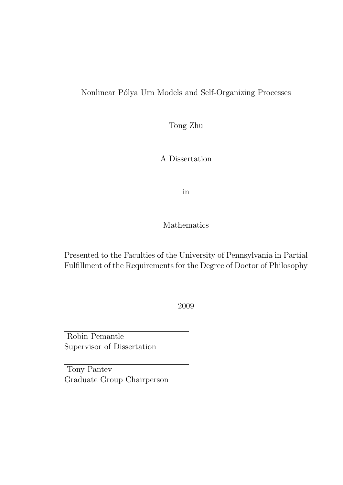### Nonlinear Pólya Urn Models and Self-Organizing Processes

Tong Zhu

A Dissertation

in

Mathematics

Presented to the Faculties of the University of Pennsylvania in Partial Fulfillment of the Requirements for the Degree of Doctor of Philosophy

2009

Robin Pemantle Supervisor of Dissertation

Tony Pantev Graduate Group Chairperson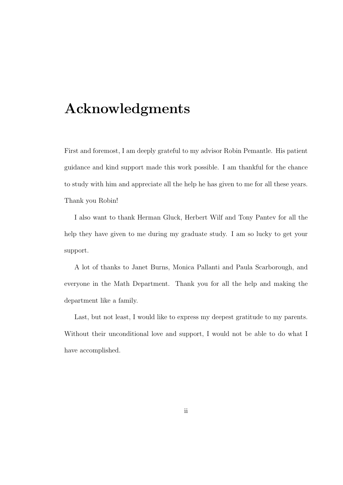## Acknowledgments

First and foremost, I am deeply grateful to my advisor Robin Pemantle. His patient guidance and kind support made this work possible. I am thankful for the chance to study with him and appreciate all the help he has given to me for all these years. Thank you Robin!

I also want to thank Herman Gluck, Herbert Wilf and Tony Pantev for all the help they have given to me during my graduate study. I am so lucky to get your support.

A lot of thanks to Janet Burns, Monica Pallanti and Paula Scarborough, and everyone in the Math Department. Thank you for all the help and making the department like a family.

Last, but not least, I would like to express my deepest gratitude to my parents. Without their unconditional love and support, I would not be able to do what I have accomplished.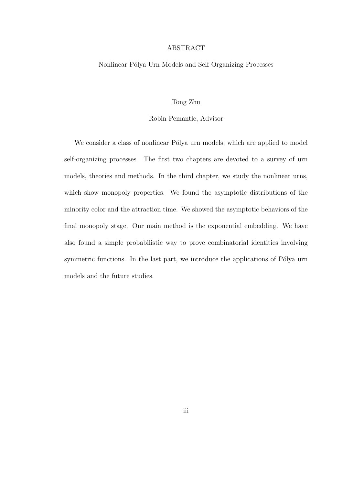#### ABSTRACT

#### Nonlinear Pólya Urn Models and Self-Organizing Processes

#### Tong Zhu

#### Robin Pemantle, Advisor

We consider a class of nonlinear Pólya urn models, which are applied to model self-organizing processes. The first two chapters are devoted to a survey of urn models, theories and methods. In the third chapter, we study the nonlinear urns, which show monopoly properties. We found the asymptotic distributions of the minority color and the attraction time. We showed the asymptotic behaviors of the final monopoly stage. Our main method is the exponential embedding. We have also found a simple probabilistic way to prove combinatorial identities involving symmetric functions. In the last part, we introduce the applications of Pólya urn models and the future studies.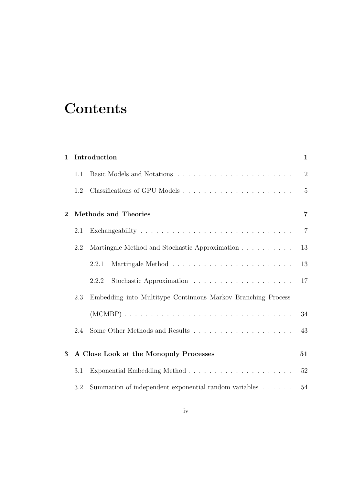# **Contents**

| Introduction<br>1 |                                                                       |                                                                       |
|-------------------|-----------------------------------------------------------------------|-----------------------------------------------------------------------|
| 1.1               |                                                                       | $\overline{2}$                                                        |
| 1.2               |                                                                       | $\overline{5}$                                                        |
|                   |                                                                       | 7                                                                     |
| 2.1               |                                                                       | $\overline{7}$                                                        |
| 2.2               | Martingale Method and Stochastic Approximation                        | 13                                                                    |
|                   | 2.2.1                                                                 | 13                                                                    |
|                   | 2.2.2                                                                 | 17                                                                    |
| 2.3               | Embedding into Multitype Continuous Markov Branching Process          |                                                                       |
|                   |                                                                       | 34                                                                    |
| 2.4               |                                                                       | 43                                                                    |
|                   |                                                                       | 51                                                                    |
| 3.1               |                                                                       | 52                                                                    |
| 3.2               | Summation of independent exponential random variables $\ldots \ldots$ | 54                                                                    |
|                   |                                                                       | <b>Methods and Theories</b><br>A Close Look at the Monopoly Processes |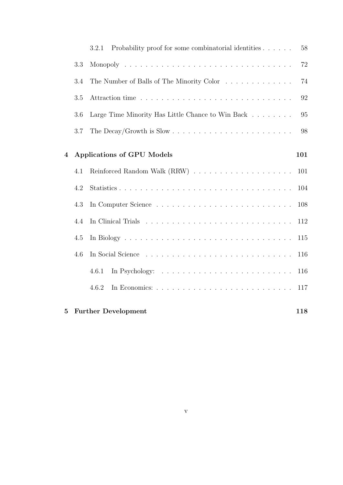|          |     | Probability proof for some combinatorial identities $\ldots \ldots$<br>3.2.1 | 58  |
|----------|-----|------------------------------------------------------------------------------|-----|
|          | 3.3 |                                                                              | 72  |
|          | 3.4 | The Number of Balls of The Minority Color                                    | 74  |
|          | 3.5 |                                                                              | 92  |
|          | 3.6 | Large Time Minority Has Little Chance to Win Back                            | 95  |
|          | 3.7 |                                                                              | 98  |
| 4        |     | <b>Applications of GPU Models</b>                                            | 101 |
|          | 4.1 |                                                                              | 101 |
|          | 4.2 |                                                                              | 104 |
|          | 4.3 |                                                                              | 108 |
|          | 4.4 |                                                                              | 112 |
|          | 4.5 |                                                                              | 115 |
|          | 4.6 |                                                                              | 116 |
|          |     | 4.6.1                                                                        | 116 |
|          |     | 4.6.2                                                                        | 117 |
| $\bf{5}$ |     | <b>Further Development</b>                                                   | 118 |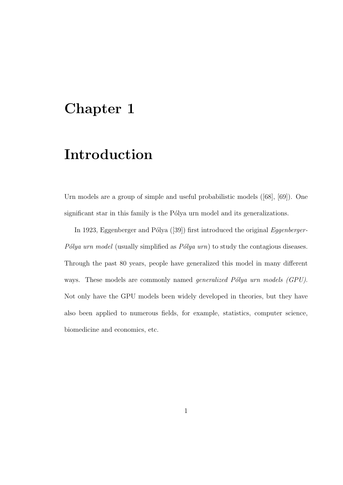## Chapter 1

## Introduction

Urn models are a group of simple and useful probabilistic models ([68], [69]). One significant star in this family is the Pólya urn model and its generalizations.

In 1923, Eggenberger and Pólya  $(39)$  first introduced the original *Eggenberger*-Pólya urn model (usually simplified as  $Pólya$  urn) to study the contagious diseases. Through the past 80 years, people have generalized this model in many different ways. These models are commonly named *generalized Pólya urn models (GPU)*. Not only have the GPU models been widely developed in theories, but they have also been applied to numerous fields, for example, statistics, computer science, biomedicine and economics, etc.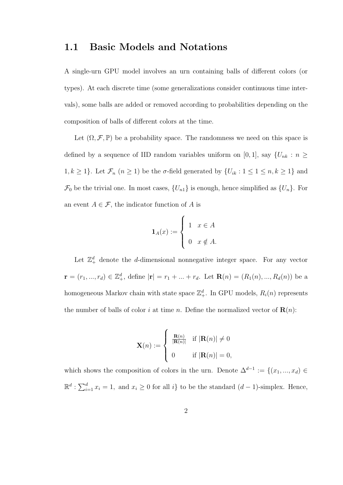### 1.1 Basic Models and Notations

A single-urn GPU model involves an urn containing balls of different colors (or types). At each discrete time (some generalizations consider continuous time intervals), some balls are added or removed according to probabilities depending on the composition of balls of different colors at the time.

Let  $(\Omega, \mathcal{F}, \mathbb{P})$  be a probability space. The randomness we need on this space is defined by a sequence of IID random variables uniform on [0, 1], say  $\{U_{nk} : n \geq$ 1,  $k \ge 1$ . Let  $\mathcal{F}_n$   $(n \ge 1)$  be the  $\sigma$ -field generated by  $\{U_{ik} : 1 \le 1 \le n, k \ge 1\}$  and  $\mathcal{F}_0$  be the trivial one. In most cases,  $\{U_{n1}\}\$ is enough, hence simplified as  $\{U_n\}$ . For an event  $A \in \mathcal{F}$ , the indicator function of A is

$$
\mathbf{1}_A(x) := \begin{cases} 1 & x \in A \\ 0 & x \notin A. \end{cases}
$$

Let  $\mathbb{Z}_+^d$  denote the *d*-dimensional nonnegative integer space. For any vector  $\mathbf{r} = (r_1, ..., r_d) \in \mathbb{Z}_+^d$ , define  $|\mathbf{r}| = r_1 + ... + r_d$ . Let  $\mathbf{R}(n) = (R_1(n), ..., R_d(n))$  be a homogeneous Markov chain with state space  $\mathbb{Z}^d_+$ . In GPU models,  $R_i(n)$  represents the number of balls of color i at time n. Define the normalized vector of  $\mathbf{R}(n)$ :

$$
\mathbf{X}(n) := \begin{cases} \n\frac{\mathbf{R}(n)}{|\mathbf{R}(n)|} & \text{if } |\mathbf{R}(n)| \neq 0 \\
0 & \text{if } |\mathbf{R}(n)| = 0,\n\end{cases}
$$

which shows the composition of colors in the urn. Denote  $\Delta^{d-1} := \{(x_1, ..., x_d) \in$  $\mathbb{R}^d$ :  $\sum_{i=1}^d x_i = 1$ , and  $x_i \geq 0$  for all  $i$  to be the standard  $(d-1)$ -simplex. Hence,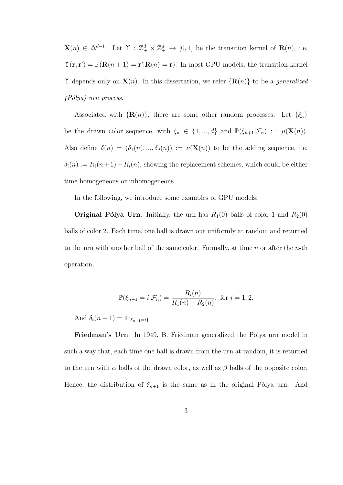$\mathbf{X}(n) \in \Delta^{d-1}$ . Let  $\Upsilon : \mathbb{Z}_{+}^{d} \times \mathbb{Z}_{+}^{d} \to [0,1]$  be the transition kernel of  $\mathbf{R}(n)$ , i.e.  $\Upsilon(\mathbf{r}, \mathbf{r}') = \mathbb{P}(\mathbf{R}(n+1) = \mathbf{r}' | \mathbf{R}(n) = \mathbf{r}).$  In most GPU models, the transition kernel  $\Upsilon$  depends only on  $\mathbf{X}(n)$ . In this dissertation, we refer  $\{\mathbf{R}(n)\}\$ to be a *generalized*  $(Pólya)$  urn process.

Associated with  $\{R(n)\}\$ , there are some other random processes. Let  $\{\xi_n\}$ be the drawn color sequence, with  $\xi_n \in \{1, ..., d\}$  and  $\mathbb{P}(\xi_{n+1}|\mathcal{F}_n) := \mu(\mathbf{X}(n)).$ Also define  $\delta(n) = (\delta_1(n), ..., \delta_d(n)) := \nu(\mathbf{X}(n))$  to be the adding sequence, i.e.  $\delta_i(n) := R_i(n+1) - R_i(n)$ , showing the replacement schemes, which could be either time-homogeneous or inhomogeneous.

In the following, we introduce some examples of GPU models:

**Original Pólya Urn**: Initially, the urn has  $R_1(0)$  balls of color 1 and  $R_2(0)$ balls of color 2. Each time, one ball is drawn out uniformly at random and returned to the urn with another ball of the same color. Formally, at time  $n$  or after the  $n$ -th operation,

$$
\mathbb{P}(\xi_{n+1} = i | \mathcal{F}_n) = \frac{R_i(n)}{R_1(n) + R_2(n)}, \text{ for } i = 1, 2.
$$

And  $\delta_i(n+1) = \mathbf{1}_{\{\xi_{n+1}=i\}}$ .

Friedman's Urn: In 1949, B. Friedman generalized the Pólya urn model in such a way that, each time one ball is drawn from the urn at random, it is returned to the urn with  $\alpha$  balls of the drawn color, as well as  $\beta$  balls of the opposite color. Hence, the distribution of  $\xi_{n+1}$  is the same as in the original Pólya urn. And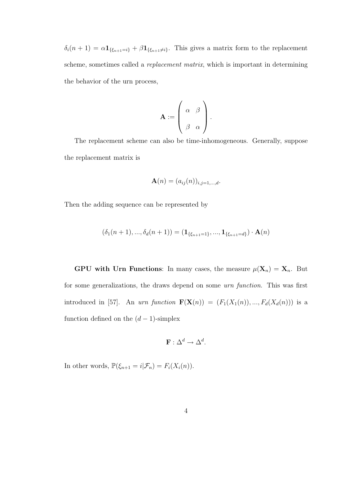$\delta_i(n+1) = \alpha \mathbf{1}_{\{\xi_{n+1}=i\}} + \beta \mathbf{1}_{\{\xi_{n+1}\neq i\}}$ . This gives a matrix form to the replacement scheme, sometimes called a replacement matrix, which is important in determining the behavior of the urn process,

$$
\mathbf{A} := \left( \begin{array}{cc} \alpha & \beta \\ \beta & \alpha \end{array} \right).
$$

The replacement scheme can also be time-inhomogeneous. Generally, suppose the replacement matrix is

$$
\mathbf{A}(n) = (a_{ij}(n))_{i,j=1,\ldots,d}.
$$

Then the adding sequence can be represented by

$$
(\delta_1(n+1), ..., \delta_d(n+1)) = (\mathbf{1}_{\{\xi_{n+1}=1\}}, ..., \mathbf{1}_{\{\xi_{n+1}=d\}}) \cdot \mathbf{A}(n)
$$

GPU with Urn Functions: In many cases, the measure  $\mu(\mathbf{X}_n) = \mathbf{X}_n$ . But for some generalizations, the draws depend on some urn function. This was first introduced in [57]. An urn function  $\mathbf{F}(\mathbf{X}(n)) = (F_1(X_1(n)), ..., F_d(X_d(n)))$  is a function defined on the  $(d-1)$ -simplex

$$
\mathbf{F} : \Delta^d \to \Delta^d.
$$

In other words,  $\mathbb{P}(\xi_{n+1} = i | \mathcal{F}_n) = F_i(X_i(n)).$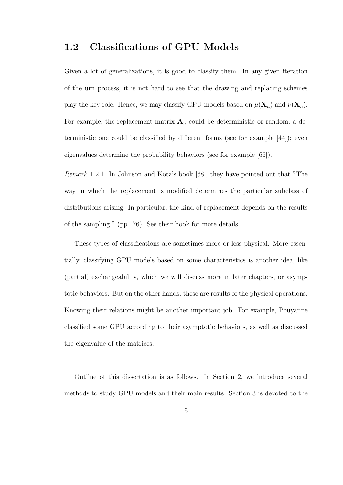### 1.2 Classifications of GPU Models

Given a lot of generalizations, it is good to classify them. In any given iteration of the urn process, it is not hard to see that the drawing and replacing schemes play the key role. Hence, we may classify GPU models based on  $\mu(\mathbf{X}_n)$  and  $\nu(\mathbf{X}_n)$ . For example, the replacement matrix  $A_n$  could be deterministic or random; a deterministic one could be classified by different forms (see for example [44]); even eigenvalues determine the probability behaviors (see for example [66]).

Remark 1.2.1. In Johnson and Kotz's book [68], they have pointed out that "The way in which the replacement is modified determines the particular subclass of distributions arising. In particular, the kind of replacement depends on the results of the sampling." (pp.176). See their book for more details.

These types of classifications are sometimes more or less physical. More essentially, classifying GPU models based on some characteristics is another idea, like (partial) exchangeability, which we will discuss more in later chapters, or asymptotic behaviors. But on the other hands, these are results of the physical operations. Knowing their relations might be another important job. For example, Pouyanne classified some GPU according to their asymptotic behaviors, as well as discussed the eigenvalue of the matrices.

Outline of this dissertation is as follows. In Section 2, we introduce several methods to study GPU models and their main results. Section 3 is devoted to the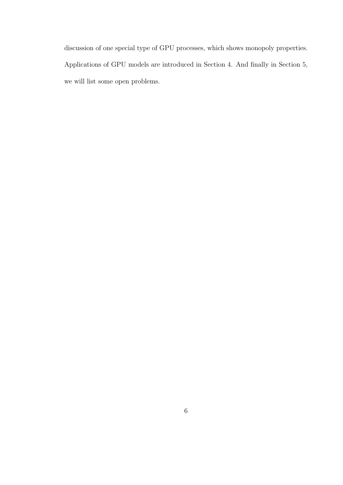discussion of one special type of GPU processes, which shows monopoly properties. Applications of GPU models are introduced in Section 4. And finally in Section 5, we will list some open problems.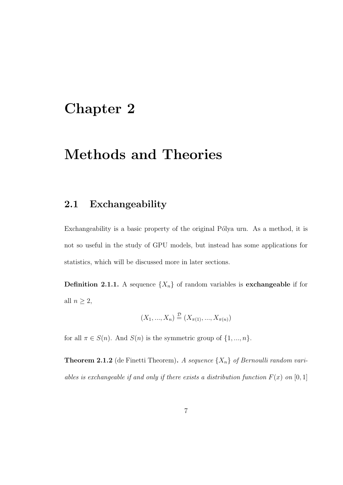## Chapter 2

## Methods and Theories

### 2.1 Exchangeability

Exchangeability is a basic property of the original Pólya urn. As a method, it is not so useful in the study of GPU models, but instead has some applications for statistics, which will be discussed more in later sections.

**Definition 2.1.1.** A sequence  $\{X_n\}$  of random variables is **exchangeable** if for all  $n \geq 2$ ,

$$
(X_1, ..., X_n) \stackrel{\mathcal{D}}{=} (X_{\pi(1)}, ..., X_{\pi(n)})
$$

for all  $\pi \in S(n)$ . And  $S(n)$  is the symmetric group of  $\{1, ..., n\}$ .

**Theorem 2.1.2** (de Finetti Theorem). A sequence  $\{X_n\}$  of Bernoulli random variables is exchangeable if and only if there exists a distribution function  $F(x)$  on [0, 1]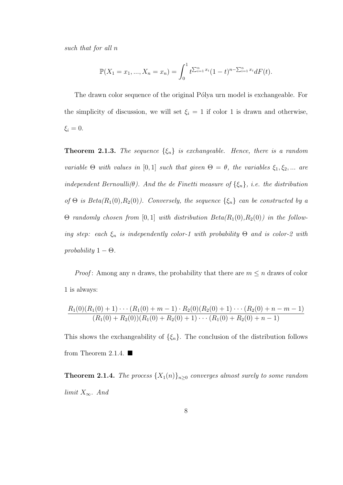such that for all n

$$
\mathbb{P}(X_1 = x_1, ..., X_n = x_n) = \int_0^1 t^{\sum_{i=1}^n x_i} (1-t)^{n-\sum_{i=1}^n x_i} dF(t).
$$

The drawn color sequence of the original Pólya urn model is exchangeable. For the simplicity of discussion, we will set  $\xi_i = 1$  if color 1 is drawn and otherwise,  $\xi_i = 0.$ 

**Theorem 2.1.3.** The sequence  $\{\xi_n\}$  is exchangeable. Hence, there is a random variable  $\Theta$  with values in [0,1] such that given  $\Theta = \theta$ , the variables  $\xi_1, \xi_2, ...$  are independent Bernoulli( $\theta$ ). And the de Finetti measure of  $\{\xi_n\}$ , i.e. the distribution of  $\Theta$  is  $Beta(R_1(0), R_2(0))$ . Conversely, the sequence  $\{\xi_n\}$  can be constructed by a  $Θ$  randomly chosen from [0, 1] with distribution  $Beta(R_1(0), R_2(0))$  in the following step: each  $\xi_n$  is independently color-1 with probability  $\Theta$  and is color-2 with probability  $1 - \Theta$ .

*Proof:* Among any *n* draws, the probability that there are  $m \leq n$  draws of color 1 is always:

$$
\frac{R_1(0)(R_1(0)+1)\cdots(R_1(0)+m-1)\cdot R_2(0)(R_2(0)+1)\cdots(R_2(0)+n-m-1)}{(R_1(0)+R_2(0))(R_1(0)+R_2(0)+1)\cdots(R_1(0)+R_2(0)+n-1)}
$$

This shows the exchangeability of  $\{\xi_n\}$ . The conclusion of the distribution follows from Theorem 2.1.4.  $\blacksquare$ 

**Theorem 2.1.4.** The process  $\{X_1(n)\}_{n\geq 0}$  converges almost surely to some random limit  $X_{\infty}$ . And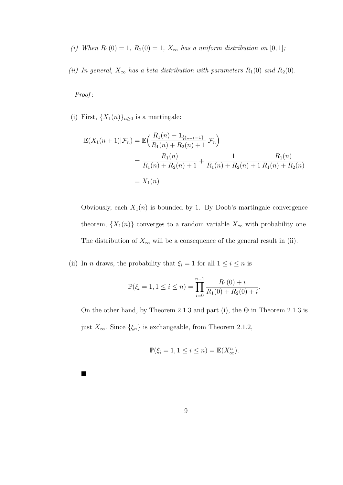- (i) When  $R_1(0) = 1$ ,  $R_2(0) = 1$ ,  $X_\infty$  has a uniform distribution on  $[0, 1]$ ;
- (ii) In general,  $X_{\infty}$  has a beta distribution with parameters  $R_1(0)$  and  $R_2(0)$ .

Proof:

 $\blacksquare$ 

(i) First,  $\{X_1(n)\}_{n\geq 0}$  is a martingale:

$$
\mathbb{E}(X_1(n+1)|\mathcal{F}_n) = \mathbb{E}\Big(\frac{R_1(n) + \mathbf{1}_{\{\xi_{n+1}=1\}}}{R_1(n) + R_2(n) + 1}|\mathcal{F}_n\Big)
$$
  
= 
$$
\frac{R_1(n)}{R_1(n) + R_2(n) + 1} + \frac{1}{R_1(n) + R_2(n) + 1} \frac{R_1(n)}{R_1(n) + R_2(n)}
$$
  
=  $X_1(n)$ .

Obviously, each  $X_1(n)$  is bounded by 1. By Doob's martingale convergence theorem,  $\{X_1(n)\}$  converges to a random variable  $X_{\infty}$  with probability one. The distribution of  $X_{\infty}$  will be a consequence of the general result in (ii).

(ii) In *n* draws, the probability that  $\xi_i = 1$  for all  $1 \leq i \leq n$  is

$$
\mathbb{P}(\xi_i = 1, 1 \le i \le n) = \prod_{i=0}^{n-1} \frac{R_1(0) + i}{R_1(0) + R_2(0) + i}.
$$

On the other hand, by Theorem 2.1.3 and part (i), the  $\Theta$  in Theorem 2.1.3 is just  $X_{\infty}$ . Since  $\{\xi_n\}$  is exchangeable, from Theorem 2.1.2,

$$
\mathbb{P}(\xi_i = 1, 1 \le i \le n) = \mathbb{E}(X_\infty^n).
$$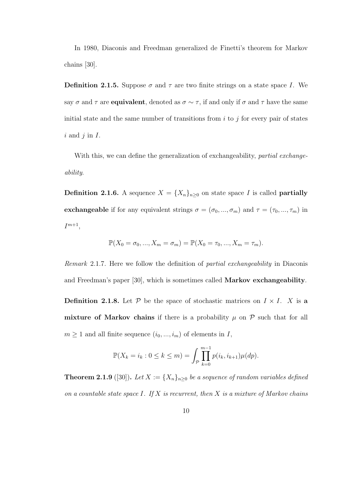In 1980, Diaconis and Freedman generalized de Finetti's theorem for Markov chains [30].

**Definition 2.1.5.** Suppose  $\sigma$  and  $\tau$  are two finite strings on a state space I. We say  $\sigma$  and  $\tau$  are **equivalent**, denoted as  $\sigma \sim \tau$ , if and only if  $\sigma$  and  $\tau$  have the same initial state and the same number of transitions from  $i$  to  $j$  for every pair of states  $i$  and  $j$  in  $I$ .

With this, we can define the generalization of exchangeability, *partial exchange*ability.

**Definition 2.1.6.** A sequence  $X = \{X_n\}_{n\geq 0}$  on state space I is called **partially** exchangeable if for any equivalent strings  $\sigma = (\sigma_0, ..., \sigma_m)$  and  $\tau = (\tau_0, ..., \tau_m)$  in  $I^{m+1},$ 

$$
\mathbb{P}(X_0 = \sigma_0, ..., X_m = \sigma_m) = \mathbb{P}(X_0 = \tau_0, ..., X_m = \tau_m).
$$

Remark 2.1.7. Here we follow the definition of partial exchangeability in Diaconis and Freedman's paper [30], which is sometimes called Markov exchangeability. **Definition 2.1.8.** Let  $P$  be the space of stochastic matrices on  $I \times I$ . X is a mixture of Markov chains if there is a probability  $\mu$  on  $\mathcal P$  such that for all  $m \geq 1$  and all finite sequence  $(i_0, ..., i_m)$  of elements in I,

$$
\mathbb{P}(X_k = i_k : 0 \le k \le m) = \int_{\mathcal{P}} \prod_{k=0}^{m-1} p(i_k, i_{k+1}) \mu(dp).
$$

**Theorem 2.1.9** ([30]). Let  $X := \{X_n\}_{n\geq 0}$  be a sequence of random variables defined on a countable state space I. If  $X$  is recurrent, then  $X$  is a mixture of Markov chains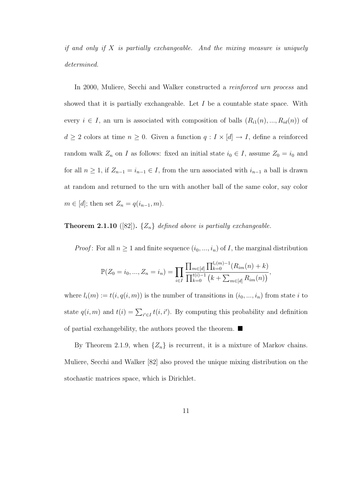if and only if  $X$  is partially exchangeable. And the mixing measure is uniquely determined.

In 2000, Muliere, Secchi and Walker constructed a *reinforced urn process* and showed that it is partially exchangeable. Let  $I$  be a countable state space. With every  $i \in I$ , an urn is associated with composition of balls  $(R_{i1}(n), ..., R_{id}(n))$  of  $d \geq 2$  colors at time  $n \geq 0$ . Given a function  $q: I \times [d] \to I$ , define a reinforced random walk  $Z_n$  on I as follows: fixed an initial state  $i_0 \in I$ , assume  $Z_0 = i_0$  and for all  $n \geq 1$ , if  $Z_{n-1} = i_{n-1} \in I$ , from the urn associated with  $i_{n-1}$  a ball is drawn at random and returned to the urn with another ball of the same color, say color  $m \in [d]$ ; then set  $Z_n = q(i_{n-1}, m)$ .

#### **Theorem 2.1.10** ([82]).  $\{Z_n\}$  defined above is partially exchangeable.

*Proof*: For all  $n \geq 1$  and finite sequence  $(i_0, ..., i_n)$  of *I*, the marginal distribution

$$
\mathbb{P}(Z_0 = i_0, ..., Z_n = i_n) = \prod_{i \in I} \frac{\prod_{m \in [d]} \prod_{k=0}^{l_i(m)-1} (R_{im}(n) + k)}{\prod_{k=0}^{t(i)-1} (k + \sum_{m \in [d]} R_{im}(n))},
$$

where  $l_i(m) := t(i, q(i, m))$  is the number of transitions in  $(i_0, ..., i_n)$  from state i to state  $q(i, m)$  and  $t(i) = \sum_{i' \in I} t(i, i')$ . By computing this probability and definition of partial exchangebility, the authors proved the theorem.  $\blacksquare$ 

By Theorem 2.1.9, when  $\{Z_n\}$  is recurrent, it is a mixture of Markov chains. Muliere, Secchi and Walker [82] also proved the unique mixing distribution on the stochastic matrices space, which is Dirichlet.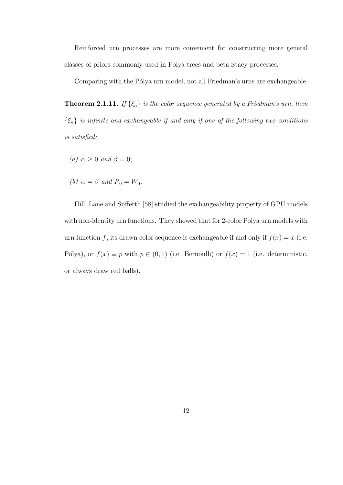Reinforced urn processes are more convenient for constructing more general classes of priors commonly used in Polya trees and beta-Stacy processes.

Comparing with the Pólya urn model, not all Friedman's urns are exchangeable.

**Theorem 2.1.11.** If  $\{\xi_n\}$  is the color sequence generated by a Friedman's urn, then  $\{\xi_n\}$  is infinite and exchangeable if and only if one of the following two conditions is satisfied:

- (a)  $\alpha \geq 0$  and  $\beta = 0$ ;
- (b)  $\alpha = \beta$  and  $R_0 = W_0$ .

Hill, Lane and Sufferth [58] studied the exchangeability property of GPU models with non-identity urn functions. They showed that for 2-color Polya urn models with urn function f, its drawn color sequence is exchangeable if and only if  $f(x) = x$  (i.e. Pólya), or  $f(x) \equiv p$  with  $p \in (0, 1)$  (i.e. Bernoulli) or  $f(x) = 1$  (i.e. deterministic, or always draw red balls).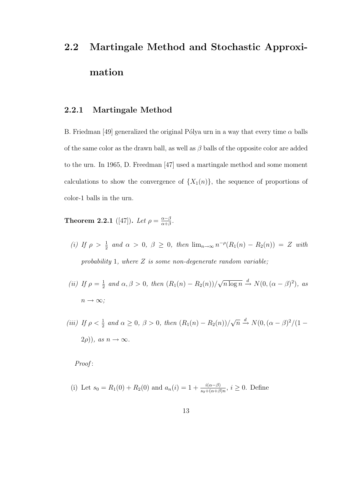# 2.2 Martingale Method and Stochastic Approximation

#### 2.2.1 Martingale Method

B. Friedman [49] generalized the original Pólya urn in a way that every time  $\alpha$  balls of the same color as the drawn ball, as well as  $\beta$  balls of the opposite color are added to the urn. In 1965, D. Freedman [47] used a martingale method and some moment calculations to show the convergence of  $\{X_1(n)\}\$ , the sequence of proportions of color-1 balls in the urn.

**Theorem 2.2.1** ([47]). Let  $\rho = \frac{\alpha - \beta}{\alpha + \beta}$  $\frac{\alpha-\beta}{\alpha+\beta}$ .

- (i) If  $\rho > \frac{1}{2}$  and  $\alpha > 0$ ,  $\beta \geq 0$ , then  $\lim_{n\to\infty} n^{-\rho}(R_1(n) R_2(n)) = Z$  with probability 1, where  $Z$  is some non-degenerate random variable;
- (*ii*) If  $\rho = \frac{1}{2}$  $\frac{1}{2}$  and  $\alpha, \beta > 0$ , then  $(R_1(n) - R_2(n))/$ √  $\overline{n \log n} \stackrel{d}{\rightarrow} N(0, (\alpha - \beta)^2), \; as$  $n \to \infty$ ;
- (iii) If  $\rho < \frac{1}{2}$  and  $\alpha \ge 0$ ,  $\beta > 0$ , then  $(R_1(n) R_2(n))/$ √  $\overline{n} \stackrel{d}{\rightarrow} N(0, (\alpha - \beta)^2/(1 (2\rho)$ ), as  $n \to \infty$ .

Proof:

(i) Let 
$$
s_0 = R_1(0) + R_2(0)
$$
 and  $a_n(i) = 1 + \frac{i(\alpha - \beta)}{s_0 + (\alpha + \beta)n}$ ,  $i \ge 0$ . Define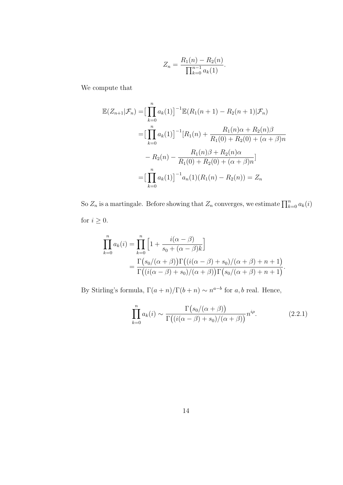$$
Z_n = \frac{R_1(n) - R_2(n)}{\prod_{k=0}^{n-1} a_k(1)}.
$$

We compute that

$$
\mathbb{E}(Z_{n+1}|\mathcal{F}_n) = \left[\prod_{k=0}^n a_k(1)\right]^{-1} \mathbb{E}(R_1(n+1) - R_2(n+1)|\mathcal{F}_n)
$$
  
\n
$$
= \left[\prod_{k=0}^n a_k(1)\right]^{-1} [R_1(n) + \frac{R_1(n)\alpha + R_2(n)\beta}{R_1(0) + R_2(0) + (\alpha + \beta)n}
$$
  
\n
$$
- R_2(n) - \frac{R_1(n)\beta + R_2(n)\alpha}{R_1(0) + R_2(0) + (\alpha + \beta)n}]
$$
  
\n
$$
= \left[\prod_{k=0}^n a_k(1)\right]^{-1} a_n(1)(R_1(n) - R_2(n)) = Z_n
$$

So  $Z_n$  is a martingale. Before showing that  $Z_n$  converges, we estimate  $\prod_{k=0}^n a_k(i)$ for  $i \geq 0$ .

$$
\prod_{k=0}^{n} a_k(i) = \prod_{k=0}^{n} \left[ 1 + \frac{i(\alpha - \beta)}{s_0 + (\alpha - \beta)k} \right]
$$
  
= 
$$
\frac{\Gamma(s_0/(\alpha + \beta))\Gamma((i(\alpha - \beta) + s_0)/(\alpha + \beta) + n + 1)}{\Gamma((i(\alpha - \beta) + s_0)/(\alpha + \beta))\Gamma(s_0/(\alpha + \beta) + n + 1)}.
$$

By Stirling's formula,  $\Gamma(a+n)/\Gamma(b+n) \sim n^{a-b}$  for a, b real. Hence,

$$
\prod_{k=0}^{n} a_k(i) \sim \frac{\Gamma(s_0/(\alpha+\beta))}{\Gamma((i(\alpha-\beta)+s_0)/(\alpha+\beta))} n^{i\rho}.
$$
 (2.2.1)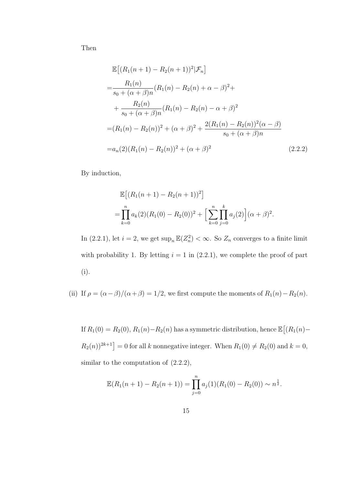Then

$$
\mathbb{E}[(R_1(n+1) - R_2(n+1))^2 | \mathcal{F}_n]
$$
\n
$$
= \frac{R_1(n)}{s_0 + (\alpha + \beta)n} (R_1(n) - R_2(n) + \alpha - \beta)^2 +
$$
\n
$$
+ \frac{R_2(n)}{s_0 + (\alpha + \beta)n} (R_1(n) - R_2(n) - \alpha + \beta)^2
$$
\n
$$
= (R_1(n) - R_2(n))^2 + (\alpha + \beta)^2 + \frac{2(R_1(n) - R_2(n))^2(\alpha - \beta)}{s_0 + (\alpha + \beta)n}
$$
\n
$$
= a_n(2)(R_1(n) - R_2(n))^2 + (\alpha + \beta)^2
$$
\n(2.2.2)

By induction,

$$
\mathbb{E}[(R_1(n+1) - R_2(n+1))^2]
$$
  
= 
$$
\prod_{k=0}^n a_k(2)(R_1(0) - R_2(0))^2 + \left[\sum_{k=0}^n \prod_{j=0}^k a_j(2)\right](\alpha + \beta)^2.
$$

In (2.2.1), let  $i = 2$ , we get  $\sup_n \mathbb{E}(Z_n^2) < \infty$ . So  $Z_n$  converges to a finite limit with probability 1. By letting  $i = 1$  in  $(2.2.1)$ , we complete the proof of part (i).

(ii) If  $\rho = (\alpha - \beta)/(\alpha + \beta) = 1/2$ , we first compute the moments of  $R_1(n) - R_2(n)$ .

If  $R_1(0) = R_2(0), R_1(n) - R_2(n)$  has a symmetric distribution, hence  $\mathbb{E}[(R_1(n) - R_2(n))$  $(R_2(n))^{2k+1}$  = 0 for all k nonnegative integer. When  $R_1(0) \neq R_2(0)$  and  $k = 0$ , similar to the computation of  $(2.2.2)$ ,

$$
\mathbb{E}(R_1(n+1) - R_2(n+1)) = \prod_{j=0}^{n} a_j(1)(R_1(0) - R_2(0)) \sim n^{\frac{1}{2}}.
$$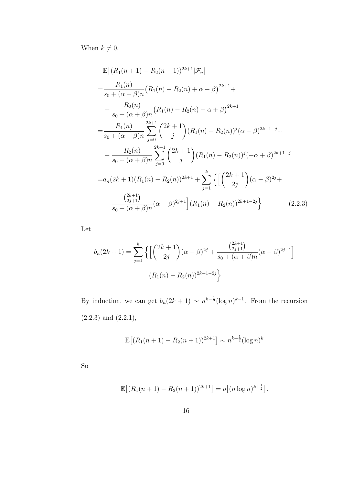When  $k \neq 0$ ,

$$
\mathbb{E}\left[\left(R_{1}(n+1)-R_{2}(n+1)\right)^{2k+1}|\mathcal{F}_{n}\right]
$$
\n
$$
=\frac{R_{1}(n)}{s_{0}+(\alpha+\beta)n}\left(R_{1}(n)-R_{2}(n)+\alpha-\beta\right)^{2k+1}+\n+ \frac{R_{2}(n)}{s_{0}+(\alpha+\beta)n}\left(R_{1}(n)-R_{2}(n)-\alpha+\beta\right)^{2k+1}\n= \frac{R_{1}(n)}{s_{0}+(\alpha+\beta)n}\sum_{j=0}^{2k+1}\binom{2k+1}{j}(R_{1}(n)-R_{2}(n))^{j}(\alpha-\beta)^{2k+1-j}+\n+ \frac{R_{2}(n)}{s_{0}+(\alpha+\beta)n}\sum_{j=0}^{2k+1}\binom{2k+1}{j}(R_{1}(n)-R_{2}(n))^{j}(-\alpha+\beta)^{2k+1-j}\n= a_{n}(2k+1)(R_{1}(n)-R_{2}(n))^{2k+1}+\sum_{j=1}^{k}\left\{\left[\binom{2k+1}{2j}(\alpha-\beta)^{2j}+\n+ \frac{\binom{2k+1}{2j+1}}{s_{0}+(\alpha+\beta)n}(\alpha-\beta)^{2j+1}\right](R_{1}(n)-R_{2}(n))^{2k+1-2j}\right\}
$$
\n(2.2.3)

Let

$$
b_n(2k+1) = \sum_{j=1}^k \left\{ \left[ \binom{2k+1}{2j} (\alpha - \beta)^{2j} + \frac{\binom{2k+1}{2j+1}}{s_0 + (\alpha + \beta)n} (\alpha - \beta)^{2j+1} \right] \right\}
$$

$$
(R_1(n) - R_2(n))^{2k+1-2j} \right\}
$$

By induction, we can get  $b_n(2k+1) \sim n^{k-\frac{1}{2}}(\log n)^{k-1}$ . From the recursion  $(2.2.3)$  and  $(2.2.1)$ ,

$$
\mathbb{E}[(R_1(n+1) - R_2(n+1))^{2k+1}] \sim n^{k + \frac{1}{2}} (\log n)^k
$$

So

$$
\mathbb{E}[(R_1(n+1) - R_2(n+1))^{2k+1}] = o[(n \log n)^{k+\frac{1}{2}}].
$$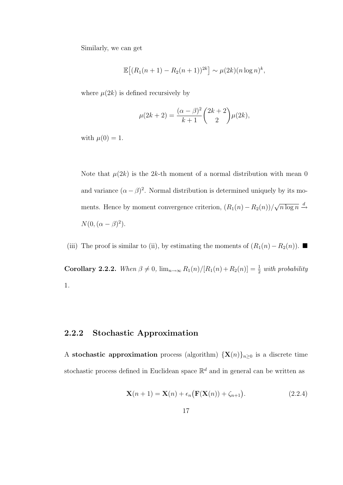Similarly, we can get

$$
\mathbb{E}[(R_1(n+1) - R_2(n+1))^{2k}] \sim \mu(2k)(n \log n)^k,
$$

where  $\mu(2k)$  is defined recursively by

$$
\mu(2k+2) = \frac{(\alpha - \beta)^2}{k+1} \binom{2k+2}{2} \mu(2k),
$$

with  $\mu(0) = 1$ .

Note that  $\mu(2k)$  is the 2k-th moment of a normal distribution with mean 0 and variance  $(\alpha - \beta)^2$ . Normal distribution is determined uniquely by its moments. Hence by moment convergence criterion,  $(R_1(n) - R_2(n))/$ √  $\sqrt{n \log n} \stackrel{d}{\rightarrow}$  $N(0, (\alpha - \beta)^2).$ 

(iii) The proof is similar to (ii), by estimating the moments of  $(R_1(n) - R_2(n))$ . ■

Corollary 2.2.2. When  $\beta \neq 0$ ,  $\lim_{n\to\infty} R_1(n)/[R_1(n)+R_2(n)] = \frac{1}{2}$  with probability 1.

#### 2.2.2 Stochastic Approximation

A stochastic approximation process (algorithm)  $\{X(n)\}_{n\geq 0}$  is a discrete time stochastic process defined in Euclidean space  $\mathbb{R}^d$  and in general can be written as

$$
\mathbf{X}(n+1) = \mathbf{X}(n) + \epsilon_n \big( \mathbf{F}(\mathbf{X}(n)) + \zeta_{n+1} \big). \tag{2.2.4}
$$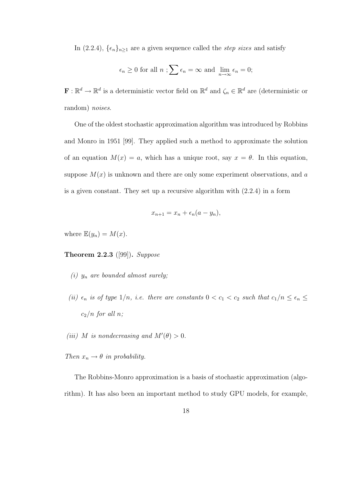In (2.2.4),  $\{\epsilon_n\}_{n\geq 1}$  are a given sequence called the *step sizes* and satisfy

$$
\epsilon_n \ge 0
$$
 for all  $n; \sum \epsilon_n = \infty$  and  $\lim_{n \to \infty} \epsilon_n = 0;$ 

 $\mathbf{F} : \mathbb{R}^d \to \mathbb{R}^d$  is a deterministic vector field on  $\mathbb{R}^d$  and  $\zeta_n \in \mathbb{R}^d$  are (deterministic or random) noises.

One of the oldest stochastic approximation algorithm was introduced by Robbins and Monro in 1951 [99]. They applied such a method to approximate the solution of an equation  $M(x) = a$ , which has a unique root, say  $x = \theta$ . In this equation, suppose  $M(x)$  is unknown and there are only some experiment observations, and a is a given constant. They set up a recursive algorithm with (2.2.4) in a form

$$
x_{n+1} = x_n + \epsilon_n (a - y_n),
$$

where  $\mathbb{E}(y_n) = M(x)$ .

Theorem 2.2.3 ([99]). Suppose

- (i)  $y_n$  are bounded almost surely;
- (ii)  $\epsilon_n$  is of type 1/n, i.e. there are constants  $0 < c_1 < c_2$  such that  $c_1/n \leq \epsilon_n \leq$  $c_2/n$  for all n;

(iii) M is nondecreasing and  $M'(\theta) > 0$ .

Then  $x_n \to \theta$  in probability.

The Robbins-Monro approximation is a basis of stochastic approximation (algorithm). It has also been an important method to study GPU models, for example,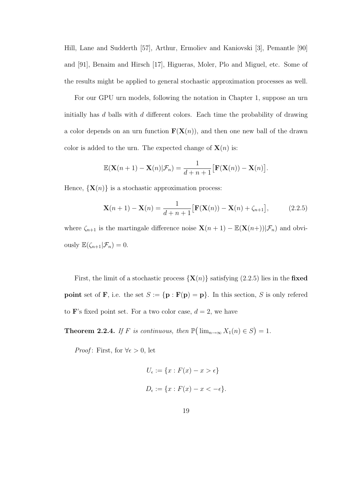Hill, Lane and Sudderth [57], Arthur, Ermoliev and Kaniovski [3], Pemantle [90] and [91], Benaim and Hirsch [17], Higueras, Moler, Plo and Miguel, etc. Some of the results might be applied to general stochastic approximation processes as well.

For our GPU urn models, following the notation in Chapter 1, suppose an urn initially has  $d$  balls with  $d$  different colors. Each time the probability of drawing a color depends on an urn function  $\mathbf{F}(\mathbf{X}(n))$ , and then one new ball of the drawn color is added to the urn. The expected change of  $\mathbf{X}(n)$  is:

$$
\mathbb{E}(\mathbf{X}(n+1) - \mathbf{X}(n)|\mathcal{F}_n) = \frac{1}{d+n+1} [\mathbf{F}(\mathbf{X}(n)) - \mathbf{X}(n)].
$$

Hence,  $\{X(n)\}\$ is a stochastic approximation process:

$$
\mathbf{X}(n+1) - \mathbf{X}(n) = \frac{1}{d+n+1} [\mathbf{F}(\mathbf{X}(n)) - \mathbf{X}(n) + \zeta_{n+1}],
$$
 (2.2.5)

where  $\zeta_{n+1}$  is the martingale difference noise  $\mathbf{X}(n+1) - \mathbb{E}(\mathbf{X}(n+1)|\mathcal{F}_n)$  and obviously  $\mathbb{E}(\zeta_{n+1}|\mathcal{F}_n)=0.$ 

First, the limit of a stochastic process  $\{X(n)\}\$  satisfying (2.2.5) lies in the fixed **point** set of **F**, i.e. the set  $S := {\mathbf{p} : \mathbf{F}(\mathbf{p}) = \mathbf{p}}$ . In this section, S is only refered to **F**'s fixed point set. For a two color case,  $d = 2$ , we have

**Theorem 2.2.4.** If F is continuous, then  $\mathbb{P}(\lim_{n\to\infty}X_1(n)\in S)=1$ .

*Proof*: First, for  $\forall \epsilon > 0$ , let

$$
U_{\epsilon} := \{x : F(x) - x > \epsilon\}
$$
  

$$
D_{\epsilon} := \{x : F(x) - x < -\epsilon\}.
$$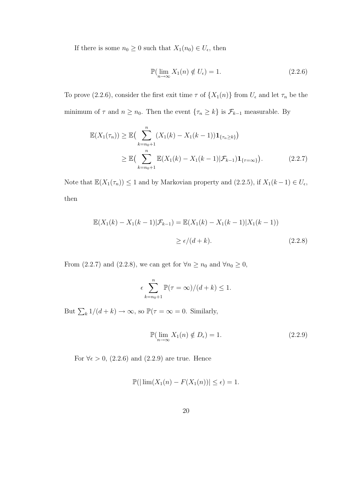If there is some  $n_0 \geq 0$  such that  $X_1(n_0) \in U_{\epsilon}$ , then

$$
\mathbb{P}(\lim_{n \to \infty} X_1(n) \notin U_{\epsilon}) = 1.
$$
\n(2.2.6)

To prove (2.2.6), consider the first exit time  $\tau$  of  $\{X_1(n)\}$  from  $U_{\epsilon}$  and let  $\tau_n$  be the minimum of  $\tau$  and  $n \geq n_0$ . Then the event  $\{\tau_n \geq k\}$  is  $\mathcal{F}_{k-1}$  measurable. By

$$
\mathbb{E}(X_1(\tau_n)) \ge \mathbb{E}\left(\sum_{k=n_0+1}^n (X_1(k) - X_1(k-1))\mathbf{1}_{\{\tau_n \ge k\}}\right)
$$
  
 
$$
\ge \mathbb{E}\left(\sum_{k=n_0+1}^n \mathbb{E}(X_1(k) - X_1(k-1)|\mathcal{F}_{k-1})\mathbf{1}_{\{\tau=\infty\}}\right).
$$
 (2.2.7)

Note that  $\mathbb{E}(X_1(\tau_n)) \leq 1$  and by Markovian property and  $(2.2.5)$ , if  $X_1(k-1) \in U_{\epsilon}$ , then

$$
\mathbb{E}(X_1(k) - X_1(k-1)|\mathcal{F}_{k-1}) = \mathbb{E}(X_1(k) - X_1(k-1)|X_1(k-1))
$$
  

$$
\ge \epsilon/(d+k).
$$
 (2.2.8)

From (2.2.7) and (2.2.8), we can get for  $\forall n \ge n_0$  and  $\forall n_0 \ge 0$ ,

$$
\epsilon \sum_{k=n_0+1}^{n} \mathbb{P}(\tau = \infty) / (d+k) \le 1.
$$

But  $\sum_k 1/(d+k) \to \infty$ , so  $\mathbb{P}(\tau = \infty = 0$ . Similarly,

$$
\mathbb{P}(\lim_{n \to \infty} X_1(n) \notin D_{\epsilon}) = 1.
$$
\n(2.2.9)

For  $\forall \epsilon > 0$ , (2.2.6) and (2.2.9) are true. Hence

$$
\mathbb{P}(|\lim(X_1(n) - F(X_1(n))| \le \epsilon) = 1.
$$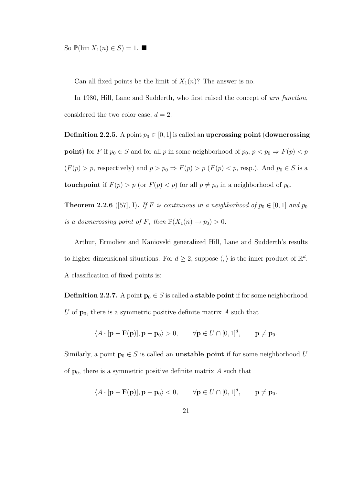So  $\mathbb{P}(\lim X_1(n) \in S) = 1$ .

Can all fixed points be the limit of  $X_1(n)$ ? The answer is no.

In 1980, Hill, Lane and Sudderth, who first raised the concept of urn function, considered the two color case,  $d = 2$ .

**Definition 2.2.5.** A point  $p_0 \in [0, 1]$  is called an upcrossing point (downcrossing **point**) for F if  $p_0 \in S$  and for all p in some neighborhood of  $p_0$ ,  $p < p_0 \Rightarrow F(p) < p$  $(F(p) > p$ , respectively) and  $p > p_0 \Rightarrow F(p) > p$   $(F(p) < p$ , resp.). And  $p_0 \in S$  is a touch point if  $F(p) > p$  (or  $F(p) < p$ ) for all  $p \neq p_0$  in a neighborhood of  $p_0$ .

**Theorem 2.2.6** ([57], I). If F is continuous in a neighborhood of  $p_0 \in [0, 1]$  and  $p_0$ is a downcrossing point of F, then  $\mathbb{P}(X_1(n) \to p_0) > 0$ .

Arthur, Ermoliev and Kaniovski generalized Hill, Lane and Sudderth's results to higher dimensional situations. For  $d \geq 2$ , suppose  $\langle, \rangle$  is the inner product of  $\mathbb{R}^d$ . A classification of fixed points is:

**Definition 2.2.7.** A point  $\mathbf{p}_0 \in S$  is called a **stable point** if for some neighborhood U of  $\mathbf{p}_0$ , there is a symmetric positive definite matrix A such that

$$
\langle A \cdot [\mathbf{p} - \mathbf{F}(\mathbf{p})], \mathbf{p} - \mathbf{p}_0 \rangle > 0, \qquad \forall \mathbf{p} \in U \cap [0, 1]^d, \qquad \mathbf{p} \neq \mathbf{p}_0.
$$

Similarly, a point  $\mathbf{p}_0 \in S$  is called an **unstable point** if for some neighborhood U of  $\mathbf{p}_0$ , there is a symmetric positive definite matrix A such that

$$
\langle A \cdot [\mathbf{p} - \mathbf{F}(\mathbf{p})], \mathbf{p} - \mathbf{p}_0 \rangle < 0, \qquad \forall \mathbf{p} \in U \cap [0, 1]^d, \qquad \mathbf{p} \neq \mathbf{p}_0.
$$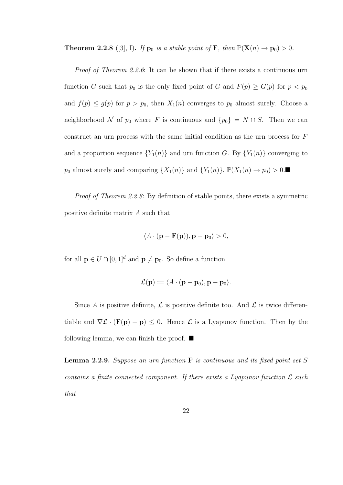**Theorem 2.2.8** ([3], I). If  $\mathbf{p}_0$  is a stable point of  $\mathbf{F}$ , then  $\mathbb{P}(\mathbf{X}(n) \to \mathbf{p}_0) > 0$ .

Proof of Theorem 2.2.6: It can be shown that if there exists a continuous urn function G such that  $p_0$  is the only fixed point of G and  $F(p) \ge G(p)$  for  $p < p_0$ and  $f(p) \le g(p)$  for  $p > p_0$ , then  $X_1(n)$  converges to  $p_0$  almost surely. Choose a neighborhood N of  $p_0$  where F is continuous and  $\{p_0\} = N \cap S$ . Then we can construct an urn process with the same initial condition as the urn process for F and a proportion sequence  ${Y_1(n)}$  and urn function G. By  ${Y_1(n)}$  converging to  $p_0$  almost surely and comparing  $\{X_1(n)\}\$  and  $\{Y_1(n)\}, \mathbb{P}(X_1(n) \to p_0) > 0$ .

Proof of Theorem 2.2.8: By definition of stable points, there exists a symmetric positive definite matrix A such that

$$
\langle A \cdot (\mathbf{p} - \mathbf{F}(\mathbf{p})), \mathbf{p} - \mathbf{p}_0 \rangle > 0,
$$

for all  $\mathbf{p} \in U \cap [0, 1]^d$  and  $\mathbf{p} \neq \mathbf{p}_0$ . So define a function

$$
\mathcal{L}(\mathbf{p}) := \langle A \cdot (\mathbf{p} - \mathbf{p}_0), \mathbf{p} - \mathbf{p}_0 \rangle.
$$

Since A is positive definite,  $\mathcal L$  is positive definite too. And  $\mathcal L$  is twice differentiable and  $\nabla \mathcal{L} \cdot (\mathbf{F}(\mathbf{p}) - \mathbf{p}) \leq 0$ . Hence  $\mathcal{L}$  is a Lyapunov function. Then by the following lemma, we can finish the proof.  $\blacksquare$ 

**Lemma 2.2.9.** Suppose an urn function  $\bf{F}$  is continuous and its fixed point set S contains a finite connected component. If there exists a Lyapunov function  $\mathcal L$  such that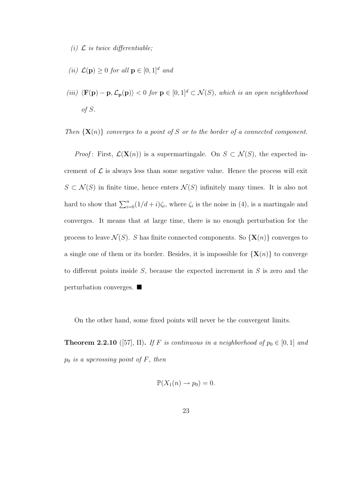(i)  $\mathcal L$  is twice differentiable;

- (ii)  $\mathcal{L}(\mathbf{p}) > 0$  for all  $\mathbf{p} \in [0, 1]^d$  and
- (iii)  $\langle \mathbf{F}(\mathbf{p}) \mathbf{p}, \mathcal{L}_{\mathbf{p}}(\mathbf{p}) \rangle < 0$  for  $\mathbf{p} \in [0, 1]^d \subset \mathcal{N}(S)$ , which is an open neighborhood of S.

Then  $\{X(n)\}\$  converges to a point of S or to the border of a connected component.

*Proof*: First,  $\mathcal{L}(\mathbf{X}(n))$  is a supermartingale. On  $S \subset \mathcal{N}(S)$ , the expected increment of  $\mathcal L$  is always less than some negative value. Hence the process will exit  $S \subset \mathcal{N}(S)$  in finite time, hence enters  $\mathcal{N}(S)$  infinitely many times. It is also not hard to show that  $\sum_{i=0}^{n} (1/d + i) \zeta_i$ , where  $\zeta_i$  is the noise in (4), is a martingale and converges. It means that at large time, there is no enough perturbation for the process to leave  $\mathcal{N}(S)$ . S has finite connected components. So  $\{X(n)\}\$ converges to a single one of them or its border. Besides, it is impossible for  $\{X(n)\}\)$  to converge to different points inside  $S$ , because the expected increment in  $S$  is zero and the perturbation converges.

On the other hand, some fixed points will never be the convergent limits.

**Theorem 2.2.10** ([57], II). If F is continuous in a neighborhood of  $p_0 \in [0, 1]$  and  $p_0$  is a upcrossing point of  $F$ , then

$$
\mathbb{P}(X_1(n) \to p_0) = 0.
$$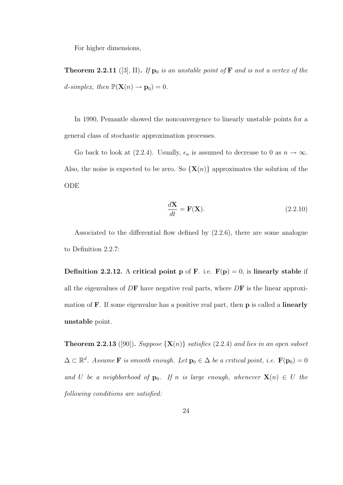For higher dimensions,

**Theorem 2.2.11** ([3], II). If  $\mathbf{p}_0$  is an unstable point of  $\mathbf{F}$  and is not a vertex of the d-simplex, then  $\mathbb{P}(\mathbf{X}(n) \to \mathbf{p}_0) = 0$ .

In 1990, Pemantle showed the nonconvergence to linearly unstable points for a general class of stochastic approximation processes.

Go back to look at (2.2.4). Usually,  $\epsilon_n$  is assumed to decrease to 0 as  $n \to \infty$ . Also, the noise is expected to be zero. So  $\{X(n)\}\$ approximates the solution of the ODE

$$
\frac{d\mathbf{X}}{dt} = \mathbf{F}(\mathbf{X}).\tag{2.2.10}
$$

Associated to the differential flow defined by (2.2.6), there are some analogue to Definition 2.2.7:

**Definition 2.2.12.** A critical point p of F. i.e.  $F(p) = 0$ , is linearly stable if all the eigenvalues of  $D\mathbf{F}$  have negative real parts, where  $D\mathbf{F}$  is the linear approximation of **F**. If some eigenvalue has a positive real part, then **p** is called a **linearly** unstable point.

**Theorem 2.2.13** ([90]). Suppose  $\{X(n)\}\$  satisfies (2.2.4) and lies in an open subset  $\Delta \subset \mathbb{R}^d$ . Assume **F** is smooth enough. Let  $\mathbf{p}_0 \in \Delta$  be a critical point, i.e.  $\mathbf{F}(\mathbf{p}_0) = 0$ and U be a neighborhood of  $\mathbf{p}_0$ . If n is large enough, whenever  $\mathbf{X}(n) \in U$  the following conditions are satisfied: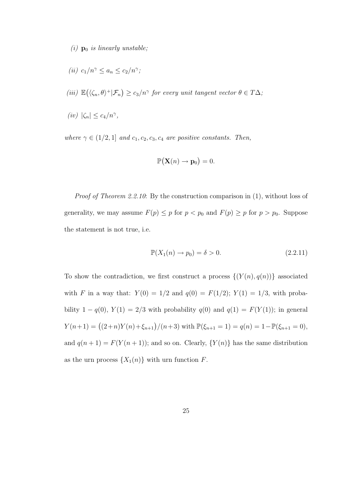(i)  $\mathbf{p}_0$  is linearly unstable;

$$
(ii) \ c_1/n^{\gamma} \le a_n \le c_2/n^{\gamma};
$$

- (iii)  $\mathbb{E}(\langle \zeta_n, \theta \rangle^+ | \mathcal{F}_n) \geq c_3/n^{\gamma}$  for every unit tangent vector  $\theta \in T\Delta$ ;
- (iv)  $|\zeta_n| \leq c_4/n^{\gamma}$ ,

where  $\gamma \in (1/2, 1]$  and  $c_1, c_2, c_3, c_4$  are positive constants. Then,

$$
\mathbb{P}(\mathbf{X}(n) \to \mathbf{p}_0) = 0.
$$

Proof of Theorem 2.2.10: By the construction comparison in  $(1)$ , without loss of generality, we may assume  $F(p) \leq p$  for  $p < p_0$  and  $F(p) \geq p$  for  $p > p_0$ . Suppose the statement is not true, i.e.

$$
\mathbb{P}(X_1(n) \to p_0) = \delta > 0. \tag{2.2.11}
$$

To show the contradiction, we first construct a process  $\{(Y(n), q(n))\}$  associated with F in a way that:  $Y(0) = 1/2$  and  $q(0) = F(1/2)$ ;  $Y(1) = 1/3$ , with probability 1 –  $q(0)$ ,  $Y(1) = 2/3$  with probability  $q(0)$  and  $q(1) = F(Y(1))$ ; in general  $Y(n+1) = ((2+n)Y(n)+\xi_{n+1})/(n+3)$  with  $\mathbb{P}(\xi_{n+1} = 1) = q(n) = 1 - \mathbb{P}(\xi_{n+1} = 0)$ , and  $q(n + 1) = F(Y(n + 1))$ ; and so on. Clearly,  $\{Y(n)\}\$  has the same distribution as the urn process  $\{X_1(n)\}\$  with urn function F.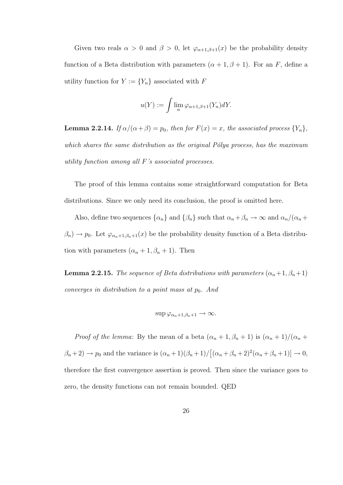Given two reals  $\alpha > 0$  and  $\beta > 0$ , let  $\varphi_{\alpha+1,\beta+1}(x)$  be the probability density function of a Beta distribution with parameters  $(\alpha + 1, \beta + 1)$ . For an F, define a utility function for  $Y := \{Y_n\}$  associated with  $F$ 

$$
u(Y) := \int \lim_{n} \varphi_{\alpha+1,\beta+1}(Y_n) dY.
$$

**Lemma 2.2.14.** If  $\alpha/(\alpha+\beta) = p_0$ , then for  $F(x) = x$ , the associated process  $\{Y_n\}$ , which shares the same distribution as the original  $P\'{o}lya$  process, has the maximum utility function among all F's associated processes.

The proof of this lemma contains some straightforward computation for Beta distributions. Since we only need its conclusion, the proof is omitted here.

Also, define two sequences  $\{\alpha_n\}$  and  $\{\beta_n\}$  such that  $\alpha_n + \beta_n \to \infty$  and  $\alpha_n/(\alpha_n + \beta_n)$  $\beta_n$ )  $\rightarrow$   $p_0$ . Let  $\varphi_{\alpha_n+1,\beta_n+1}(x)$  be the probability density function of a Beta distribution with parameters  $(\alpha_n + 1, \beta_n + 1)$ . Then

**Lemma 2.2.15.** The sequence of Beta distributions with parameters  $(\alpha_n+1, \beta_n+1)$ converges in distribution to a point mass at  $p_0$ . And

$$
\sup \varphi_{\alpha_n+1,\beta_n+1} \to \infty.
$$

*Proof of the lemma*: By the mean of a beta  $(\alpha_n + 1, \beta_n + 1)$  is  $(\alpha_n + 1)/(\alpha_n + 1)$  $(\beta_n+2) \to p_0$  and the variance is  $(\alpha_n+1)(\beta_n+1)/[(\alpha_n+\beta_n+2)^2(\alpha_n+\beta_n+1)] \to 0$ , therefore the first convergence assertion is proved. Then since the variance goes to zero, the density functions can not remain bounded. QED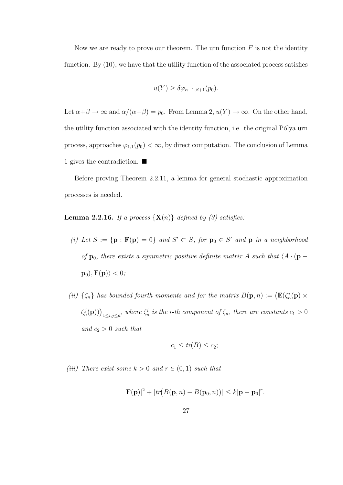Now we are ready to prove our theorem. The urn function  $F$  is not the identity function. By  $(10)$ , we have that the utility function of the associated process satisfies

$$
u(Y) \ge \delta \varphi_{\alpha+1,\beta+1}(p_0).
$$

Let  $\alpha + \beta \to \infty$  and  $\alpha/(\alpha + \beta) = p_0$ . From Lemma 2,  $u(Y) \to \infty$ . On the other hand, the utility function associated with the identity function, i.e. the original Pólya urn process, approaches  $\varphi_{1,1}(p_0) < \infty$ , by direct computation. The conclusion of Lemma 1 gives the contradiction.

Before proving Theorem 2.2.11, a lemma for general stochastic approximation processes is needed.

**Lemma 2.2.16.** If a process  $\{X(n)\}\$  defined by (3) satisfies:

- (i) Let  $S := \{ \mathbf{p} : \mathbf{F}(\mathbf{p}) = 0 \}$  and  $S' \subset S$ , for  $\mathbf{p}_0 \in S'$  and  $\mathbf{p}$  in a neighborhood of  $\mathbf{p}_0$ , there exists a symmetric positive definite matrix A such that  $\langle A \cdot (\mathbf{p} - A) \rangle$  $\mathbf{p}_0$ ),  $\mathbf{F}(\mathbf{p})\rangle < 0$ ;
- (ii)  $\{\zeta_n\}$  has bounded fourth moments and for the matrix  $B(\mathbf{p}, n) := (\mathbb{E}(\zeta_n^i(\mathbf{p}) \times$  $\zeta_n^j(\mathbf{p}))\big|_{1\leq i,j\leq d}$ , where  $\zeta_n^i$  is the *i*-th component of  $\zeta_n$ , there are constants  $c_1>0$ and  $c_2 > 0$  such that

$$
c_1 \le tr(B) \le c_2;
$$

(iii) There exist some  $k > 0$  and  $r \in (0, 1)$  such that

$$
|\mathbf{F}(\mathbf{p})|^2 + |tr(B(\mathbf{p}, n) - B(\mathbf{p}_0, n))| \le k|\mathbf{p} - \mathbf{p}_0|^r.
$$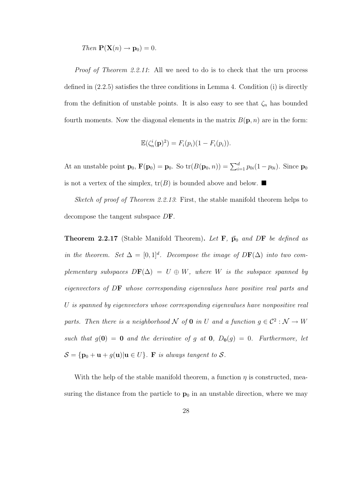Then 
$$
P(X(n) \rightarrow p_0) = 0
$$
.

Proof of Theorem 2.2.11: All we need to do is to check that the urn process defined in (2.2.5) satisfies the three conditions in Lemma 4. Condition (i) is directly from the definition of unstable points. It is also easy to see that  $\zeta_n$  has bounded fourth moments. Now the diagonal elements in the matrix  $B(\mathbf{p}, n)$  are in the form:

$$
\mathbb{E}(\zeta_n^i(\mathbf{p})^2) = F_i(p_i)(1 - F_i(p_i)).
$$

At an unstable point  $\mathbf{p}_0$ ,  $\mathbf{F}(\mathbf{p}_0) = \mathbf{p}_0$ . So  $\text{tr}(B(\mathbf{p}_0, n)) = \sum_{i=1}^d p_{0i}(1 - p_{0i})$ . Since  $\mathbf{p}_0$ is not a vertex of the simplex,  $tr(B)$  is bounded above and below.

Sketch of proof of Theorem 2.2.13: First, the stable manifold theorem helps to decompose the tangent subspace DF.

**Theorem 2.2.17** (Stable Manifold Theorem). Let  $\mathbf{F}$ ,  $\vec{p}_0$  and DF be defined as in the theorem. Set  $\Delta = [0,1]^d$ . Decompose the image of  $D\mathbf{F}(\Delta)$  into two complementary subspaces  $D\mathbf{F}(\Delta) = U \oplus W$ , where W is the subspace spanned by eigenvectors of DF whose corresponding eigenvalues have positive real parts and U is spanned by eigenvectors whose corresponding eigenvalues have nonpositive real parts. Then there is a neighborhood N of 0 in U and a function  $g \in \mathcal{C}^2 : \mathcal{N} \to W$ such that  $g(\mathbf{0}) = \mathbf{0}$  and the derivative of g at  $\mathbf{0}$ ,  $D_{\mathbf{0}}(g) = 0$ . Furthermore, let  $S = {\mathbf{p}_0 + \mathbf{u} + g(\mathbf{u}) | \mathbf{u} \in U}$ . F is always tangent to S.

With the help of the stable manifold theorem, a function  $\eta$  is constructed, measuring the distance from the particle to  $p_0$  in an unstable direction, where we may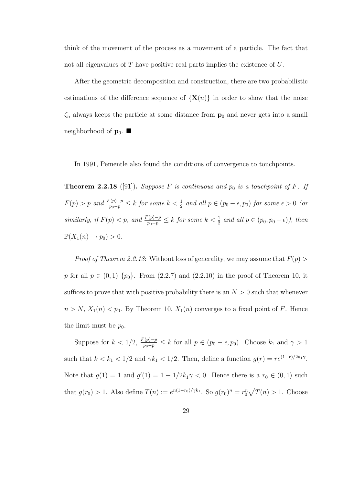think of the movement of the process as a movement of a particle. The fact that not all eigenvalues of T have positive real parts implies the existence of U.

After the geometric decomposition and construction, there are two probabilistic estimations of the difference sequence of  $\{X(n)\}\$ in order to show that the noise  $\zeta_n$  always keeps the particle at some distance from  $\mathbf{p}_0$  and never gets into a small neighborhood of  $\mathbf{p}_0$ .

In 1991, Pementle also found the conditions of convergence to touchpoints.

**Theorem 2.2.18** ([91]). Suppose F is continuous and  $p_0$  is a touchpoint of F. If  $F(p) > p$  and  $\frac{F(p)-p}{p_0-p} \leq k$  for some  $k < \frac{1}{2}$  and all  $p \in (p_0 - \epsilon, p_0)$  for some  $\epsilon > 0$  (or similarly, if  $F(p) < p$ , and  $\frac{F(p)-p}{p_0-p} \le k$  for some  $k < \frac{1}{2}$  and all  $p \in (p_0, p_0 + \epsilon)$ ), then  $\mathbb{P}(X_1(n) \to p_0) > 0.$ 

*Proof of Theorem 2.2.18*: Without loss of generality, we may assume that  $F(p)$ p for all  $p \in (0,1)$   $\{p_0\}$ . From  $(2.2.7)$  and  $(2.2.10)$  in the proof of Theorem 10, it suffices to prove that with positive probability there is an  $N > 0$  such that whenever  $n > N$ ,  $X_1(n) < p_0$ . By Theorem 10,  $X_1(n)$  converges to a fixed point of F. Hence the limit must be  $p_0$ .

Suppose for  $k < 1/2$ ,  $\frac{F(p)-p}{p_0-p} \le k$  for all  $p \in (p_0 - \epsilon, p_0)$ . Choose  $k_1$  and  $\gamma > 1$ such that  $k < k_1 < 1/2$  and  $\gamma k_1 < 1/2$ . Then, define a function  $g(r) = r e^{(1-r)/2k_1\gamma}$ . Note that  $g(1) = 1$  and  $g'(1) = 1 - 1/2k_1\gamma < 0$ . Hence there is a  $r_0 \in (0, 1)$  such that  $g(r_0) > 1$ . Also define  $T(n) := e^{n(1-r_0)/\gamma k_1}$ . So  $g(r_0)^n = r_0^n \sqrt{T(n)} > 1$ . Choose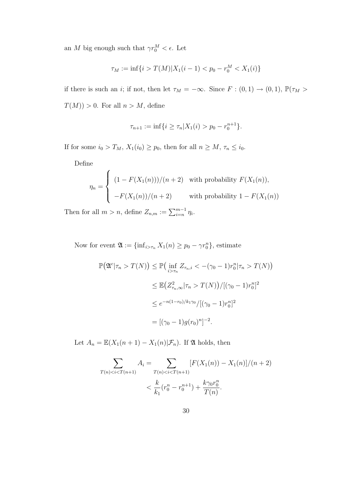an M big enough such that  $\gamma r_0^M < \epsilon$ . Let

$$
\tau_M := \inf\{i > T(M)|X_1(i-1) < p_0 - r_0^M < X_1(i)\}
$$

if there is such an *i*; if not, then let  $\tau_M = -\infty$ . Since  $F : (0,1) \to (0,1)$ ,  $\mathbb{P}(\tau_M >$  $T(M)) > 0$ . For all  $n > M$ , define

$$
\tau_{n+1} := \inf\{i \ge \tau_n | X_1(i) > p_0 - r_0^{n+1}\}.
$$

If for some  $i_0 > T_M$ ,  $X_1(i_0) \ge p_0$ , then for all  $n \ge M$ ,  $\tau_n \le i_0$ .

Define

$$
\eta_n = \begin{cases}\n(1 - F(X_1(n)))/(n+2) & \text{with probability } F(X_1(n)), \\
-F(X_1(n))/(n+2) & \text{with probability } 1 - F(X_1(n))\n\end{cases}
$$

Then for all  $m > n$ , define  $Z_{n,m} := \sum_{i=n}^{m-1} \eta_i$ .

Now for event  $\mathfrak{A} := \{\inf_{i > \tau_n} X_1(n) \geq p_0 - \gamma r_0^n\}$ , estimate

$$
\mathbb{P}(\mathfrak{A}^c | \tau_n > T(N)) \le \mathbb{P}\left(\inf_{i > \tau_n} Z_{\tau_n, i} < -(\gamma_0 - 1)r_0^n | \tau_n > T(N)\right)
$$
  

$$
\le \mathbb{E}\left(Z_{\tau_n, \infty}^2 | \tau_n > T(N)\right) / [(\gamma_0 - 1)r_0^n]^2
$$
  

$$
\le e^{-n(1-r_0)/k_1\gamma_0} / [(\gamma_0 - 1)r_0^n]^2
$$
  

$$
= [(\gamma_0 - 1)g(r_0)^n]^{-2}.
$$

Let  $A_n = \mathbb{E}(X_1(n+1) - X_1(n)|\mathcal{F}_n)$ . If  $\mathfrak A$  holds, then

$$
\sum_{T(n) < i < T(n+1)} A_i = \sum_{T(n) < i < T(n+1)} [F(X_1(n)) - X_1(n)]/(n+2) \\
 < \frac{k}{k_1} (r_0^n - r_0^{n+1}) + \frac{k \gamma_0 r_0^n}{T(n)}.
$$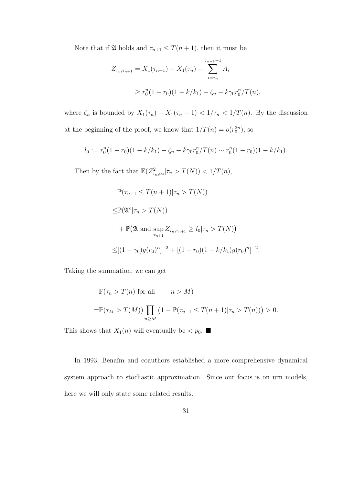Note that if  $\mathfrak A$  holds and  $\tau_{n+1} \leq T(n+1)$ , then it must be

$$
Z_{\tau_n, \tau_{n+1}} = X_1(\tau_{n+1}) - X_1(\tau_n) - \sum_{i=\tau_n}^{\tau_{n+1}-1} A_i
$$
  
\n
$$
\geq r_0^n (1 - r_0)(1 - k/k_1) - \zeta_n - k\gamma_0 r_0^n / T(n),
$$

where  $\zeta_n$  is bounded by  $X_1(\tau_n) - X_1(\tau_n - 1) < 1/\tau_n < 1/T(n)$ . By the discussion at the beginning of the proof, we know that  $1/T(n) = o(r_0^{2n})$ , so

$$
l_0 := r_0^n(1 - r_0)(1 - k/k_1) - \zeta_n - k\gamma_0 r_0^n/T(n) \sim r_0^n(1 - r_0)(1 - k/k_1).
$$

Then by the fact that  $\mathbb{E}(Z_{\tau_n,\infty}^2|\tau_n > T(N)) < 1/T(n)$ ,

$$
\mathbb{P}(\tau_{n+1} \leq T(n+1)|\tau_n > T(N))
$$
  
\n
$$
\leq \mathbb{P}(\mathfrak{A}^c|\tau_n > T(N))
$$
  
\n
$$
+ \mathbb{P}(\mathfrak{A} \text{ and } \sup_{\tau_{n+1}} Z_{\tau_n, \tau_{n+1}} \geq l_0|\tau_n > T(N))
$$
  
\n
$$
\leq [(1 - \gamma_0)g(r_0)^n]^{-2} + [(1 - r_0)(1 - k/k_1)g(r_0)^n]^{-2}.
$$

Taking the summation, we can get

$$
\mathbb{P}(\tau_n > T(n) \text{ for all } n > M)
$$
  
= 
$$
\mathbb{P}(\tau_M > T(M)) \prod_{n \ge M} \left(1 - \mathbb{P}(\tau_{n+1} \le T(n+1)|\tau_n > T(n))\right) > 0.
$$

This shows that  $X_1(n)$  will eventually be  $\lt p_0$ .

In 1993, Benaïm and coauthors established a more comprehensive dynamical system approach to stochastic approximation. Since our focus is on urn models, here we will only state some related results.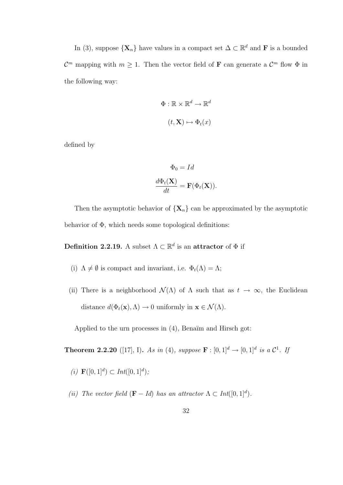In (3), suppose  $\{X_n\}$  have values in a compact set  $\Delta \subset \mathbb{R}^d$  and **F** is a bounded  $\mathcal{C}^m$  mapping with  $m \geq 1$ . Then the vector field of **F** can generate a  $\mathcal{C}^m$  flow  $\Phi$  in the following way:

$$
\Phi: \mathbb{R} \times \mathbb{R}^d \to \mathbb{R}^d
$$

$$
(t, \mathbf{X}) \mapsto \Phi_t(x)
$$

defined by

$$
\Phi_0 = Id
$$

$$
\frac{d\Phi_t(\mathbf{X})}{dt} = \mathbf{F}(\Phi_t(\mathbf{X})).
$$

Then the asymptotic behavior of  $\{X_n\}$  can be approximated by the asymptotic behavior of  $\Phi$ , which needs some topological definitions:

Definition 2.2.19. A subset  $\Lambda \subset \mathbb{R}^d$  is an attractor of  $\Phi$  if

- (i)  $\Lambda \neq \emptyset$  is compact and invariant, i.e.  $\Phi_t(\Lambda) = \Lambda;$
- (ii) There is a neighborhood  $\mathcal{N}(\Lambda)$  of  $\Lambda$  such that as  $t \to \infty$ , the Euclidean distance  $d(\Phi_t(\mathbf{x}), \Lambda) \to 0$  uniformly in  $\mathbf{x} \in \mathcal{N}(\Lambda)$ .

Applied to the urn processes in  $(4)$ , Benaïm and Hirsch got:

**Theorem 2.2.20** ([17], I). As in (4), suppose  $\mathbf{F} : [0,1]^d \to [0,1]^d$  is a  $\mathcal{C}^1$ . If

(*i*)  $\mathbf{F}([0,1]^d) \subset Int([0,1]^d);$ 

(ii) The vector field  $(\mathbf{F} - Id)$  has an attractor  $\Lambda \subset Int([0,1]^d)$ .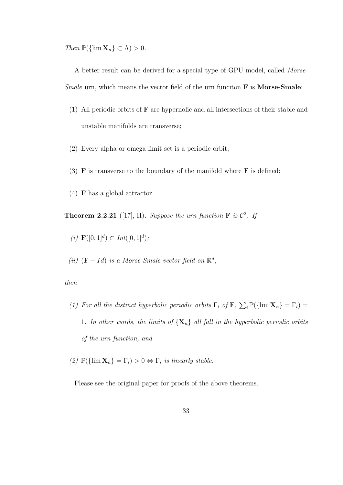Then  $\mathbb{P}(\{\lim \mathbf{X}_n\} \subset \Lambda) > 0.$ 

A better result can be derived for a special type of GPU model, called Morse-*Smale* urn, which means the vector field of the urn funciton  $\bf{F}$  is **Morse-Smale**:

- (1) All periodic orbits of F are hypernolic and all intersections of their stable and unstable manifolds are transverse;
- (2) Every alpha or omega limit set is a periodic orbit;
- (3) **F** is transverse to the boundary of the manifold where **F** is defined;
- (4) F has a global attractor.

**Theorem 2.2.21** ([17], II). Suppose the urn function  $\mathbf{F}$  is  $\mathcal{C}^2$ . If

- (i)  $\mathbf{F}([0,1]^d) \subset Int([0,1]^d);$
- (ii)  $(F Id)$  is a Morse-Smale vector field on  $\mathbb{R}^d$ ,

#### then

- (1) For all the distinct hyperbolic periodic orbits  $\Gamma_i$  of  $\mathbf{F}$ ,  $\sum_i \mathbb{P}(\{\lim \mathbf{X}_n\} = \Gamma_i)$ 1. In other words, the limits of  $\{X_n\}$  all fall in the hyperbolic periodic orbits of the urn function, and
- (2)  $\mathbb{P}(\{\lim \mathbf{X}_n\} = \Gamma_i) > 0 \Leftrightarrow \Gamma_i$  is linearly stable.

Please see the original paper for proofs of the above theorems.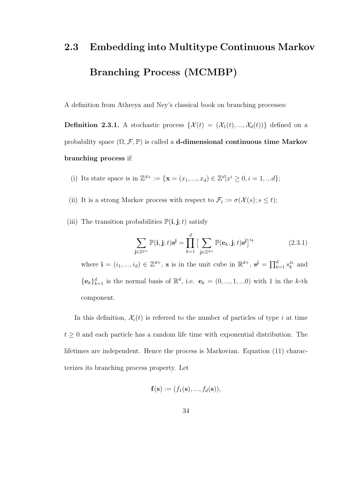# 2.3 Embedding into Multitype Continuous Markov Branching Process (MCMBP)

A definition from Athreya and Ney's classical book on branching processes:

**Definition 2.3.1.** A stochastic process  $\{\mathcal{X}(t) = (\mathcal{X}_1(t), ..., \mathcal{X}_d(t))\}$  defined on a probability space  $(\Omega, \mathcal{F}, \mathbb{P})$  is called a **d-dimensional continuous time Markov** branching process if:

- (i) Its state space is in  $\mathbb{Z}^{d+} := {\mathbf{x} = (x_1, ..., x_d) \in \mathbb{Z}^d | x^i \geq 0, i = 1, ...d};$
- (ii) It is a strong Markov process with respect to  $\mathcal{F}_t := \sigma(\mathcal{X}(s); s \le t);$
- (iii) The transition probabilities  $\mathbb{P}(\mathbf{i}, \mathbf{j}; t)$  satisfy

$$
\sum_{\mathbf{j}\in\mathbb{Z}^{p+}}\mathbb{P}(\mathbf{i},\mathbf{j};t)\mathbf{s}^{\mathbf{j}} = \prod_{k=1}^{d} \big[\sum_{\mathbf{j}\in\mathbb{Z}^{d+}}\mathbb{P}(\mathbf{e}_k,\mathbf{j};t)\mathbf{s}^{\mathbf{j}}\big]^{i_k} \tag{2.3.1}
$$

where  $\mathbf{i} = (i_1, ..., i_d) \in \mathbb{Z}^{d+}$ , s is in the unit cube in  $\mathbb{R}^{d+}$ ,  $\mathbf{s}^{\mathbf{j}} = \prod_{k=1}^d s_k^{j_k}$  $\frac{j_k}{k}$  and  ${e_k}_{k=1}^d$  is the normal basis of  $\mathbb{R}^d$ , i.e.  $e_k = (0, ..., 1, ...0)$  with 1 in the k-th component.

In this definition,  $\mathcal{X}_i(t)$  is referred to the number of particles of type i at time  $t \geq 0$  and each particle has a random life time with exponential distribution. The lifetimes are independent. Hence the process is Markovian. Equation (11) characterizes its branching process property. Let

$$
\mathbf{f}(\mathbf{s}) := (f_1(\mathbf{s}), ..., f_d(\mathbf{s})),
$$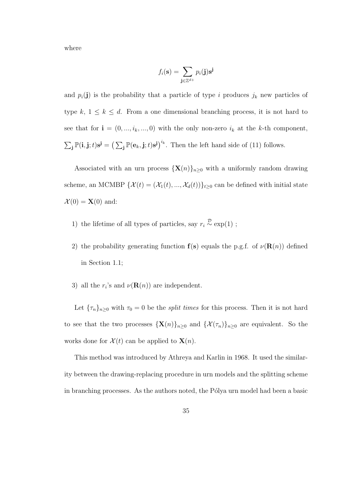where

$$
f_i(\mathbf{s}) = \sum_{\mathbf{j} \in \mathbb{Z}^{d+}} p_i(\mathbf{j}) \mathbf{s}^{\mathbf{j}}
$$

and  $p_i(\mathbf{j})$  is the probability that a particle of type i produces  $j_k$  new particles of type k,  $1 \leq k \leq d$ . From a one dimensional branching process, it is not hard to see that for  $\mathbf{i} = (0, ..., i_k, ..., 0)$  with the only non-zero  $i_k$  at the k-th component,  $\sum_{\mathbf{j}} \mathbb{P}(\mathbf{i}, \mathbf{j}; t) \mathbf{s}^{\mathbf{j}} = \left( \sum_{\mathbf{j}} \mathbb{P}(\mathbf{e}_k, \mathbf{j}; t) \mathbf{s}^{\mathbf{j}} \right)^{i_k}$ . Then the left hand side of (11) follows.

Associated with an urn process  $\{X(n)\}_{n\geq 0}$  with a uniformly random drawing scheme, an MCMBP  $\{\mathcal{X}(t) = (\mathcal{X}_1(t), ..., \mathcal{X}_d(t))\}_{t \geq 0}$  can be defined with initial state  $\mathcal{X}(0) = \mathbf{X}(0)$  and:

- 1) the lifetime of all types of particles, say  $r_i \stackrel{\mathcal{D}}{\sim} \exp(1)$ ;
- 2) the probability generating function  $f(s)$  equals the p.g.f. of  $\nu(R(n))$  defined in Section 1.1;
- 3) all the  $r_i$ 's and  $\nu(\mathbf{R}(n))$  are independent.

Let  ${\lbrace \tau_n \rbrace_{n\geq 0}}$  with  $\tau_0 = 0$  be the *split times* for this process. Then it is not hard to see that the two processes  ${\mathbf \{X}(n)\}_{n\geq 0}$  and  ${\mathcal \{X}(\tau_n)\}_{n\geq 0}$  are equivalent. So the works done for  $\mathcal{X}(t)$  can be applied to  $\mathbf{X}(n)$ .

This method was introduced by Athreya and Karlin in 1968. It used the similarity between the drawing-replacing procedure in urn models and the splitting scheme in branching processes. As the authors noted, the Pólya urn model had been a basic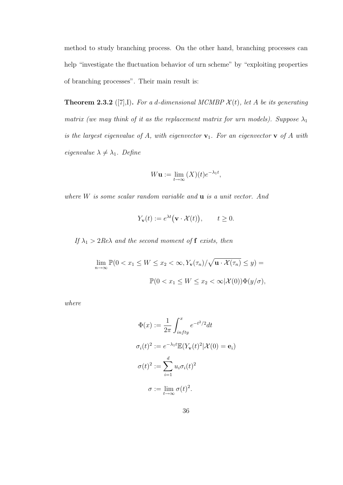method to study branching process. On the other hand, branching processes can help "investigate the fluctuation behavior of urn scheme" by "exploiting properties of branching processes". Their main result is:

**Theorem 2.3.2** ([7],I). For a d-dimensional MCMBP  $\mathcal{X}(t)$ , let A be its generating matrix (we may think of it as the replacement matrix for urn models). Suppose  $\lambda_1$ is the largest eigenvalue of A, with eigenvector  $v_1$ . For an eigenvector  $v_1$  of A with eigenvalue  $\lambda \neq \lambda_1$ . Define

$$
W\mathbf{u} := \lim_{t \to \infty} (X)(t)e^{-\lambda_1 t},
$$

where  $W$  is some scalar random variable and  $\bf{u}$  is a unit vector. And

$$
Y_{\mathbf{v}}(t) := e^{\lambda t} \big( \mathbf{v} \cdot \mathcal{X}(t) \big), \qquad t \ge 0.
$$

If  $\lambda_1 > 2Re\lambda$  and the second moment of f exists, then

$$
\lim_{n \to \infty} \mathbb{P}(0 < x_1 \le W \le x_2 < \infty, Y_{\mathbf{v}}(\tau_n) / \sqrt{\mathbf{u} \cdot \mathcal{X}(\tau_n)} \le y) =
$$
\n
$$
\mathbb{P}(0 < x_1 \le W \le x_2 < \infty | \mathcal{X}(0) ) \Phi(y/\sigma),
$$

where

$$
\Phi(x) := \frac{1}{2\pi} \int_{infty}^{x} e^{-t^2/2} dt
$$

$$
\sigma_i(t)^2 := e^{-\lambda_1 t} \mathbb{E}(Y_\mathbf{v}(t)^2 | \mathcal{X}(0) = \mathbf{e}_i)
$$

$$
\sigma(t)^2 := \sum_{i=1}^d u_i \sigma_i(t)^2
$$

$$
\sigma := \lim_{t \to \infty} \sigma(t)^2.
$$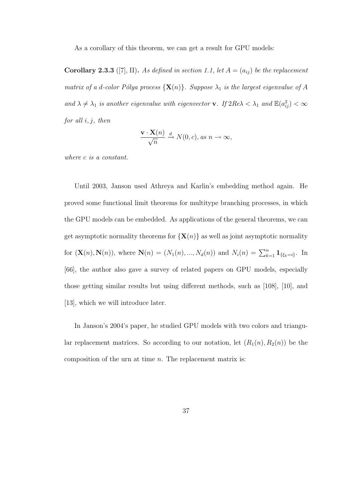As a corollary of this theorem, we can get a result for GPU models:

**Corollary 2.3.3** ([7], II). As defined in section 1.1, let  $A = (a_{ij})$  be the replacement matrix of a d-color Pólya process  ${X(n)}$ . Suppose  $\lambda_1$  is the largest eigenvalue of A and  $\lambda \neq \lambda_1$  is another eigenvalue with eigenvector **v**. If  $2Re\lambda < \lambda_1$  and  $\mathbb{E}(a_{ij}^2) < \infty$ for all  $i, j$ , then

$$
\frac{\mathbf{v} \cdot \mathbf{X}(n)}{\sqrt{n}} \xrightarrow{d} N(0, c), \text{ as } n \to \infty,
$$

where c is a constant.

Until 2003, Janson used Athreya and Karlin's embedding method again. He proved some functional limit theorems for multitype branching processes, in which the GPU models can be embedded. As applications of the general theorems, we can get asymptotic normality theorems for  $\{X(n)\}\$ as well as joint asymptotic normality for  $(\mathbf{X}(n), \mathbf{N}(n))$ , where  $\mathbf{N}(n) = (N_1(n), ..., N_d(n))$  and  $N_i(n) = \sum_{k=1}^{n} \mathbf{1}_{\{\xi_k = i\}}$ . In [66], the author also gave a survey of related papers on GPU models, especially those getting similar results but using different methods, such as [108], [10], and [13], which we will introduce later.

In Janson's 2004's paper, he studied GPU models with two colors and triangular replacement matrices. So according to our notation, let  $(R_1(n), R_2(n))$  be the composition of the urn at time  $n$ . The replacement matrix is: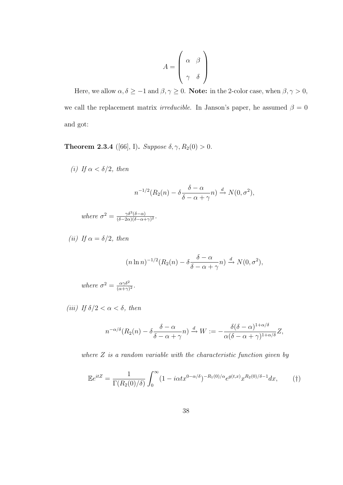$$
A = \left(\begin{array}{cc} \alpha & \beta \\ \gamma & \delta \end{array}\right)
$$

Here, we allow  $\alpha, \delta \ge -1$  and  $\beta, \gamma \ge 0$ . **Note:** in the 2-color case, when  $\beta, \gamma > 0$ , we call the replacement matrix *irreducible*. In Janson's paper, he assumed  $\beta = 0$ and got:

**Theorem 2.3.4** ([66], I). Suppose  $\delta, \gamma, R_2(0) > 0$ .

(i) If  $\alpha < \delta/2$ , then

$$
n^{-1/2}(R_2(n) - \delta \frac{\delta - \alpha}{\delta - \alpha + \gamma}n) \xrightarrow{d} N(0, \sigma^2),
$$

where  $\sigma^2 = \frac{\gamma \delta^3 (\delta - \alpha)}{(\delta - 2\alpha)(\delta - \alpha)^2}$  $\frac{\gamma \delta^{\circ} (\delta - \alpha)}{(\delta - 2\alpha)(\delta - \alpha + \gamma)^2}.$ 

(ii) If  $\alpha = \delta/2$ , then

$$
(n \ln n)^{-1/2} (R_2(n) - \delta \frac{\delta - \alpha}{\delta - \alpha + \gamma} n) \xrightarrow{d} N(0, \sigma^2),
$$

where  $\sigma^2 = \frac{\alpha \gamma \delta^2}{(\alpha + \alpha)^2}$  $\frac{\alpha\gamma\delta^2}{(\alpha+\gamma)^2}$ .

(iii) If  $\delta/2 < \alpha < \delta$ , then

$$
n^{-\alpha/\delta}(R_2(n)-\delta\frac{\delta-\alpha}{\delta-\alpha+\gamma}n)\xrightarrow{d}W:=-\frac{\delta(\delta-\alpha)^{1+\alpha/\delta}}{\alpha(\delta-\alpha+\gamma)^{1+\alpha/\delta}}Z,
$$

where  $Z$  is a random variable with the characteristic function given by

$$
\mathbb{E}e^{itZ} = \frac{1}{\Gamma(R_2(0)/\delta)} \int_0^\infty (1 - i\alpha t x^{0-\alpha/\delta})^{-R_1(0)/\alpha} e^{g(t,x)} x^{R_2(0)/\delta - 1} dx,\tag{\dagger}
$$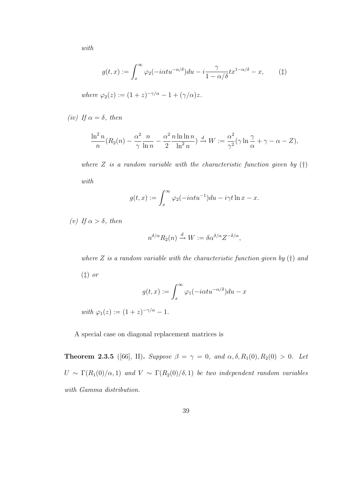with

$$
g(t,x) := \int_x^{\infty} \varphi_2(-i\alpha t u^{-\alpha/\delta}) du - i \frac{\gamma}{1 - \alpha/\delta} t x^{1 - \alpha/\delta} - x, \qquad (\ddagger)
$$

where  $\varphi_2(z) := (1+z)^{-\gamma/\alpha} - 1 + (\gamma/\alpha)z$ .

(iv) If  $\alpha = \delta$ , then

$$
\frac{\ln^2 n}{n} (R_2(n) - \frac{\alpha^2}{\gamma} \frac{n}{\ln n} - \frac{\alpha^2}{2} \frac{n \ln \ln n}{\ln^2 n}) \xrightarrow{d} W := \frac{\alpha^2}{\gamma^2} (\gamma \ln \frac{\gamma}{\alpha} + \gamma - \alpha - Z),
$$

where  $Z$  is a random variable with the characteristic function given by  $(†)$ with

$$
g(t,x) := \int_x^{\infty} \varphi_2(-i\alpha t u^{-1}) du - i\gamma t \ln x - x.
$$

(v) If  $\alpha > \delta$ , then

$$
n^{\delta/\alpha} R_2(n) \xrightarrow{d} W := \delta \alpha^{\delta/\alpha} Z^{-\delta/\alpha},
$$

where  $Z$  is a random variable with the characteristic function given by  $(\dagger)$  and

(‡) or

$$
g(t,x) := \int_x^{\infty} \varphi_1(-i\alpha t u^{-\alpha/\delta}) du - x
$$

with  $\varphi_1(z) := (1+z)^{-\gamma/\alpha} - 1$ .

A special case on diagonal replacement matrices is

**Theorem 2.3.5** ([66], II). Suppose  $\beta = \gamma = 0$ , and  $\alpha, \delta, R_1(0), R_2(0) > 0$ . Let  $U \sim \Gamma(R_1(0)/\alpha, 1)$  and  $V \sim \Gamma(R_2(0)/\delta, 1)$  be two independent random variables with Gamma distribution.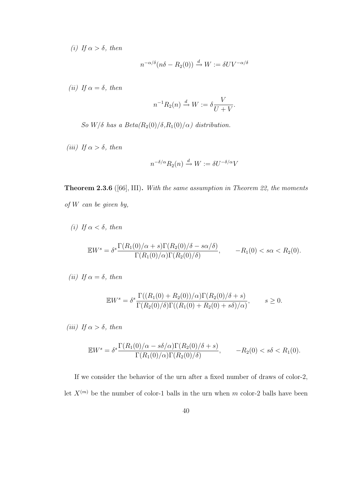(i) If  $\alpha > \delta$ , then

$$
n^{-\alpha/\delta}(n\delta - R_2(0)) \xrightarrow{d} W := \delta UV^{-\alpha/\delta}
$$

(ii) If  $\alpha = \delta$ , then

$$
n^{-1}R_2(n) \xrightarrow{d} W := \delta \frac{V}{U + V}.
$$

So  $W/\delta$  has a  $Beta(R_2(0)/\delta, R_1(0)/\alpha)$  distribution.

(iii) If  $\alpha > \delta$ , then

$$
n^{-\delta/\alpha} R_2(n) \xrightarrow{d} W := \delta U^{-\delta/\alpha} V
$$

Theorem 2.3.6 ([66], III). With the same assumption in Theorem 22, the moments of  $W$  can be given by,

(i) If  $\alpha < \delta$ , then

$$
\mathbb{E}W^s = \delta^s \frac{\Gamma(R_1(0)/\alpha + s)\Gamma(R_2(0)/\delta - s\alpha/\delta)}{\Gamma(R_1(0)/\alpha)\Gamma(R_2(0)/\delta)}, \qquad -R_1(0) < s\alpha < R_2(0).
$$

$$
(ii) If  $\alpha = \delta$ , then
$$

$$
\mathbb{E}W^s = \delta^s \frac{\Gamma((R_1(0) + R_2(0))/\alpha)\Gamma(R_2(0)/\delta + s)}{\Gamma(R_2(0)/\delta)\Gamma((R_1(0) + R_2(0) + s\delta)/\alpha)}, \qquad s \ge 0.
$$

(iii) If  $\alpha > \delta$ , then

$$
\mathbb{E}W^s = \delta^s \frac{\Gamma(R_1(0)/\alpha - s\delta/\alpha)\Gamma(R_2(0)/\delta + s)}{\Gamma(R_1(0)/\alpha)\Gamma(R_2(0)/\delta)}, \qquad -R_2(0) < s\delta < R_1(0).
$$

If we consider the behavior of the urn after a fixed number of draws of color-2, let  $X^{(m)}$  be the number of color-1 balls in the urn when m color-2 balls have been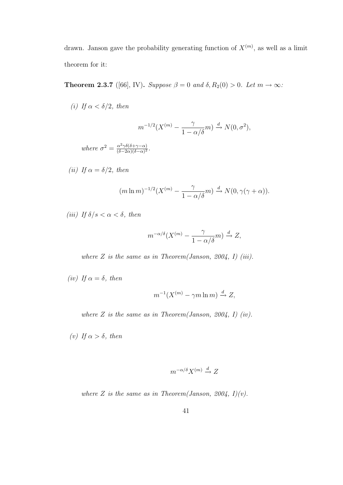drawn. Janson gave the probability generating function of  $X^{(m)}$ , as well as a limit theorem for it:

**Theorem 2.3.7** ([66], IV). Suppose  $\beta = 0$  and  $\delta$ ,  $R_2(0) > 0$ . Let  $m \to \infty$ :

(i) If  $\alpha < \delta/2$ , then

$$
m^{-1/2}(X^{(m)} - \frac{\gamma}{1 - \alpha/\delta}m) \xrightarrow{d} N(0, \sigma^2),
$$

where  $\sigma^2 = \frac{\alpha^2 \gamma \delta(\delta + \gamma - \alpha)}{(\delta - 2\alpha)(\delta - \alpha)^2}$  $\frac{\alpha^2 \gamma \delta(\delta + \gamma - \alpha)}{(\delta - 2\alpha)(\delta - \alpha)^2}.$ 

(ii) If  $\alpha = \delta/2$ , then

$$
(m \ln m)^{-1/2} (X^{(m)} - \frac{\gamma}{1 - \alpha/\delta}m) \xrightarrow{d} N(0, \gamma(\gamma + \alpha)).
$$

(iii) If  $\delta/s < \alpha < \delta$ , then

$$
m^{-\alpha/\delta}(X^{(m)} - \frac{\gamma}{1 - \alpha/\delta}m) \xrightarrow{d} Z,
$$

where  $Z$  is the same as in Theorem(Janson, 2004, I) (iii).

(iv) If  $\alpha = \delta$ , then

$$
m^{-1}(X^{(m)} - \gamma m \ln m) \xrightarrow{d} Z,
$$

where  $Z$  is the same as in Theorem(Janson, 2004, I) (iv).

(v) If  $\alpha > \delta$ , then

$$
m^{-\alpha/\delta}X^{(m)} \xrightarrow{d} Z
$$

where Z is the same as in Theorem(Janson, 2004, I)(v).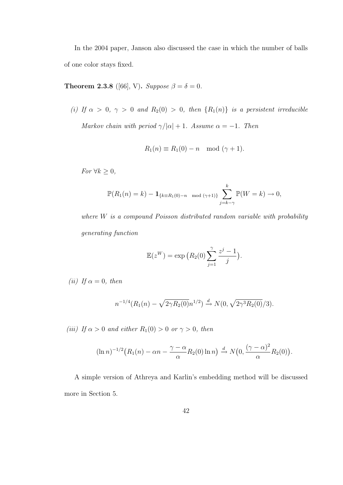In the 2004 paper, Janson also discussed the case in which the number of balls of one color stays fixed.

Theorem 2.3.8 ([66], V). Suppose  $\beta = \delta = 0$ .

(i) If  $\alpha > 0$ ,  $\gamma > 0$  and  $R_2(0) > 0$ , then  $\{R_1(n)\}\$  is a persistent irreducible Markov chain with period  $\gamma/|\alpha| + 1$ . Assume  $\alpha = -1$ . Then

$$
R_1(n) \equiv R_1(0) - n \mod (\gamma + 1).
$$

*For*  $∀k ≥ 0$ ,

$$
\mathbb{P}(R_1(n) = k) - \mathbf{1}_{\{k \equiv R_1(0) - n \mod (\gamma + 1)\}} \sum_{j=k-\gamma}^{k} \mathbb{P}(W = k) \to 0,
$$

where  $W$  is a compound Poisson distributed random variable with probability generating function

$$
\mathbb{E}(z^W) = \exp\big(R_2(0)\sum_{j=1}^{\gamma} \frac{z^j-1}{j}\big).
$$

(ii) If  $\alpha = 0$ , then

$$
n^{-1/4}(R_1(n) - \sqrt{2\gamma R_2(0)}n^{1/2}) \xrightarrow{d} N(0, \sqrt{2\gamma^3 R_2(0)}/3).
$$

(iii) If  $\alpha > 0$  and either  $R_1(0) > 0$  or  $\gamma > 0$ , then

$$
(\ln n)^{-1/2} \big( R_1(n) - \alpha n - \frac{\gamma - \alpha}{\alpha} R_2(0) \ln n \big) \xrightarrow{d} N\big(0, \frac{(\gamma - \alpha)^2}{\alpha} R_2(0)\big).
$$

A simple version of Athreya and Karlin's embedding method will be discussed more in Section 5.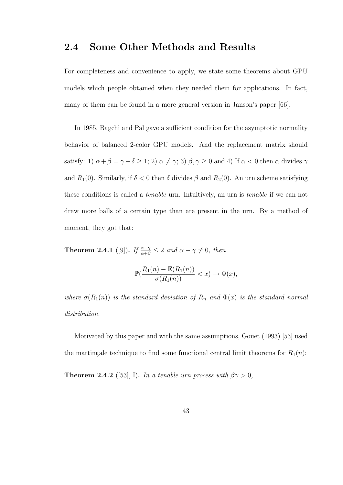## 2.4 Some Other Methods and Results

For completeness and convenience to apply, we state some theorems about GPU models which people obtained when they needed them for applications. In fact, many of them can be found in a more general version in Janson's paper [66].

In 1985, Bagchi and Pal gave a sufficient condition for the asymptotic normality behavior of balanced 2-color GPU models. And the replacement matrix should satisfy: 1)  $\alpha+\beta=\gamma+\delta\geq$  1; 2)  $\alpha\neq\gamma;$  3)  $\beta,\gamma\geq0$  and 4) If  $\alpha<0$  then  $\alpha$  divides  $\gamma$ and  $R_1(0)$ . Similarly, if  $\delta < 0$  then  $\delta$  divides  $\beta$  and  $R_2(0)$ . An urn scheme satisfying these conditions is called a tenable urn. Intuitively, an urn is tenable if we can not draw more balls of a certain type than are present in the urn. By a method of moment, they got that:

**Theorem 2.4.1** ([9]). If  $\frac{\alpha-\gamma}{\alpha+\beta} \leq 2$  and  $\alpha-\gamma \neq 0$ , then

$$
\mathbb{P}(\frac{R_1(n) - \mathbb{E}(R_1(n))}{\sigma(R_1(n))} < x) \to \Phi(x),
$$

where  $\sigma(R_1(n))$  is the standard deviation of  $R_n$  and  $\Phi(x)$  is the standard normal distribution.

Motivated by this paper and with the same assumptions, Gouet (1993) [53] used the martingale technique to find some functional central limit theorems for  $R_1(n)$ :

**Theorem 2.4.2** ([53], I). In a tenable urn process with  $\beta \gamma > 0$ ,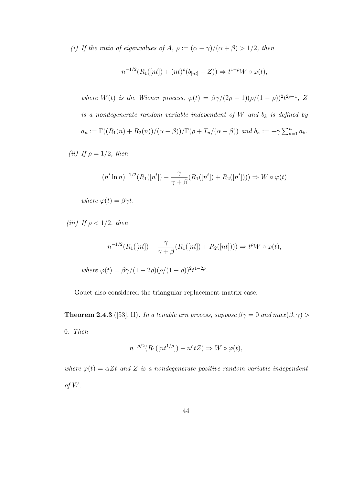(i) If the ratio of eigenvalues of A,  $\rho := (\alpha - \gamma)/(\alpha + \beta) > 1/2$ , then

$$
n^{-1/2}(R_1([nt]) + (nt)^{\rho}(b_{[nt]} - Z)) \Rightarrow t^{1-\rho}W \circ \varphi(t),
$$

where W(t) is the Wiener process,  $\varphi(t) = \beta \gamma/(2\rho - 1)(\rho/(1 - \rho))^{2} t^{2\rho - 1}$ , Z is a nondegenerate random variable independent of  $W$  and  $b_k$  is defined by  $a_n := \Gamma((R_1(n) + R_2(n))/(\alpha + \beta))/\Gamma(\rho + T_n/(\alpha + \beta))$  and  $b_n := -\gamma \sum_{k=1}^n a_k$ .

(ii) If  $\rho = 1/2$ , then

$$
(n^{t} \ln n)^{-1/2} (R_1([n^{t}]) - \frac{\gamma}{\gamma + \beta} (R_1([n^{t}]) + R_2([n^{t}])) \Rightarrow W \circ \varphi(t)
$$

where  $\varphi(t) = \beta \gamma t$ .

(iii) If  $\rho < 1/2$ , then

$$
n^{-1/2}(R_1([nt]) - \frac{\gamma}{\gamma + \beta}(R_1([nt]) + R_2([nt])) \Rightarrow t^{\rho}W \circ \varphi(t),
$$

where 
$$
\varphi(t) = \frac{\beta \gamma}{(1 - 2\rho)(\rho/(1 - \rho))^{2}} t^{1-2\rho}
$$
.

Gouet also considered the triangular replacement matrix case:

**Theorem 2.4.3** ([53], II]. In a tenable urn process, suppose  $\beta \gamma = 0$  and  $max(\beta, \gamma) >$ 0. Then

$$
n^{-\rho/2}(R_1([nt^{1/\rho}])-n^{\rho}tZ)\Rightarrow W\circ\varphi(t),
$$

where  $\varphi(t) = \alpha Zt$  and Z is a nondegenerate positive random variable independent of  $W$ .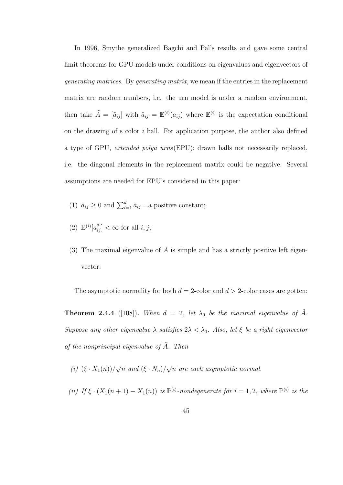In 1996, Smythe generalized Bagchi and Pal's results and gave some central limit theorems for GPU models under conditions on eigenvalues and eigenvectors of generating matrices. By generating matrix, we mean if the entries in the replacement matrix are random numbers, i.e. the urn model is under a random environment, then take  $\tilde{A} = [\tilde{a}_{ij}]$  with  $\tilde{a}_{ij} = \mathbb{E}^{(i)}(a_{ij})$  where  $\mathbb{E}^{(i)}$  is the expectation conditional on the drawing of s color i ball. For application purpose, the author also defined a type of GPU, extended polya urns(EPU): drawn balls not necessarily replaced, i.e. the diagonal elements in the replacement matrix could be negative. Several assumptions are needed for EPU's considered in this paper:

- (1)  $\tilde{a}_{ij} \ge 0$  and  $\sum_{i=1}^{d} \tilde{a}_{ij} =$ a positive constant;
- (2)  $\mathbb{E}^{(i)}[a_{ij}^2] < \infty$  for all  $i, j$ ;
- (3) The maximal eigenvalue of  $\tilde{A}$  is simple and has a strictly positive left eigenvector.

The asymptotic normality for both  $d = 2$ -color and  $d > 2$ -color cases are gotten:

**Theorem 2.4.4** ([108]). When  $d = 2$ , let  $\lambda_0$  be the maximal eigenvalue of  $\tilde{A}$ . Suppose any other eigenvalue  $\lambda$  satisfies  $2\lambda < \lambda_0$ . Also, let  $\xi$  be a right eigenvector of the nonprincipal eigenvalue of  $\tilde{A}$ . Then

(*i*)  $(\xi \cdot X_1(n))/$ √  $\overline{n}$  and  $(\xi \cdot N_n)/$ √  $\overline{n}$  are each asymptotic normal.

(ii) If  $\xi \cdot (X_1(n+1) - X_1(n))$  is  $\mathbb{P}^{(i)}$ -nondegenerate for  $i = 1, 2$ , where  $\mathbb{P}^{(i)}$  is the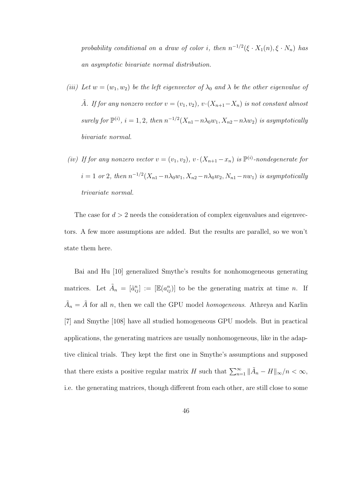probability conditional on a draw of color i, then  $n^{-1/2}(\xi \cdot X_1(n), \xi \cdot N_n)$  has an asymptotic bivariate normal distribution.

- (iii) Let  $w = (w_1, w_2)$  be the left eigenvector of  $\lambda_0$  and  $\lambda$  be the other eigenvalue of  $\tilde{A}$ . If for any nonzero vector  $v = (v_1, v_2), v \cdot (X_{n+1} - X_n)$  is not constant almost surely for  $\mathbb{P}^{(i)}$ ,  $i = 1, 2$ , then  $n^{-1/2}(X_{n1} - n\lambda_0w_1, X_{n2} - n\lambda w_2)$  is asymptotically bivariate normal.
- (iv) If for any nonzero vector  $v = (v_1, v_2), v \cdot (X_{n+1} x_n)$  is  $\mathbb{P}^{(i)}$ -nondegenerate for  $i = 1$  or 2, then  $n^{-1/2}(X_{n1} - n\lambda_0w_1, X_{n2} - n\lambda_0w_2, N_{n1} - nw_1)$  is asymptotically trivariate normal.

The case for  $d > 2$  needs the consideration of complex eigenvalues and eigenvectors. A few more assumptions are added. But the results are parallel, so we won't state them here.

Bai and Hu [10] generalized Smythe's results for nonhomogeneous generating matrices. Let  $\tilde{A}_n = [\tilde{a}_{ij}^n] := [\mathbb{E}(a_{ij}^n)]$  to be the generating matrix at time n. If  $\tilde{A}_n = \tilde{A}$  for all n, then we call the GPU model homogeneous. Athreya and Karlin [7] and Smythe [108] have all studied homogeneous GPU models. But in practical applications, the generating matrices are usually nonhomogeneous, like in the adaptive clinical trials. They kept the first one in Smythe's assumptions and supposed that there exists a positive regular matrix H such that  $\sum_{n=1}^{\infty} \|\tilde{A}_n - H\|_{\infty}/n < \infty$ , i.e. the generating matrices, though different from each other, are still close to some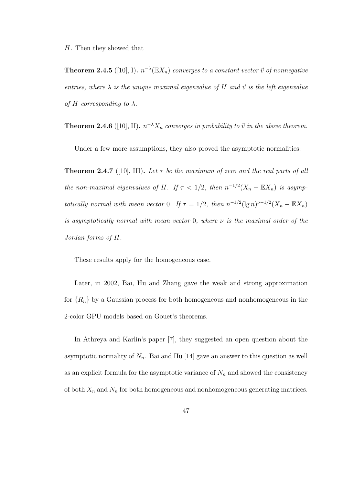H. Then they showed that

**Theorem 2.4.5** ([10], I).  $n^{-\lambda}(\mathbb{E}X_n)$  converges to a constant vector  $\vec{v}$  of nonnegative entries, where  $\lambda$  is the unique maximal eigenvalue of H and  $\vec{v}$  is the left eigenvalue of H corresponding to  $\lambda$ .

**Theorem 2.4.6** ([10], II).  $n^{-\lambda}X_n$  converges in probability to  $\vec{v}$  in the above theorem.

Under a few more assumptions, they also proved the asymptotic normalities:

**Theorem 2.4.7** ([10], III). Let  $\tau$  be the maximum of zero and the real parts of all the non-maximal eigenvalues of H. If  $\tau < 1/2$ , then  $n^{-1/2}(X_n - \mathbb{E}X_n)$  is asymptotically normal with mean vector 0. If  $\tau = 1/2$ , then  $n^{-1/2} (\lg n)^{\nu - 1/2} (X_n - \mathbb{E} X_n)$ is asymptotically normal with mean vector 0, where  $\nu$  is the maximal order of the Jordan forms of H.

These results apply for the homogeneous case.

Later, in 2002, Bai, Hu and Zhang gave the weak and strong approximation for  ${R_n}$  by a Gaussian process for both homogeneous and nonhomogeneous in the 2-color GPU models based on Gouet's theorems.

In Athreya and Karlin's paper [7], they suggested an open question about the asymptotic normality of  $N_n$ . Bai and Hu [14] gave an answer to this question as well as an explicit formula for the asymptotic variance of  $N_n$  and showed the consistency of both  $X_n$  and  $N_n$  for both homogeneous and nonhomogeneous generating matrices.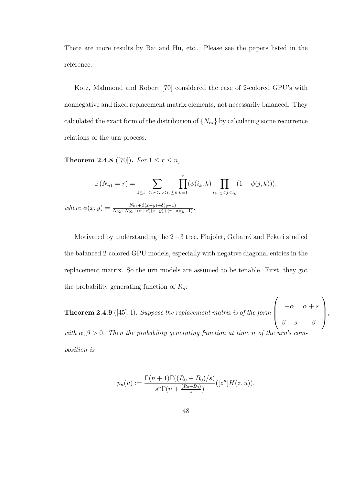There are more results by Bai and Hu, etc.. Please see the papers listed in the reference.

Kotz, Mahmoud and Robert [70] considered the case of 2-colored GPU's with nonnegative and fixed replacement matrix elements, not necessarily balanced. They calculated the exact form of the distribution of  $\{N_{ni}\}\$  by calculating some recurrence relations of the urn process.

**Theorem 2.4.8** ([70]). For  $1 \le r \le n$ ,

$$
\mathbb{P}(N_{n1} = r) = \sum_{1 \le i_1 < i_2 < \dots < i_r \le n} \prod_{k=1}^r (\phi(i_k, k) \prod_{i_{k-1} < j < i_k} (1 - \phi(j, k))),
$$
\nwhere

\n
$$
\phi(x, y) = \frac{N_{01} + \beta(x - y) + \delta(y - 1)}{N_{02} + N_{01} + (\alpha + \beta)(x - y) + (\gamma + \delta)(y - 1)}.
$$

Motivated by understanding the  $2-3$  tree, Flajolet, Gabarr $\acute{o}$  and Pekari studied the balanced 2-colored GPU models, especially with negative diagonal entries in the replacement matrix. So the urn models are assumed to be tenable. First, they got the probability generating function of  $R_n$ :

**Theorem 2.4.9** ([45], I). Suppose the replacement matrix is of the form  $\sqrt{ }$  $\vert$  $-\alpha$   $\alpha + s$  $\beta + s$  –  $\beta$  $\setminus$  $\Bigg\}$ with  $\alpha, \beta > 0$ . Then the probability generating function at time n of the urn's co

position is

$$
p_n(u) := \frac{\Gamma(n+1)\Gamma((R_0 + B_0)/s)}{s^n \Gamma(n + \frac{(R_0 + B_0)}{s})}([z^n]H(z, u)),
$$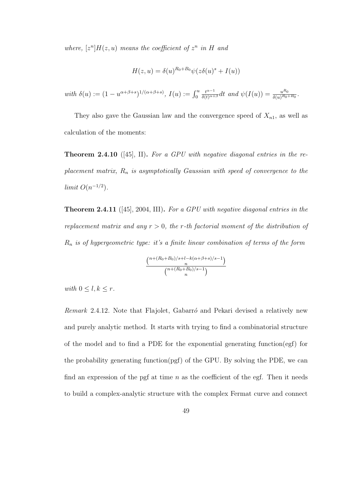where,  $[z^n]H(z, u)$  means the coefficient of  $z^n$  in H and

$$
H(z, u) = \delta(u)^{R_0 + B_0} \psi(z\delta(u)^s + I(u))
$$

with 
$$
\delta(u) := (1 - u^{\alpha + \beta + s})^{1/(\alpha + \beta + s)}
$$
,  $I(u) := \int_0^u \frac{t^{\alpha - 1}}{\delta(t)^{\alpha + \beta}} dt$  and  $\psi(I(u)) = \frac{u^{R_0}}{\delta(u)^{R_0 + B_0}}$ .

They also gave the Gaussian law and the convergence speed of  $X_{n1}$ , as well as calculation of the moments:

**Theorem 2.4.10** ([45], II]. For a GPU with negative diagonal entries in the replacement matrix,  $R_n$  is asymptotically Gaussian with speed of convergence to the limit  $O(n^{-1/2})$ .

Theorem 2.4.11 ([45], 2004, III). For a GPU with negative diagonal entries in the replacement matrix and any  $r > 0$ , the r-th factorial moment of the distribution of  $R_n$  is of hypergeometric type: it's a finite linear combination of terms of the form

$$
\frac{\binom{n+(R_0+B_0)/s+l-k(\alpha+\beta+s)/s-1)}{n}}{\binom{n+(R_0+B_0)/s-1}{n}}
$$

with  $0 \leq l, k \leq r$ .

 $Remark$  2.4.12. Note that Flajolet, Gabarró and Pekari devised a relatively new and purely analytic method. It starts with trying to find a combinatorial structure of the model and to find a PDE for the exponential generating function(egf) for the probability generating function(pgf) of the GPU. By solving the PDE, we can find an expression of the pgf at time  $n$  as the coefficient of the egf. Then it needs to build a complex-analytic structure with the complex Fermat curve and connect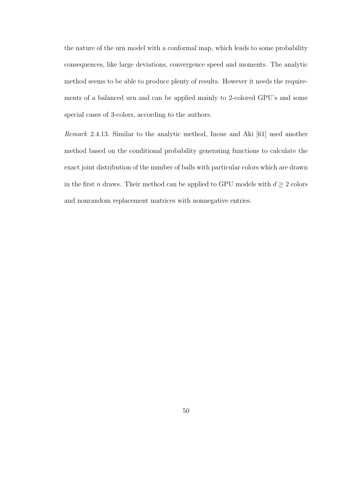the nature of the urn model with a conformal map, which leads to some probability consequences, like large deviations, convergence speed and moments. The analytic method seems to be able to produce plenty of results. However it needs the requirements of a balanced urn and can be applied mainly to 2-colored GPU's and some special cases of 3-colors, according to the authors.

Remark 2.4.13. Similar to the analytic method, Inoue and Aki [61] used another method based on the conditional probability generating functions to calculate the exact joint distribution of the number of balls with particular colors which are drawn in the first  $n$  draws. Their method can be applied to GPU models with  $d \geq 2$  colors and nonrandom replacement matrices with nonnegative entries.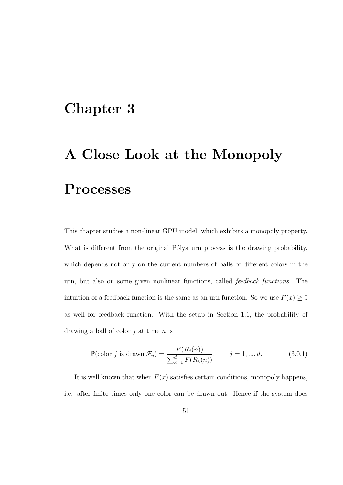## Chapter 3

# A Close Look at the Monopoly Processes

This chapter studies a non-linear GPU model, which exhibits a monopoly property. What is different from the original Pólya urn process is the drawing probability, which depends not only on the current numbers of balls of different colors in the urn, but also on some given nonlinear functions, called feedback functions. The intuition of a feedback function is the same as an urn function. So we use  $F(x) \geq 0$ as well for feedback function. With the setup in Section 1.1, the probability of drawing a ball of color  $i$  at time n is

$$
\mathbb{P}(\text{color } j \text{ is drawn}|\mathcal{F}_n) = \frac{F(R_j(n))}{\sum_{k=1}^d F(R_k(n))}, \qquad j = 1, ..., d. \tag{3.0.1}
$$

It is well known that when  $F(x)$  satisfies certain conditions, monopoly happens, i.e. after finite times only one color can be drawn out. Hence if the system does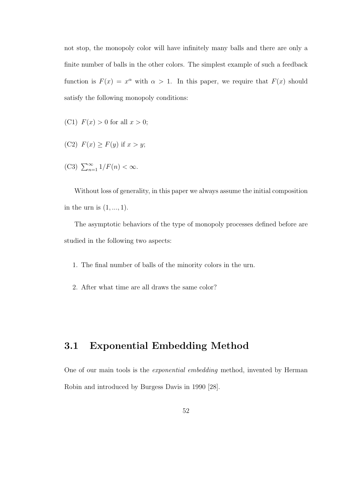not stop, the monopoly color will have infinitely many balls and there are only a finite number of balls in the other colors. The simplest example of such a feedback function is  $F(x) = x^{\alpha}$  with  $\alpha > 1$ . In this paper, we require that  $F(x)$  should satisfy the following monopoly conditions:

- (C1)  $F(x) > 0$  for all  $x > 0$ ;
- (C2)  $F(x) \geq F(y)$  if  $x > y$ ;
- (C3)  $\sum_{n=1}^{\infty} 1/F(n) < \infty$ .

Without loss of generality, in this paper we always assume the initial composition in the urn is  $(1, \ldots, 1)$ .

The asymptotic behaviors of the type of monopoly processes defined before are studied in the following two aspects:

- 1. The final number of balls of the minority colors in the urn.
- 2. After what time are all draws the same color?

## 3.1 Exponential Embedding Method

One of our main tools is the exponential embedding method, invented by Herman Robin and introduced by Burgess Davis in 1990 [28].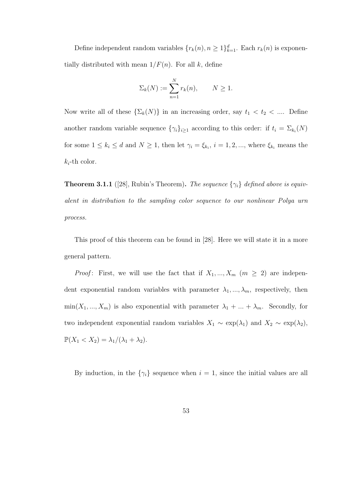Define independent random variables  $\{r_k(n), n \geq 1\}_{k=1}^d$ . Each  $r_k(n)$  is exponentially distributed with mean  $1/F(n)$ . For all k, define

$$
\Sigma_k(N) := \sum_{n=1}^N r_k(n), \qquad N \ge 1.
$$

Now write all of these  $\{\Sigma_k(N)\}\$ in an increasing order, say  $t_1 < t_2 < \dots$ . Define another random variable sequence  $\{\gamma_i\}_{i\geq 1}$  according to this order: if  $t_i = \sum_{k_i}(N)$ for some  $1 \leq k_i \leq d$  and  $N \geq 1$ , then let  $\gamma_i = \xi_{k_i}$ ,  $i = 1, 2, ...,$  where  $\xi_{k_i}$  means the  $k_i$ -th color.

**Theorem 3.1.1** ([28], Rubin's Theorem). The sequence  $\{\gamma_i\}$  defined above is equivalent in distribution to the sampling color sequence to our nonlinear Polya urn process.

This proof of this theorem can be found in [28]. Here we will state it in a more general pattern.

*Proof*: First, we will use the fact that if  $X_1, ..., X_m$  ( $m \geq 2$ ) are independent exponential random variables with parameter  $\lambda_1, ..., \lambda_m$ , respectively, then  $min(X_1, ..., X_m)$  is also exponential with parameter  $\lambda_1 + ... + \lambda_m$ . Secondly, for two independent exponential random variables  $X_1 \sim \exp(\lambda_1)$  and  $X_2 \sim \exp(\lambda_2)$ ,  $\mathbb{P}(X_1 < X_2) = \lambda_1/(\lambda_1 + \lambda_2).$ 

By induction, in the  $\{\gamma_i\}$  sequence when  $i = 1$ , since the initial values are all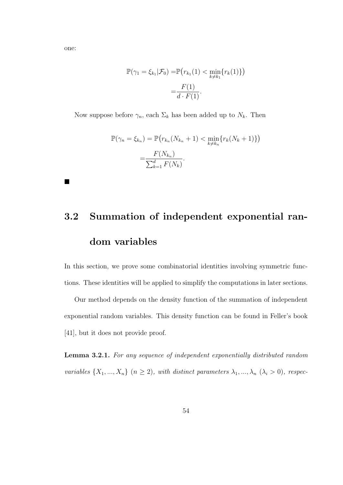one:

 $\blacksquare$ 

$$
\mathbb{P}(\gamma_1 = \xi_{k_1} | \mathcal{F}_0) = \mathbb{P}(r_{k_1}(1) < \min_{k \neq k_1} \{r_k(1)\})
$$
\n
$$
= \frac{F(1)}{d \cdot F(1)}.
$$

Now suppose before  $\gamma_n$ , each  $\Sigma_k$  has been added up to  $N_k$ . Then

$$
\mathbb{P}(\gamma_n = \xi_{k_n}) = \mathbb{P}(r_{k_n}(N_{k_n} + 1) < \min_{k \neq k_n} \{r_k(N_k + 1)\})
$$
\n
$$
= \frac{F(N_{k_n})}{\sum_{k=1}^d F(N_k)}.
$$

# 3.2 Summation of independent exponential random variables

In this section, we prove some combinatorial identities involving symmetric functions. These identities will be applied to simplify the computations in later sections.

Our method depends on the density function of the summation of independent exponential random variables. This density function can be found in Feller's book [41], but it does not provide proof.

Lemma 3.2.1. For any sequence of independent exponentially distributed random variables  $\{X_1, ..., X_n\}$   $(n \geq 2)$ , with distinct parameters  $\lambda_1, ..., \lambda_n$   $(\lambda_i > 0)$ , respec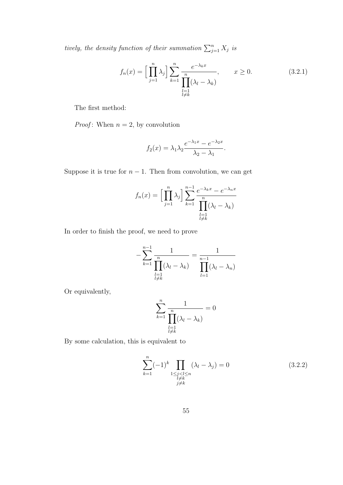tively, the density function of their summation  $\sum_{j=1}^{n} X_j$  is

$$
f_n(x) = \left[\prod_{j=1}^n \lambda_j\right] \sum_{k=1}^n \frac{e^{-\lambda_k x}}{\prod_{\substack{l=1\\l \neq k}}^n (\lambda_l - \lambda_k)}, \qquad x \ge 0. \tag{3.2.1}
$$

The first method:

*Proof*: When  $n = 2$ , by convolution

$$
f_2(x) = \lambda_1 \lambda_2 \frac{e^{-\lambda_1 x} - e^{-\lambda_2 x}}{\lambda_2 - \lambda_1}.
$$

Suppose it is true for  $n - 1$ . Then from convolution, we can get

$$
f_n(x) = \left[\prod_{j=1}^n \lambda_j\right] \sum_{k=1}^{n-1} \frac{e^{-\lambda_k x} - e^{-\lambda_n x}}{\prod_{\substack{l=1\\l \neq k}}^{n} (\lambda_l - \lambda_k)}
$$

In order to finish the proof, we need to prove

$$
-\sum_{k=1}^{n-1} \frac{1}{\prod_{\substack{l=1 \ l \neq k}}^{n} (\lambda_l - \lambda_k)} = \frac{1}{\prod_{l=1}^{n-1} (\lambda_l - \lambda_n)}
$$

Or equivalently,

$$
\sum_{k=1}^{n} \frac{1}{\prod_{\substack{l=1 \ l \neq k}}^{n} (\lambda_l - \lambda_k)} = 0
$$

By some calculation, this is equivalent to

$$
\sum_{k=1}^{n} (-1)^{k} \prod_{\substack{1 \le j < l \le n \\ l \ne k \\ j \ne k}} (\lambda_{l} - \lambda_{j}) = 0 \tag{3.2.2}
$$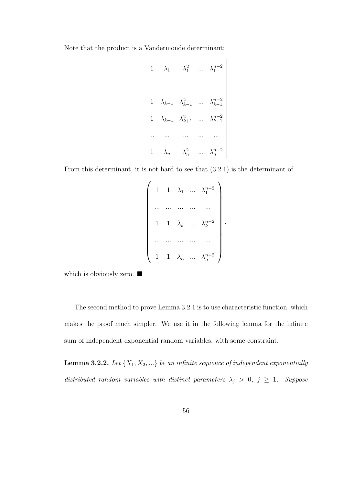Note that the product is a Vandermonde determinant:

$$
\begin{vmatrix}\n1 & \lambda_1 & \lambda_1^2 & \dots & \lambda_1^{n-2} \\
\vdots & \vdots & \ddots & \vdots \\
1 & \lambda_{k-1} & \lambda_{k-1}^2 & \dots & \lambda_{k-1}^{n-2} \\
1 & \lambda_{k+1} & \lambda_{k+1}^2 & \dots & \lambda_{k+1}^{n-2} \\
\vdots & \vdots & \vdots & \ddots & \vdots \\
1 & \lambda_n & \lambda_n^2 & \dots & \lambda_n^{n-2}\n\end{vmatrix}
$$

From this determinant, it is not hard to see that (3.2.1) is the determinant of

$$
\begin{pmatrix}\n1 & 1 & \lambda_1 & \dots & \lambda_1^{n-2} \\
\vdots & \vdots & \ddots & \vdots \\
1 & 1 & \lambda_k & \dots & \lambda_k^{n-2} \\
\vdots & \vdots & \vdots & \ddots & \vdots \\
1 & 1 & \lambda_n & \dots & \lambda_n^{n-2}\n\end{pmatrix}
$$

,

which is obviously zero.  $\blacksquare$ 

The second method to prove Lemma 3.2.1 is to use characteristic function, which makes the proof much simpler. We use it in the following lemma for the infinite sum of independent exponential random variables, with some constraint.

**Lemma 3.2.2.** Let  $\{X_1, X_2, ...\}$  be an infinite sequence of independent exponentially distributed random variables with distinct parameters  $\lambda_j > 0$ ,  $j \ge 1$ . Suppose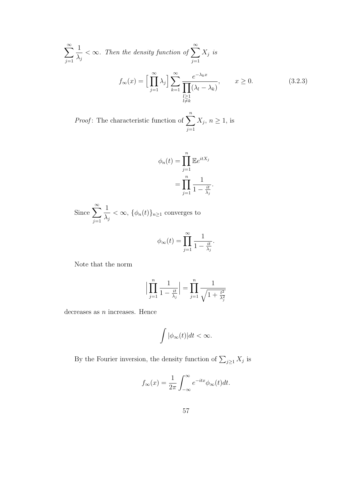$$
\sum_{j=1}^{\infty} \frac{1}{\lambda_j} < \infty. \text{ Then the density function of } \sum_{j=1}^{\infty} X_j \text{ is}
$$
\n
$$
f_{\infty}(x) = \Big[ \prod_{j=1}^{\infty} \lambda_j \Big] \sum_{k=1}^{\infty} \frac{e^{-\lambda_k x}}{\prod_{\substack{l \geq 1 \\ l \neq k}} (\lambda_l - \lambda_k)}, \qquad x \geq 0. \tag{3.2.3}
$$

*Proof*: The characteristic function of  $\sum_{n=1}^{n}$  $j=1$  $X_j, n \geq 1$ , is

$$
\phi_n(t) = \prod_{j=1}^n \mathbb{E}e^{itX_j}
$$

$$
= \prod_{j=1}^n \frac{1}{1 - \frac{it}{\lambda_j}}.
$$

Since  $\sum_{n=1}^{\infty}$  $j=1$ 1  $\lambda_j$  $<\infty$ ,  $\{\phi_n(t)\}_{n\geq 1}$  converges to

$$
\phi_{\infty}(t) = \prod_{j=1}^{\infty} \frac{1}{1 - \frac{it}{\lambda_j}}.
$$

Note that the norm

$$
\Big| \prod_{j=1}^{n} \frac{1}{1 - \frac{it}{\lambda_j}} \Big| = \prod_{j=1}^{n} \frac{1}{\sqrt{1 + \frac{t^2}{\lambda_j^2}}}
$$

decreases as  $n$  increases. Hence

$$
\int |\phi_{\infty}(t)|dt < \infty.
$$

By the Fourier inversion, the density function of  $\sum_{j\geq 1} X_j$  is

$$
f_{\infty}(x) = \frac{1}{2\pi} \int_{-\infty}^{\infty} e^{-itx} \phi_{\infty}(t) dt.
$$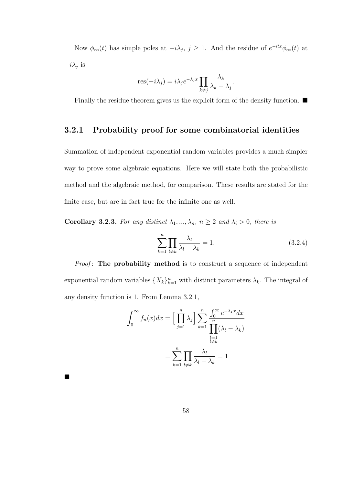Now  $\phi_{\infty}(t)$  has simple poles at  $-i\lambda_j$ ,  $j \geq 1$ . And the residue of  $e^{-itx}\phi_{\infty}(t)$  at  $-i\lambda_j$  is

$$
res(-i\lambda_j) = i\lambda_j e^{-\lambda_j x} \prod_{k \neq j} \frac{\lambda_k}{\lambda_k - \lambda_j}.
$$

Finally the residue theorem gives us the explicit form of the density function.  $\blacksquare$ 

### 3.2.1 Probability proof for some combinatorial identities

Summation of independent exponential random variables provides a much simpler way to prove some algebraic equations. Here we will state both the probabilistic method and the algebraic method, for comparison. These results are stated for the finite case, but are in fact true for the infinite one as well.

Corollary 3.2.3. For any distinct  $\lambda_1, ..., \lambda_n$ ,  $n \geq 2$  and  $\lambda_i > 0$ , there is

$$
\sum_{k=1}^{n} \prod_{l \neq k} \frac{\lambda_l}{\lambda_l - \lambda_k} = 1.
$$
\n(3.2.4)

*Proof*: The probability method is to construct a sequence of independent exponential random variables  $\{X_k\}_{k=1}^n$  with distinct parameters  $\lambda_k$ . The integral of any density function is 1. From Lemma 3.2.1,

$$
\int_0^\infty f_n(x)dx = \left[\prod_{j=1}^n \lambda_j\right] \sum_{k=1}^n \frac{\int_0^\infty e^{-\lambda_k x} dx}{\prod_{\substack{l=1 \ l \neq k}}^n (\lambda_l - \lambda_k)}
$$

$$
= \sum_{k=1}^n \prod_{l \neq k} \frac{\lambda_l}{\lambda_l - \lambda_k} = 1
$$

 $\blacksquare$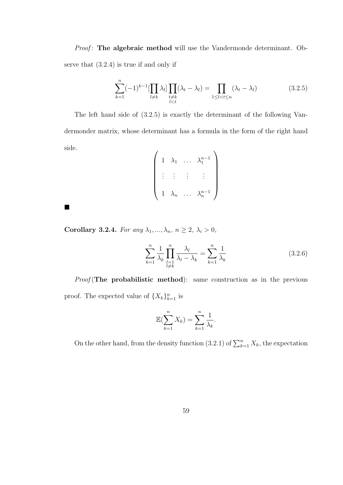Proof: The algebraic method will use the Vandermonde determinant. Observe that (3.2.4) is true if and only if

$$
\sum_{k=1}^{n}(-1)^{k-1}[\prod_{l\neq k}\lambda_l]\prod_{\substack{t\neq k\\l(3.2.5)
$$

The left hand side of (3.2.5) is exactly the determinant of the following Vandermonder matrix, whose determinant has a formula in the form of the right hand side.

$$
\left(\begin{array}{cccc} 1 & \lambda_1 & \dots & \lambda_1^{n-1} \\ \vdots & \vdots & \vdots & \vdots \\ 1 & \lambda_n & \dots & \lambda_n^{n-1} \end{array}\right)
$$

Corollary 3.2.4. For any  $\lambda_1, ..., \lambda_n$ ,  $n \ge 2$ ,  $\lambda_i > 0$ ,

 $\blacksquare$ 

$$
\sum_{k=1}^{n} \frac{1}{\lambda_k} \prod_{\substack{l=1\\l \neq k}}^{n} \frac{\lambda_l}{\lambda_l - \lambda_k} = \sum_{k=1}^{n} \frac{1}{\lambda_k}
$$
\n(3.2.6)

 $Proof$ (The probabilistic method): same construction as in the previous proof. The expected value of  $\{X_k\}_{k=1}^n$  is

$$
\mathbb{E}(\sum_{k=1}^{n} X_k) = \sum_{k=1}^{n} \frac{1}{\lambda_k}.
$$

On the other hand, from the density function (3.2.1) of  $\sum_{k=1}^{n} X_k$ , the expectation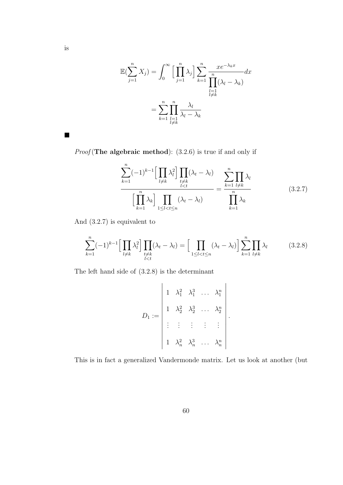$$
\mathbb{E}(\sum_{j=1}^{n} X_j) = \int_0^\infty \left[ \prod_{j=1}^{n} \lambda_j \right] \sum_{k=1}^{n} \frac{xe^{-\lambda_k x}}{\prod_{\substack{l=1\\l \neq k}}^{n} (\lambda_l - \lambda_k)} dx
$$

$$
= \sum_{k=1}^{n} \prod_{\substack{l=1\\l \neq k}}^{n} \frac{\lambda_l}{\lambda_l - \lambda_k}
$$

*Proof* (The algebraic method):  $(3.2.6)$  is true if and only if

$$
\frac{\sum_{k=1}^{n}(-1)^{k-1}\Big[\prod_{l\neq k}\lambda_{l}^{2}\Big]\prod_{\substack{t\neq k}}(\lambda_{t}-\lambda_{l})}{\Big[\prod_{k=1}^{n}\lambda_{k}\Big]\prod_{1\leq l(3.2.7)
$$

And (3.2.7) is equivalent to

$$
\sum_{k=1}^{n}(-1)^{k-1}\Big[\prod_{\substack{l\neq k}}\lambda_l^2\Big]\prod_{\substack{t\neq k\\l
$$

The left hand side of (3.2.8) is the determinant

$$
D_1 := \begin{vmatrix} 1 & \lambda_1^2 & \lambda_1^3 & \dots & \lambda_1^n \\ 1 & \lambda_2^2 & \lambda_2^3 & \dots & \lambda_2^n \\ \vdots & \vdots & \vdots & \vdots & \vdots \\ 1 & \lambda_n^2 & \lambda_n^3 & \dots & \lambda_n^n \end{vmatrix}.
$$

This is in fact a generalized Vandermonde matrix. Let us look at another (but

 $\blacksquare$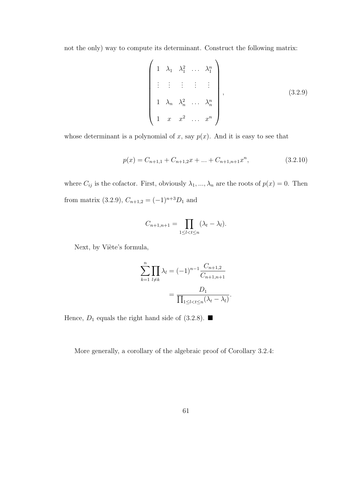not the only) way to compute its determinant. Construct the following matrix:

$$
\begin{pmatrix}\n1 & \lambda_1 & \lambda_1^2 & \dots & \lambda_1^n \\
\vdots & \vdots & \vdots & \vdots \\
1 & \lambda_n & \lambda_n^2 & \dots & \lambda_n^n \\
1 & x & x^2 & \dots & x^n\n\end{pmatrix},
$$
\n(3.2.9)

whose determinant is a polynomial of x, say  $p(x)$ . And it is easy to see that

$$
p(x) = C_{n+1,1} + C_{n+1,2}x + \dots + C_{n+1,n+1}x^n,
$$
\n(3.2.10)

where  $C_{ij}$  is the cofactor. First, obviously  $\lambda_1, ..., \lambda_n$  are the roots of  $p(x) = 0$ . Then from matrix (3.2.9),  $C_{n+1,2} = (-1)^{n+3}D_1$  and

$$
C_{n+1,n+1} = \prod_{1 \leq l < t \leq n} (\lambda_t - \lambda_l).
$$

Next, by Viète's formula,

$$
\sum_{k=1}^{n} \prod_{l \neq k} \lambda_l = (-1)^{n-1} \frac{C_{n+1,2}}{C_{n+1,n+1}}
$$

$$
= \frac{D_1}{\prod_{1 \leq l < t \leq n} (\lambda_t - \lambda_l)}.
$$

Hence,  $D_1$  equals the right hand side of (3.2.8).

More generally, a corollary of the algebraic proof of Corollary 3.2.4: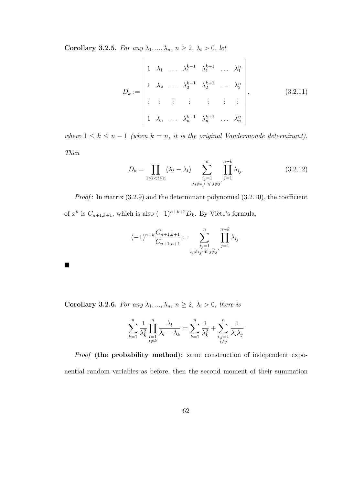Corollary 3.2.5. For any  $\lambda_1, ..., \lambda_n$ ,  $n \geq 2$ ,  $\lambda_i > 0$ , let

$$
D_{k} := \begin{vmatrix} 1 & \lambda_{1} & \dots & \lambda_{1}^{k-1} & \lambda_{1}^{k+1} & \dots & \lambda_{1}^{n} \\ 1 & \lambda_{2} & \dots & \lambda_{2}^{k-1} & \lambda_{2}^{k+1} & \dots & \lambda_{2}^{n} \\ \vdots & \vdots & \vdots & \vdots & \vdots & \vdots \\ 1 & \lambda_{n} & \dots & \lambda_{n}^{k-1} & \lambda_{n}^{k+1} & \dots & \lambda_{n}^{n} \end{vmatrix}, \qquad (3.2.11)
$$

where  $1 \leq k \leq n-1$  (when  $k = n$ , it is the original Vandermonde determinant). Then

$$
D_k = \prod_{1 \le l < t \le n} (\lambda_t - \lambda_l) \sum_{\substack{i_j = 1 \\ i_j \ne i_{j'} \text{ if } j \ne j'}}^{n} \prod_{j=1}^{n-k} \lambda_{i_j}.
$$
 (3.2.12)

*Proof*: In matrix  $(3.2.9)$  and the determinant polynomial  $(3.2.10)$ , the coefficient of  $x^k$  is  $C_{n+1,k+1}$ , which is also  $(-1)^{n+k+2}D_k$ . By Viète's formula,

$$
(-1)^{n-k} \frac{C_{n+1,k+1}}{C_{n+1,n+1}} = \sum_{\substack{i_j=1 \ i_j \neq i_{j'} \text{ if } j \neq j'}}^{n} \prod_{j=1}^{n-k} \lambda_{i_j}.
$$

Corollary 3.2.6. For any  $\lambda_1, ..., \lambda_n, n \geq 2, \lambda_i > 0$ , there is

$$
\sum_{k=1}^{n} \frac{1}{\lambda_k^2} \prod_{\substack{l=1 \ l \neq k}}^{n} \frac{\lambda_l}{\lambda_l - \lambda_k} = \sum_{k=1}^{n} \frac{1}{\lambda_k^2} + \sum_{\substack{i,j=1 \ i \neq j}}^{n} \frac{1}{\lambda_i \lambda_j}
$$

Proof (the probability method): same construction of independent exponential random variables as before, then the second moment of their summation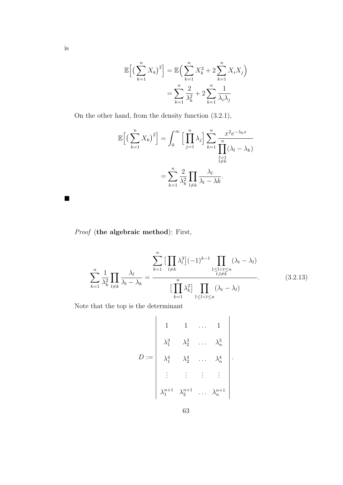$$
\mathbb{E}\Big[\big(\sum_{k=1}^n X_k\big)^2\Big] = \mathbb{E}\Big(\sum_{k=1}^n X_k^2 + 2\sum_{k=1}^n X_i X_j\Big)
$$

$$
= \sum_{k=1}^n \frac{2}{\lambda_k^2} + 2\sum_{k=1}^n \frac{1}{\lambda_i \lambda_j}
$$

On the other hand, from the density function (3.2.1),

$$
\mathbb{E}\Big[\big(\sum_{k=1}^n X_k\big)^2\Big] = \int_0^\infty \Big[\prod_{j=1}^n \lambda_j\Big] \sum_{k=1}^n \frac{x^2 e^{-\lambda_k x}}{\prod_{\substack{l=1 \ l \neq k}}^n (\lambda_l - \lambda_k)}
$$

$$
= \sum_{k=1}^n \frac{2}{\lambda_k^2} \prod_{l \neq k} \frac{\lambda_l}{\lambda_l - \lambda k}.
$$

Proof (the algebraic method): First,

$$
\sum_{k=1}^{n} \frac{1}{\lambda_k^2} \prod_{l \neq k} \frac{\lambda_l}{\lambda_l - \lambda_k} = \frac{\prod_{k=1}^{n} \left[ \prod_{l \neq k} \lambda_l^3 \right] (-1)^{k-1} \prod_{\substack{1 \le l < t \le n \\ i, l \neq k}} (\lambda_t - \lambda_l)}{\left[ \prod_{k=1}^{n} \lambda_k^2 \right] \prod_{1 \le l < t \le n} (\lambda_t - \lambda_l)}.
$$
\n(3.2.13)

Note that the top is the determinant

$$
D := \begin{vmatrix} 1 & 1 & \dots & 1 \\ \lambda_1^3 & \lambda_2^3 & \dots & \lambda_n^3 \\ \lambda_1^4 & \lambda_2^4 & \dots & \lambda_n^4 \\ \vdots & \vdots & \vdots & \vdots \\ \lambda_1^{n+1} & \lambda_2^{n+1} & \dots & \lambda_n^{n+1} \end{vmatrix}.
$$

 $\blacksquare$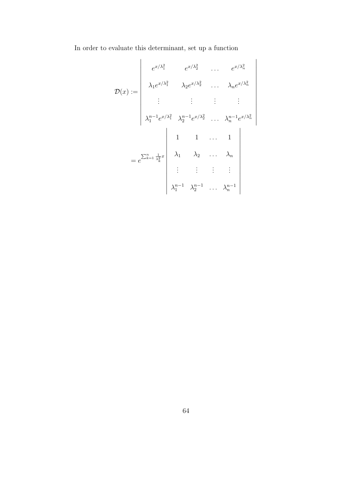In order to evaluate this determinant, set up a function

$$
\mathcal{D}(x) := \begin{vmatrix}\ne^{x/\lambda_1^2} & e^{x/\lambda_2^2} & \dots & e^{x/\lambda_n^2} \\
\lambda_1 e^{x/\lambda_1^2} & \lambda_2 e^{x/\lambda_2^2} & \dots & \lambda_n e^{x/\lambda_n^2} \\
\vdots & \vdots & \vdots & \vdots \\
\lambda_1^{n-1} e^{x/\lambda_1^2} & \lambda_2^{n-1} e^{x/\lambda_2^2} & \dots & \lambda_n^{n-1} e^{x/\lambda_n^2} \\
1 & 1 & \dots & 1 \\
\vdots & \vdots & \vdots & \vdots \\
\lambda_1^{n-1} & \lambda_2^{n-1} & \dots & \lambda_n^{n-1} \\
\vdots & \vdots & \vdots & \vdots \\
\lambda_1^{n-1} & \lambda_2^{n-1} & \dots & \lambda_n^{n-1}\n\end{vmatrix}
$$

 $\overline{\phantom{a}}$ 

 

 $\bigg\}$  $\overline{\phantom{a}}$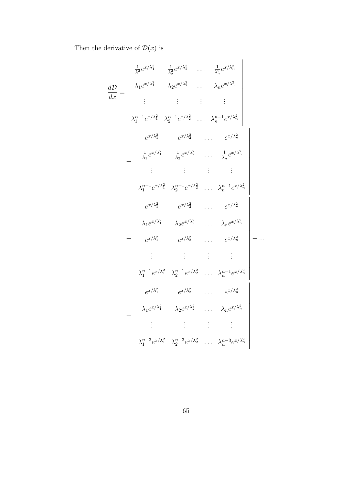Then the derivative of  $\mathcal{D}(x)$  is

$$
\frac{d\mathcal{D}}{dx} = \begin{vmatrix}\n\frac{1}{\lambda_1^2} e^{x/\lambda_1^2} & \frac{1}{\lambda_2^2} e^{x/\lambda_2^2} & \dots & \frac{1}{\lambda_n^2} e^{x/\lambda_n^2} \\
\lambda_1 e^{x/\lambda_1^2} & \lambda_2 e^{x/\lambda_2^2} & \dots & \lambda_n e^{x/\lambda_n^2} \\
\vdots & \vdots & \vdots & \vdots \\
\lambda_1^{n-1} e^{x/\lambda_1^2} & \lambda_2^{n-1} e^{x/\lambda_2^2} & \dots & \lambda_n^{n-1} e^{x/\lambda_n^2} \\
\frac{1}{\lambda_1} e^{x/\lambda_1^2} & \frac{1}{\lambda_2} e^{x/\lambda_2^2} & \dots & \frac{1}{\lambda_n} e^{x/\lambda_n^2} \\
\vdots & \vdots & \vdots & \vdots \\
\lambda_1^{n-1} e^{x/\lambda_1^2} & \lambda_2^{n-1} e^{x/\lambda_2^2} & \dots & \lambda_n^{n-1} e^{x/\lambda_n^2} \\
e^{x/\lambda_1^2} & e^{x/\lambda_2^2} & \dots & e^{x/\lambda_n^2} \\
\lambda_1 e^{x/\lambda_1^2} & \lambda_2 e^{x/\lambda_2^2} & \dots & \lambda_n e^{x/\lambda_n^2} \\
e^{x/\lambda_1^2} & e^{x/\lambda_2^2} & \dots & e^{x/\lambda_n^2} \\
\vdots & \vdots & \vdots & \vdots \\
\lambda_1^{n-1} e^{x/\lambda_1^2} & \lambda_2^{n-1} e^{x/\lambda_2^2} & \dots & \lambda_n^{n-1} e^{x/\lambda_n^2} \\
e^{x/\lambda_1^2} & e^{x/\lambda_2^2} & \dots & e^{x/\lambda_n^2} \\
\lambda_1 e^{x/\lambda_1^2} & \lambda_2 e^{x/\lambda_2^2} & \dots & \lambda_n e^{x/\lambda_n^2} \\
\vdots & \vdots & \vdots & \vdots \\
\lambda_1^{n-3} e^{x/\lambda_1^2} & \lambda_2^{n-3} e^{x/\lambda_2^2} & \dots & \lambda_n^{n-3} e^{x/\lambda_n^2}\n\end{vmatrix}
$$

65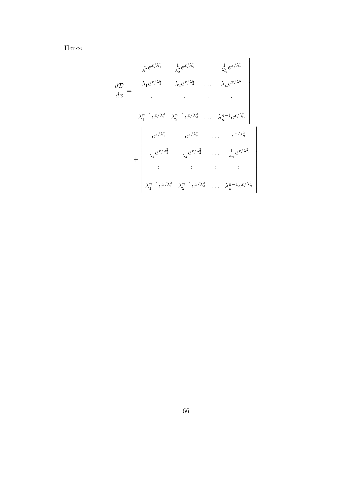Hence

$$
\frac{d\mathcal{D}}{dx} = \begin{vmatrix}\n\frac{1}{\lambda_1^2} e^{x/\lambda_1^2} & \frac{1}{\lambda_2^2} e^{x/\lambda_2^2} & \dots & \frac{1}{\lambda_n^2} e^{x/\lambda_n^2} \\
\lambda_1 e^{x/\lambda_1^2} & \lambda_2 e^{x/\lambda_2^2} & \dots & \lambda_n e^{x/\lambda_n^2} \\
\vdots & \vdots & \vdots & \vdots \\
\lambda_1^{n-1} e^{x/\lambda_1^2} & \lambda_2^{n-1} e^{x/\lambda_2^2} & \dots & \lambda_n^{n-1} e^{x/\lambda_n^2} \\
e^{x/\lambda_1^2} & e^{x/\lambda_2^2} & \dots & e^{x/\lambda_n^2} \\
\frac{1}{\lambda_1} e^{x/\lambda_1^2} & \frac{1}{\lambda_2} e^{x/\lambda_2^2} & \dots & \frac{1}{\lambda_n} e^{x/\lambda_n^2} \\
\vdots & \vdots & \vdots & \vdots \\
\lambda_1^{n-1} e^{x/\lambda_1^2} & \lambda_2^{n-1} e^{x/\lambda_2^2} & \dots & \lambda_n^{n-1} e^{x/\lambda_n^2}\n\end{vmatrix}
$$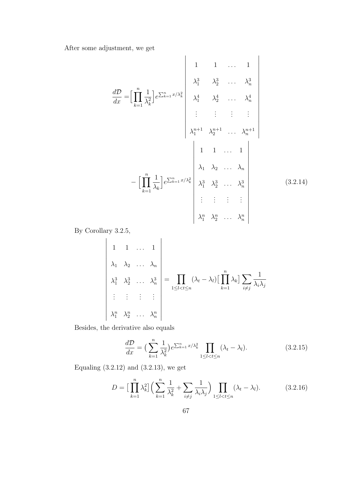After some adjustment, we get

$$
\frac{d\mathcal{D}}{dx} = \left[ \prod_{k=1}^{n} \frac{1}{\lambda_k^2} \right] e^{\sum_{k=1}^{n} x/\lambda_k^2} \begin{vmatrix} 1 & 1 & \dots & 1 \\ \lambda_1^3 & \lambda_2^3 & \dots & \lambda_n^3 \\ \lambda_1^4 & \lambda_2^4 & \dots & \lambda_n^4 \\ \vdots & \vdots & \vdots & \vdots \\ \lambda_1^{n+1} & \lambda_2^{n+1} & \dots & \lambda_n^{n+1} \end{vmatrix}
$$
\n
$$
- \left[ \prod_{k=1}^{n} \frac{1}{\lambda_k} \right] e^{\sum_{k=1}^{n} x/\lambda_k^2} \begin{vmatrix} \lambda_1 & \lambda_2 & \dots & \lambda_n \\ \lambda_1^3 & \lambda_2^3 & \dots & \lambda_n^3 \\ \lambda_1^3 & \lambda_2^3 & \dots & \lambda_n^3 \\ \vdots & \vdots & \vdots & \vdots \\ \lambda_1^{n} & \lambda_2^{n} & \dots & \lambda_n^{n} \end{vmatrix}
$$
\n(3.2.14)

By Corollary 3.2.5,

 $\overline{\phantom{a}}$  $\begin{array}{c} \end{array}$  $\begin{array}{c} \end{array}$  $\Big\}$ 

 

 $\Big\}$  $\Big\}$  $\Big\}$  $\begin{array}{c} \end{array}$  $\begin{array}{c} \end{array}$  $\Big\}$  $\begin{array}{c} \hline \end{array}$ 

1 1 ... 1  
\n
$$
\begin{vmatrix}\n\lambda_1 & \lambda_2 & \dots & \lambda_n \\
\lambda_1^3 & \lambda_2^3 & \dots & \lambda_n^3 \\
\vdots & \vdots & \vdots & \vdots \\
\lambda_1^n & \lambda_2^n & \dots & \lambda_n^n\n\end{vmatrix} = \prod_{1 \leq l < t \leq n} (\lambda_l - \lambda_l) \left[ \prod_{k=1}^n \lambda_k \right] \sum_{i \neq j} \frac{1}{\lambda_i \lambda_j}
$$
\n
$$
\lambda_1^n \lambda_2^n \dots \lambda_n^n
$$

Besides, the derivative also equals

$$
\frac{d\mathcal{D}}{dx} = \left(\sum_{k=1}^{n} \frac{1}{\lambda_k^2}\right) e^{\sum_{k=1}^{n} x/\lambda_k^2} \prod_{1 \le l < t \le n} (\lambda_t - \lambda_l). \tag{3.2.15}
$$

Equaling  $(3.2.12)$  and  $(3.2.13)$ , we get

$$
D = \left[\prod_{k=1}^{n} \lambda_k^2\right] \left(\sum_{k=1}^{n} \frac{1}{\lambda_k^2} + \sum_{i \neq j} \frac{1}{\lambda_i \lambda_j}\right) \prod_{1 \le l < t \le n} (\lambda_t - \lambda_l). \tag{3.2.16}
$$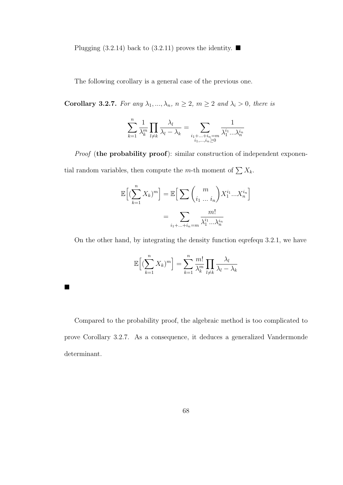Plugging (3.2.14) back to (3.2.11) proves the identity.  $\blacksquare$ 

The following corollary is a general case of the previous one.

Corollary 3.2.7. For any  $\lambda_1, ..., \lambda_n$ ,  $n \ge 2$ ,  $m \ge 2$  and  $\lambda_i > 0$ , there is

$$
\sum_{k=1}^{n} \frac{1}{\lambda_k^m} \prod_{l \neq k} \frac{\lambda_l}{\lambda_l - \lambda_k} = \sum_{\substack{i_1 + \dots + i_n = m \\ i_1, \dots, i_n \ge 0}} \frac{1}{\lambda_1^{i_1} \dots \lambda_n^{i_n}}
$$

Proof (the probability proof): similar construction of independent exponential random variables, then compute the m-th moment of  $\sum X_k$ .

$$
\mathbb{E}\Big[(\sum_{k=1}^{n} X_k)^m\Big] = \mathbb{E}\Big[\sum_{i_1,\dots,i_n} {m \choose i_1 \dots i_n} X_1^{i_1} \dots X_n^{i_n}\Big]
$$

$$
= \sum_{i_1 + \dots + i_n = m} \frac{m!}{\lambda_1^{i_1} \dots \lambda_n^{i_n}}
$$

On the other hand, by integrating the density function eqrefequ 3.2.1, we have

$$
\mathbb{E}\Big[(\sum_{k=1}^{n} X_k)^m\Big] = \sum_{k=1}^{n} \frac{m!}{\lambda_k^m} \prod_{l \neq k} \frac{\lambda_l}{\lambda_l - \lambda_k}
$$

 $\blacksquare$ 

Compared to the probability proof, the algebraic method is too complicated to prove Corollary 3.2.7. As a consequence, it deduces a generalized Vandermonde determinant.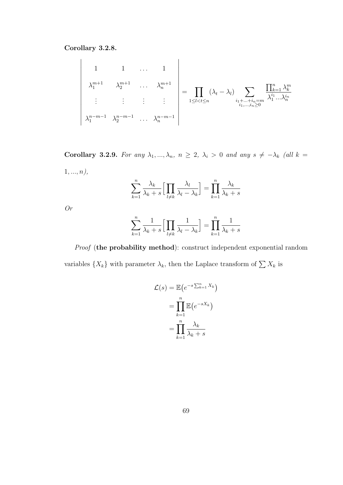Corollary 3.2.8.

 $\overline{\phantom{a}}$  $\overline{\phantom{a}}$  $\overline{\phantom{a}}$  $\bigg\}$  $\bigg\}$  $\bigg\}$  $\bigg\}$  $\overline{\phantom{a}}$  $\overline{\phantom{a}}$  $\overline{\phantom{a}}$  $\overline{\phantom{a}}$  $\bigg\}$  $\bigg\}$  $\bigg\}$  $\overline{\phantom{a}}$  $\vert$ 

1 1 ... 1  
\n
$$
\lambda_1^{m+1} \lambda_2^{m+1} \dots \lambda_n^{m+1}
$$
\n
$$
\vdots \qquad \vdots \qquad \vdots
$$
\n
$$
\vdots \qquad \vdots \qquad \vdots
$$
\n
$$
\lambda_1^{n-m-1} \lambda_2^{n-m-1} \dots \lambda_n^{n-m-1}
$$
\n
$$
\begin{array}{ccc}\n\vdots & \vdots & \vdots \\
\downarrow & \downarrow & \downarrow & \downarrow \\
\downarrow & \downarrow & \downarrow & \downarrow \\
\downarrow & \downarrow & \downarrow & \downarrow \\
\downarrow & \downarrow & \downarrow & \downarrow \\
\downarrow & \downarrow & \downarrow & \downarrow \\
\downarrow & \downarrow & \downarrow & \downarrow \\
\downarrow & \downarrow & \downarrow & \downarrow \\
\downarrow & \downarrow & \downarrow & \downarrow \\
\downarrow & \downarrow & \downarrow & \downarrow \\
\downarrow & \downarrow & \downarrow & \downarrow \\
\downarrow & \downarrow & \downarrow & \downarrow \\
\downarrow & \downarrow & \downarrow & \downarrow \\
\downarrow & \downarrow & \downarrow & \downarrow \\
\downarrow & \downarrow & \downarrow & \downarrow \\
\downarrow & \downarrow & \downarrow & \downarrow \\
\downarrow & \downarrow & \downarrow & \downarrow \\
\downarrow & \downarrow & \downarrow & \downarrow \\
\downarrow & \downarrow & \downarrow & \downarrow \\
\downarrow & \downarrow & \downarrow & \downarrow \\
\downarrow & \downarrow & \downarrow & \downarrow \\
\downarrow & \downarrow & \downarrow & \downarrow \\
\downarrow & \downarrow & \downarrow & \downarrow \\
\downarrow & \downarrow & \downarrow & \downarrow \\
\downarrow & \downarrow & \downarrow & \downarrow \\
\downarrow & \downarrow & \downarrow & \downarrow \\
\downarrow & \downarrow & \downarrow & \downarrow \\
\downarrow & \downarrow & \downarrow & \downarrow \\
\downarrow & \downarrow & \downarrow & \downarrow \\
\downarrow & \downarrow & \downarrow & \downarrow \\
\downarrow & \downarrow & \downarrow & \downarrow \\
\downarrow & \downarrow & \downarrow & \downarrow \\
\downarrow & \downarrow & \downarrow & \downarrow \\
\downarrow & \downarrow & \downarrow & \downarrow \\
\downarrow & \downarrow & \downarrow & \downarrow \\
\downarrow & \downarrow & \downarrow & \downarrow \\
\downarrow & \downarrow & \downarrow & \downarrow \\
\downarrow & \downarrow & \downarrow & \downarrow \\
\downarrow & \downarrow & \downarrow & \downarrow \\
$$

Corollary 3.2.9. For any  $\lambda_1, ..., \lambda_n$ ,  $n \geq 2$ ,  $\lambda_i > 0$  and any  $s \neq -\lambda_k$  (all  $k =$  $1, ..., n$ ),

$$
\sum_{k=1}^{n} \frac{\lambda_k}{\lambda_k + s} \Big[ \prod_{l \neq k} \frac{\lambda_l}{\lambda_l - \lambda_k} \Big] = \prod_{k=1}^{n} \frac{\lambda_k}{\lambda_k + s}
$$

Or

$$
\sum_{k=1}^{n} \frac{1}{\lambda_k + s} \Big[ \prod_{l \neq k} \frac{1}{\lambda_l - \lambda_k} \Big] = \prod_{k=1}^{n} \frac{1}{\lambda_k + s}
$$

Proof (the probability method): construct independent exponential random variables  $\{X_k\}$  with parameter  $\lambda_k$ , then the Laplace transform of  $\sum X_k$  is

$$
\mathcal{L}(s) = \mathbb{E}\left(e^{-s\sum_{k=1}^{n} X_k}\right)
$$

$$
= \prod_{k=1}^{n} \mathbb{E}\left(e^{-sX_k}\right)
$$

$$
= \prod_{k=1}^{n} \frac{\lambda_k}{\lambda_k + s}
$$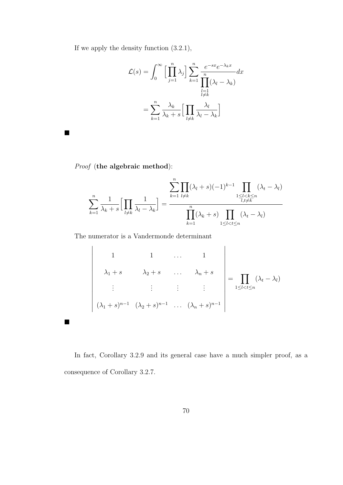If we apply the density function (3.2.1),

$$
\mathcal{L}(s) = \int_0^\infty \left[ \prod_{j=1}^n \lambda_j \right] \sum_{k=1}^n \frac{e^{-sx} e^{-\lambda_k x}}{\prod_{\substack{l=1 \ l \neq k}}^n (\lambda_l - \lambda_k)} dx
$$

$$
= \sum_{k=1}^n \frac{\lambda_k}{\lambda_k + s} \left[ \prod_{\substack{l \neq k}} \frac{\lambda_l}{\lambda_l - \lambda_k} \right]
$$

Proof (the algebraic method):

 $\overline{\phantom{a}}$  $\overline{\phantom{a}}$  $\bigg\}$  $\bigg\}$  $\overline{\phantom{a}}$  $\overline{\phantom{a}}$  $\overline{\phantom{a}}$  $\overline{\phantom{a}}$  $\overline{\phantom{a}}$  $\bigg\}$  $\bigg\}$  $\bigg\}$  $\overline{\phantom{a}}$  $\overline{\phantom{a}}$  $\overline{\phantom{a}}$  $\overline{\phantom{a}}$ 

 $\blacksquare$ 

 $\blacksquare$ 

$$
\sum_{k=1}^{n} \frac{1}{\lambda_k + s} \Big[ \prod_{l \neq k} \frac{1}{\lambda_l - \lambda_k} \Big] = \frac{\sum_{k=1}^{n} \prod_{l \neq k} (\lambda_l + s)(-1)^{k-1} \prod_{\substack{1 \leq l < k \leq n \\ l, l \neq k}} (\lambda_l - \lambda_l)}{\prod_{k=1}^{n} (\lambda_k + s) \prod_{\substack{1 \leq l < l \leq n \\ l < l < l}} (\lambda_l - \lambda_l)}
$$

The numerator is a Vandermonde determinant

1 1 ... 1  
\n
$$
\lambda_1 + s \qquad \lambda_2 + s \qquad \dots \qquad \lambda_n + s
$$
\n
$$
\vdots \qquad \vdots \qquad \vdots \qquad \vdots \qquad \vdots
$$
\n
$$
(\lambda_1 + s)^{n-1} (\lambda_2 + s)^{n-1} \qquad \dots \qquad (\lambda_n + s)^{n-1}
$$

In fact, Corollary 3.2.9 and its general case have a much simpler proof, as a consequence of Corollary 3.2.7.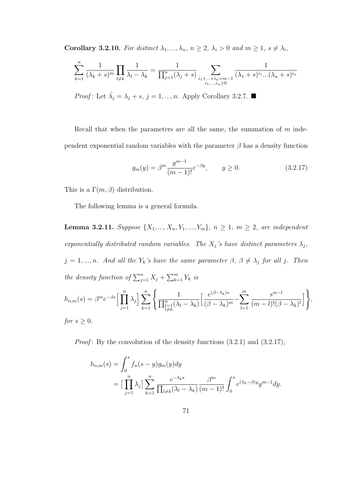Corollary 3.2.10. For distinct  $\lambda_1, ..., \lambda_n$ ,  $n \geq 2$ ,  $\lambda_i > 0$  and  $m \geq 1$ ,  $s \neq \lambda_i$ ,

$$
\sum_{k=1}^{n} \frac{1}{(\lambda_k + s)^m} \prod_{l \neq k} \frac{1}{\lambda_l - \lambda_k} = \frac{1}{\prod_{j=1}^{n} (\lambda_j + s)} \sum_{\substack{i_1 + \dots + i_n = m-1 \\ i_1, \dots, i_n \ge 0}} \frac{1}{(\lambda_1 + s)^{i_1} \dots (\lambda_n + s)^{i_n}}
$$

*Proof*: Let  $\tilde{\lambda}_j = \lambda_j + s, j = 1, ..., n$ . Apply Corollary 3.2.7.

Recall that when the parameters are all the same, the summation of  $m$  independent exponential random variables with the parameter  $\beta$  has a density function

$$
g_m(y) = \beta^m \frac{y^{m-1}}{(m-1)!} e^{-\beta y}, \qquad y \ge 0.
$$
 (3.2.17)

This is a  $\Gamma(m, \beta)$  distribution.

The following lemma is a general formula.

**Lemma 3.2.11.** Suppose  $\{X_1, ..., X_n, Y_1, ..., Y_m\}$ ,  $n \ge 1$ ,  $m \ge 2$ , are independent exponentially distributed random variables. The  $X_j$ 's have distinct parameters  $\lambda_j$ ,  $j = 1, ..., n$ . And all the  $Y_k$ 's have the same parameter  $\beta, \beta \neq \lambda_j$  for all j. Then the density function of  $\sum_{j=1}^{n} X_j + \sum_{k=1}^{m} Y_k$  is  $-\beta s \left[ \prod^{n} \right]$  $\left| \int_{0}^{n}$ 1  $\sqrt{ }$ e  $(\beta - \lambda_k)s$  $\sum_{m}$ s  $m-l$ i

$$
h_{n,m}(s) = \beta^m e^{-\beta s} \Big[ \prod_{j=1}^n \lambda_j \Big] \sum_{k=1}^n \Bigg\{ \frac{1}{\prod_{\substack{l=1 \ l \neq k}}^n (\lambda_l - \lambda_k)} \Big[ \frac{e^{(\beta - \lambda_k)s}}{(\beta - \lambda_k)^m} - \sum_{l=1}^m \frac{s^{m-l}}{(m-l)!(\beta - \lambda_k)^l} \Big] \Bigg\},
$$
  
for  $s \ge 0$ .

*Proof*: By the convolution of the density functions  $(3.2.1)$  and  $(3.2.17)$ ,

$$
h_{n,m}(s) = \int_0^s f_n(s-y)g_m(y)dy
$$
  
= 
$$
\left[\prod_{j=1}^n \lambda_j\right] \sum_{k=1}^n \frac{e^{-\lambda_k s}}{\prod_{l \neq k} (\lambda_l - \lambda_k)} \frac{\beta^m}{(m-1)!} \int_0^s e^{(\lambda_k - \beta)y} y^{m-1} dy.
$$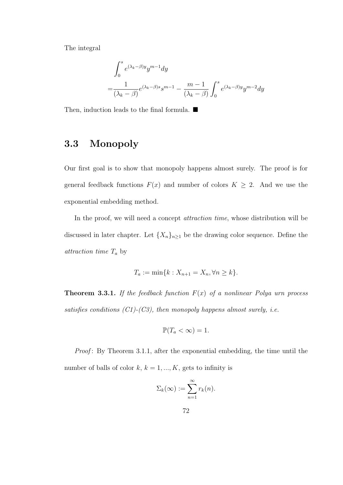The integral

$$
\int_0^s e^{(\lambda_k - \beta)y} y^{m-1} dy
$$
  
= 
$$
\frac{1}{(\lambda_k - \beta)} e^{(\lambda_k - \beta)s} s^{m-1} - \frac{m-1}{(\lambda_k - \beta)} \int_0^s e^{(\lambda_k - \beta)y} y^{m-2} dy
$$

Then, induction leads to the final formula.  $\blacksquare$ 

## 3.3 Monopoly

Our first goal is to show that monopoly happens almost surely. The proof is for general feedback functions  $F(x)$  and number of colors  $K \geq 2$ . And we use the exponential embedding method.

In the proof, we will need a concept *attraction time*, whose distribution will be discussed in later chapter. Let  ${X_n}_{n\geq 1}$  be the drawing color sequence. Define the attraction time  $T_a$  by

$$
T_a := \min\{k : X_{n+1} = X_n, \forall n \ge k\}.
$$

**Theorem 3.3.1.** If the feedback function  $F(x)$  of a nonlinear Polya urn process satisfies conditions  $(C1)-(C3)$ , then monopoly happens almost surely, i.e.

$$
\mathbb{P}(T_a < \infty) = 1.
$$

Proof: By Theorem 3.1.1, after the exponential embedding, the time until the number of balls of color  $k, k = 1, ..., K$ , gets to infinity is

$$
\Sigma_k(\infty) := \sum_{n=1}^{\infty} r_k(n).
$$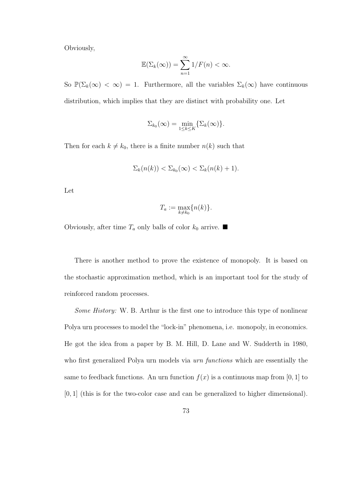Obviously,

$$
\mathbb{E}(\Sigma_k(\infty)) = \sum_{n=1}^{\infty} 1/F(n) < \infty.
$$

So  $\mathbb{P}(\Sigma_k(\infty) < \infty) = 1$ . Furthermore, all the variables  $\Sigma_k(\infty)$  have continuous distribution, which implies that they are distinct with probability one. Let

$$
\Sigma_{k_0}(\infty)=\min_{1\leq k\leq K}\{\Sigma_k(\infty)\}.
$$

Then for each  $k \neq k_0$ , there is a finite number  $n(k)$  such that

$$
\Sigma_k(n(k)) < \Sigma_{k_0}(\infty) < \Sigma_k(n(k) + 1).
$$

Let

$$
T_a := \max_{k \neq k_0} \{n(k)\}.
$$

Obviously, after time  $T_a$  only balls of color  $k_0$  arrive.

There is another method to prove the existence of monopoly. It is based on the stochastic approximation method, which is an important tool for the study of reinforced random processes.

Some History: W. B. Arthur is the first one to introduce this type of nonlinear Polya urn processes to model the "lock-in" phenomena, i.e. monopoly, in economics. He got the idea from a paper by B. M. Hill, D. Lane and W. Sudderth in 1980, who first generalized Polya urn models via *urn functions* which are essentially the same to feedback functions. An urn function  $f(x)$  is a continuous map from [0, 1] to [0, 1] (this is for the two-color case and can be generalized to higher dimensional).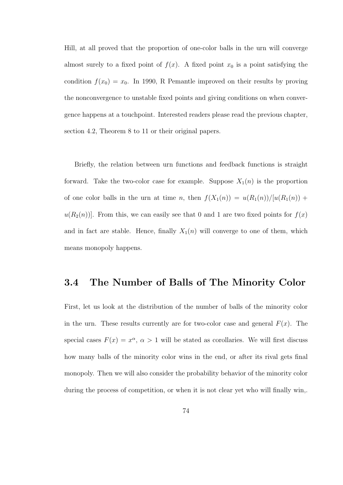Hill, at all proved that the proportion of one-color balls in the urn will converge almost surely to a fixed point of  $f(x)$ . A fixed point  $x_0$  is a point satisfying the condition  $f(x_0) = x_0$ . In 1990, R Pemantle improved on their results by proving the nonconvergence to unstable fixed points and giving conditions on when convergence happens at a touchpoint. Interested readers please read the previous chapter, section 4.2, Theorem 8 to 11 or their original papers.

Briefly, the relation between urn functions and feedback functions is straight forward. Take the two-color case for example. Suppose  $X_1(n)$  is the proportion of one color balls in the urn at time n, then  $f(X_1(n)) = u(R_1(n))/[u(R_1(n)) +$  $u(R_2(n))$ . From this, we can easily see that 0 and 1 are two fixed points for  $f(x)$ and in fact are stable. Hence, finally  $X_1(n)$  will converge to one of them, which means monopoly happens.

### 3.4 The Number of Balls of The Minority Color

First, let us look at the distribution of the number of balls of the minority color in the urn. These results currently are for two-color case and general  $F(x)$ . The special cases  $F(x) = x^{\alpha}, \alpha > 1$  will be stated as corollaries. We will first discuss how many balls of the minority color wins in the end, or after its rival gets final monopoly. Then we will also consider the probability behavior of the minority color during the process of competition, or when it is not clear yet who will finally win,.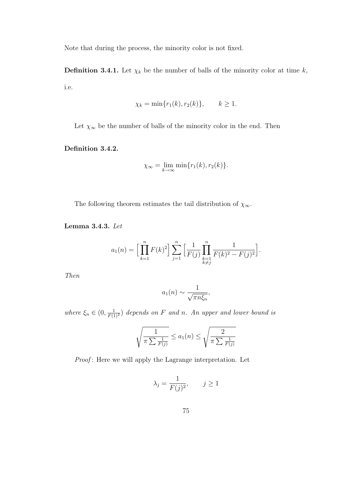Note that during the process, the minority color is not fixed.

**Definition 3.4.1.** Let  $\chi_k$  be the number of balls of the minority color at time k, i.e.

$$
\chi_k = \min\{r_1(k), r_2(k)\}, \qquad k \ge 1.
$$

Let  $\chi_{\infty}$  be the number of balls of the minority color in the end. Then

Definition 3.4.2.

$$
\chi_{\infty} = \lim_{k \to \infty} \min \{ r_1(k), r_2(k) \}.
$$

The following theorem estimates the tail distribution of  $\chi_{\infty}$ .

Lemma 3.4.3. Let

$$
a_1(n) = \Big[\prod_{k=1}^n F(k)^2\Big] \sum_{j=1}^n \Big[\frac{1}{F(j)} \prod_{\substack{k=1 \ k \neq j}}^n \frac{1}{F(k)^2 - F(j)^2}\Big].
$$

Then

$$
a_1(n) \sim \frac{1}{\sqrt{\pi n \xi_n}},
$$

where  $\xi_n \in (0, \frac{1}{F(1)^2})$  depends on F and n. An upper and lower bound is

$$
\sqrt{\frac{1}{\pi \sum_{\substack{1 \ \overline{F}(j)}}} \le a_1(n)} \le \sqrt{\frac{2}{\pi \sum_{\substack{1 \ \overline{F}(j)}}}}
$$

Proof: Here we will apply the Lagrange interpretation. Let

$$
\lambda_j = \frac{1}{F(j)^2}, \qquad j \ge 1
$$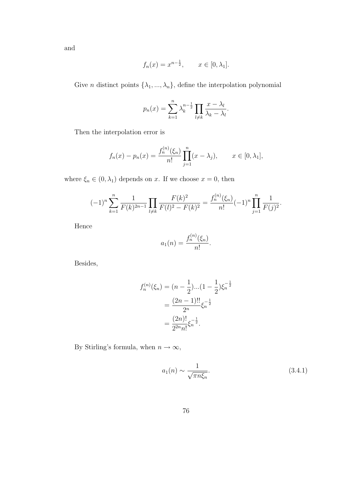and

$$
f_n(x) = x^{n-\frac{1}{2}}, \quad x \in [0, \lambda_1].
$$

Give *n* distinct points  $\{\lambda_1, ..., \lambda_n\}$ , define the interpolation polynomial

$$
p_n(x) = \sum_{k=1}^n \lambda_k^{n-\frac{1}{2}} \prod_{l \neq k} \frac{x - \lambda_l}{\lambda_k - \lambda_l}.
$$

Then the interpolation error is

$$
f_n(x) - p_n(x) = \frac{f_n^{(n)}(\xi_n)}{n!} \prod_{j=1}^n (x - \lambda_j), \qquad x \in [0, \lambda_1],
$$

where  $\xi_n \in (0, \lambda_1)$  depends on x. If we choose  $x = 0$ , then

$$
(-1)^n \sum_{k=1}^n \frac{1}{F(k)^{2n-1}} \prod_{l \neq k} \frac{F(k)^2}{F(l)^2 - F(k)^2} = \frac{f_n^{(n)}(\xi_n)}{n!} (-1)^n \prod_{j=1}^n \frac{1}{F(j)^2}.
$$

Hence

$$
a_1(n) = \frac{f_n^{(n)}(\xi_n)}{n!}.
$$

Besides,

$$
f_n^{(n)}(\xi_n) = (n - \frac{1}{2})...(1 - \frac{1}{2})\xi_n^{-\frac{1}{2}}
$$

$$
= \frac{(2n-1)!!}{2^n}\xi_n^{-\frac{1}{2}}
$$

$$
= \frac{(2n)!}{2^{2n}n!}\xi_n^{-\frac{1}{2}}.
$$

By Stirling's formula, when  $n\to\infty,$ 

$$
a_1(n) \sim \frac{1}{\sqrt{\pi n \xi_n}}.\tag{3.4.1}
$$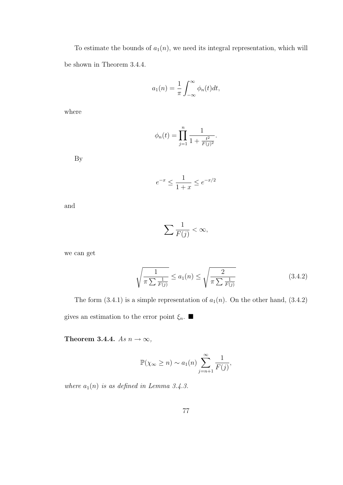To estimate the bounds of  $a_1(n)$ , we need its integral representation, which will be shown in Theorem 3.4.4.

$$
a_1(n) = \frac{1}{\pi} \int_{-\infty}^{\infty} \phi_n(t) dt,
$$

where

$$
\phi_n(t) = \prod_{j=1}^n \frac{1}{1 + \frac{t^2}{F(j)^2}}.
$$

By

$$
e^{-x} \le \frac{1}{1+x} \le e^{-x/2}
$$

and

$$
\sum \frac{1}{F(j)} < \infty,
$$

we can get

$$
\sqrt{\frac{1}{\pi \sum_{F(j)}}} \le a_1(n) \le \sqrt{\frac{2}{\pi \sum_{F(j)}}}
$$
\n(3.4.2)

The form  $(3.4.1)$  is a simple representation of  $a_1(n)$ . On the other hand,  $(3.4.2)$ gives an estimation to the error point  $\xi_n$ .  $\blacksquare$ 

Theorem 3.4.4. As  $n \to \infty$ ,

$$
\mathbb{P}(\chi_{\infty} \geq n) \sim a_1(n) \sum_{j=n+1}^{\infty} \frac{1}{F(j)},
$$

where  $a_1(n)$  is as defined in Lemma 3.4.3.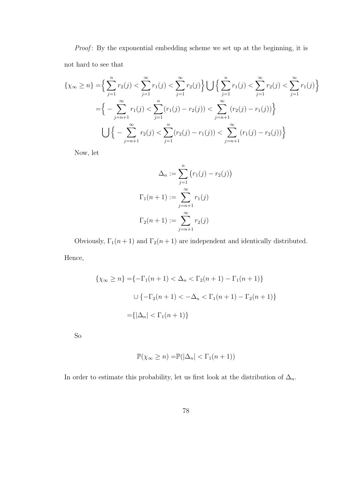Proof: By the exponential embedding scheme we set up at the beginning, it is not hard to see that

$$
\{\chi_{\infty} \ge n\} = \Big\{\sum_{j=1}^{n} r_2(j) < \sum_{j=1}^{\infty} r_1(j) < \sum_{j=1}^{\infty} r_2(j) \Big\} \bigcup \Big\{\sum_{j=1}^{n} r_1(j) < \sum_{j=1}^{\infty} r_2(j) < \sum_{j=1}^{\infty} r_1(j) \Big\}
$$
\n
$$
= \Big\{-\sum_{j=n+1}^{\infty} r_1(j) < \sum_{j=1}^{n} (r_1(j) - r_2(j)) < \sum_{j=n+1}^{\infty} (r_2(j) - r_1(j)) \Big\}
$$
\n
$$
\bigcup \Big\{-\sum_{j=n+1}^{\infty} r_2(j) < \sum_{j=1}^{n} (r_2(j) - r_1(j)) < \sum_{j=n+1}^{\infty} (r_1(j) - r_2(j)) \Big\}
$$

Now, let

$$
\Delta_n := \sum_{j=1}^n (r_1(j) - r_2(j))
$$
  

$$
\Gamma_1(n+1) := \sum_{j=n+1}^\infty r_1(j)
$$
  

$$
\Gamma_2(n+1) := \sum_{j=n+1}^\infty r_2(j)
$$

Obviously,  $\Gamma_1(n+1)$  and  $\Gamma_2(n+1)$  are independent and identically distributed. Hence,

$$
\{\chi_{\infty} \ge n\} = \{-\Gamma_1(n+1) < \Delta_n < \Gamma_2(n+1) - \Gamma_1(n+1)\}
$$
\n
$$
\cup \{-\Gamma_2(n+1) < -\Delta_n < \Gamma_1(n+1) - \Gamma_2(n+1)\}
$$
\n
$$
= \{|\Delta_n| < \Gamma_1(n+1)\}
$$

So

$$
\mathbb{P}(\chi_{\infty} \ge n) = \mathbb{P}(|\Delta_n| < \Gamma_1(n+1))
$$

In order to estimate this probability, let us first look at the distribution of  $\Delta_n$ .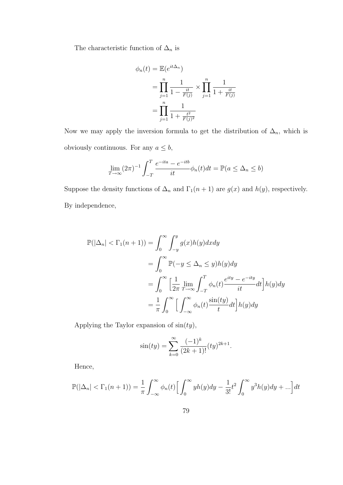The characteristic function of  $\Delta_n$  is

$$
\phi_n(t) = \mathbb{E}(e^{it\Delta_n})
$$
  
=  $\prod_{j=1}^n \frac{1}{1 - \frac{it}{F(j)}} \times \prod_{j=1}^n \frac{1}{1 + \frac{it}{F(j)}}$   
=  $\prod_{j=1}^n \frac{1}{1 + \frac{t^2}{F(j)^2}}$ 

Now we may apply the inversion formula to get the distribution of  $\Delta_n$ , which is obviously continuous. For any  $a \leq b$ ,

$$
\lim_{T \to \infty} (2\pi)^{-1} \int_{-T}^{T} \frac{e^{-ita} - e^{-itb}}{it} \phi_n(t) dt = \mathbb{P}(a \le \Delta_n \le b)
$$

Suppose the density functions of  $\Delta_n$  and  $\Gamma_1(n+1)$  are  $g(x)$  and  $h(y)$ , respectively. By independence,

$$
\mathbb{P}(|\Delta_n| < \Gamma_1(n+1)) = \int_0^\infty \int_{-y}^y g(x)h(y)dxdy
$$
\n
$$
= \int_0^\infty \mathbb{P}(-y \le \Delta_n \le y)h(y)dy
$$
\n
$$
= \int_0^\infty \left[\frac{1}{2\pi} \lim_{T \to \infty} \int_{-T}^T \phi_n(t) \frac{e^{ity} - e^{-ity}}{it} dt\right] h(y)dy
$$
\n
$$
= \frac{1}{\pi} \int_0^\infty \left[\int_{-\infty}^\infty \phi_n(t) \frac{\sin(ty)}{t} dt\right] h(y)dy
$$

Applying the Taylor expansion of  $sin(ty)$ ,

$$
\sin(ty) = \sum_{k=0}^{\infty} \frac{(-1)^k}{(2k+1)!} (ty)^{2k+1}.
$$

Hence,

$$
\mathbb{P}(|\Delta_n| < \Gamma_1(n+1)) = \frac{1}{\pi} \int_{-\infty}^{\infty} \phi_n(t) \left[ \int_0^{\infty} y h(y) dy - \frac{1}{3!} t^2 \int_0^{\infty} y^3 h(y) dy + \ldots \right] dt
$$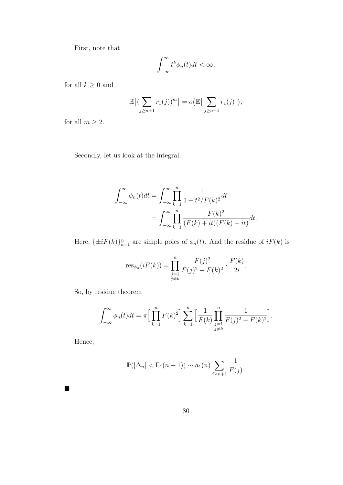First, note that

$$
\int_{-\infty}^{\infty} t^k \phi_n(t) dt < \infty,
$$

for all  $k\geq 0$  and

$$
\mathbb{E}\big[\big(\sum_{j\geq n+1}r_1(j)\big)^m\big] = o\big(\mathbb{E}\big[\sum_{j\geq n+1}r_1(j)\big]\big),\,
$$

for all  $m\geq 2.$ 

Secondly, let us look at the integral,

$$
\int_{-\infty}^{\infty} \phi_n(t)dt = \int_{-\infty}^{\infty} \prod_{k=1}^n \frac{1}{1 + t^2/F(k)^2} dt
$$

$$
= \int_{-\infty}^{\infty} \prod_{k=1}^n \frac{F(k)^2}{(F(k) + it)(F(k) - it)} dt.
$$

Here,  $\{\pm iF(k)\}_{k=1}^n$  are simple poles of  $\phi_n(t)$ . And the residue of  $iF(k)$  is

$$
\text{res}_{\phi_n}(iF(k)) = \prod_{\substack{j=1 \ j \neq k}}^n \frac{F(j)^2}{F(j)^2 - F(k)^2} \cdot \frac{F(k)}{2i}.
$$

So, by residue theorem

$$
\int_{-\infty}^{\infty} \phi_n(t) dt = \pi \Big[ \prod_{k=1}^n F(k)^2 \Big] \sum_{k=1}^n \Big[ \frac{1}{F(k)} \prod_{\substack{j=1 \ j \neq k}}^n \frac{1}{F(j)^2 - F(k)^2} \Big].
$$

Hence,

 $\blacksquare$ 

$$
\mathbb{P}(|\Delta_n| < \Gamma_1(n+1)) \sim a_1(n) \sum_{j \ge n+1} \frac{1}{F(j)}.
$$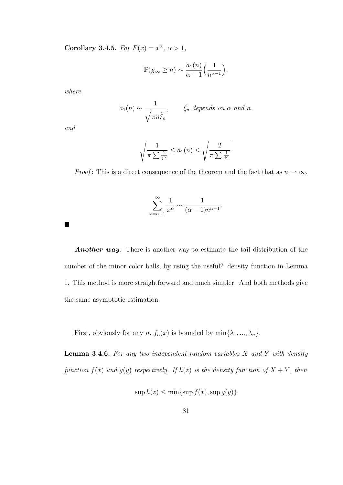Corollary 3.4.5. For  $F(x) = x^{\alpha}, \alpha > 1$ ,

$$
\mathbb{P}(\chi_{\infty} \ge n) \sim \frac{\tilde{a}_1(n)}{\alpha - 1} \left( \frac{1}{n^{\alpha - 1}} \right),\,
$$

where

$$
\tilde{a}_1(n) \sim \frac{1}{\sqrt{\pi n \tilde{\xi}_n}},
$$
  $\tilde{\xi}_n$  depends on  $\alpha$  and n.

and

 $\blacksquare$ 

$$
\sqrt{\frac{1}{\pi \sum \frac{1}{j^{\alpha}}}} \leq \tilde{a}_1(n) \leq \sqrt{\frac{2}{\pi \sum \frac{1}{j^{\alpha}}}}.
$$

*Proof*: This is a direct consequence of the theorem and the fact that as  $n \to \infty$ ,

$$
\sum_{x=n+1}^{\infty} \frac{1}{x^{\alpha}} \sim \frac{1}{(\alpha-1)n^{\alpha-1}}.
$$

Another way: There is another way to estimate the tail distribution of the number of the minor color balls, by using the useful? density function in Lemma 1. This method is more straightforward and much simpler. And both methods give the same asymptotic estimation.

First, obviously for any  $n, f_n(x)$  is bounded by  $\min\{\lambda_1, ..., \lambda_n\}.$ 

**Lemma 3.4.6.** For any two independent random variables  $X$  and  $Y$  with density function  $f(x)$  and  $g(y)$  respectively. If  $h(z)$  is the density function of  $X + Y$ , then

$$
\sup h(z) \le \min\{\sup f(x), \sup g(y)\}\
$$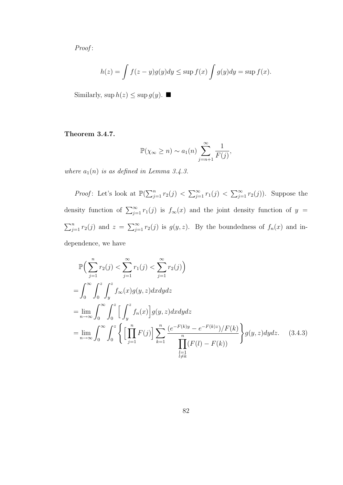Proof:

$$
h(z) = \int f(z - y)g(y)dy \le \sup f(x) \int g(y)dy = \sup f(x).
$$

Similarly,  $\sup h(z) \leq \sup g(y)$ .

### Theorem 3.4.7.

$$
\mathbb{P}(\chi_{\infty} \geq n) \sim a_1(n) \sum_{j=n+1}^{\infty} \frac{1}{F(j)},
$$

where  $a_1(n)$  is as defined in Lemma 3.4.3.

*Proof*: Let's look at  $\mathbb{P}(\sum_{j=1}^n r_2(j) < \sum_{j=1}^\infty r_1(j) < \sum_{j=1}^\infty r_2(j))$ . Suppose the density function of  $\sum_{j=1}^{\infty} r_1(j)$  is  $f_{\infty}(x)$  and the joint density function of  $y =$  $\sum_{j=1}^n r_2(j)$  and  $z = \sum_{j=1}^\infty r_2(j)$  is  $g(y, z)$ . By the boundedness of  $f_n(x)$  and independence, we have

$$
\mathbb{P}\Big(\sum_{j=1}^{n} r_2(j) < \sum_{j=1}^{\infty} r_1(j) < \sum_{j=1}^{\infty} r_2(j)\Big) \n= \int_0^{\infty} \int_0^z \int_y^z f_{\infty}(x)g(y,z)dxdydz \n= \lim_{n \to \infty} \int_0^{\infty} \int_0^z \left[ \int_y^z f_n(x) \right] g(y,z)dxdydz \n= \lim_{n \to \infty} \int_0^{\infty} \int_0^z \left\{ \left[ \prod_{j=1}^n F(j) \right] \sum_{k=1}^n \frac{(e^{-F(k)y} - e^{-F(k)z})/F(k)}{\prod_{\substack{l=1 \ l \neq k}}^n} \right\} g(y,z)dydz. \quad (3.4.3)
$$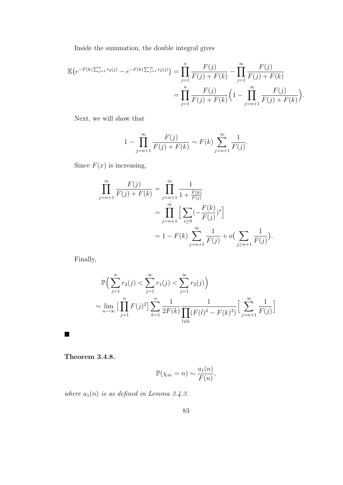Inside the summation, the double integral gives

$$
\mathbb{E}\left(e^{-F(k)\sum_{j=1}^{n}r_2(j)} - e^{-F(k)\sum_{j=1}^{\infty}r_2(j)}\right) = \prod_{j=1}^{n} \frac{F(j)}{F(j) + F(k)} - \prod_{j=1}^{\infty} \frac{F(j)}{F(j) + F(k)}
$$

$$
= \prod_{j=1}^{n} \frac{F(j)}{F(j) + F(k)} \left(1 - \prod_{j=n+1}^{\infty} \frac{F(j)}{F(j) + F(k)}\right).
$$

Next, we will show that

$$
1 - \prod_{j=n+1}^{\infty} \frac{F(j)}{F(j) + F(k)} \sim F(k) \sum_{j=n+1}^{\infty} \frac{1}{F(j)}.
$$

Since  $F(x)$  is increasing,

$$
\prod_{j=n+1}^{\infty} \frac{F(j)}{F(j) + F(k)} = \prod_{j=n+1}^{\infty} \frac{1}{1 + \frac{F(k)}{F(j)}}
$$
\n
$$
= \prod_{j=n+1}^{\infty} \Big[ \sum_{s \ge 0} \left( -\frac{F(k)}{F(j)} \right)^s \Big]
$$
\n
$$
= 1 - F(k) \sum_{j=n+1}^{\infty} \frac{1}{F(j)} + o\left( \sum_{j \ge n+1} \frac{1}{F(j)} \right).
$$

Finally,

$$
\mathbb{P}\Big(\sum_{j=1}^{n} r_2(j) < \sum_{j=1}^{\infty} r_1(j) < \sum_{j=1}^{\infty} r_2(j)\Big) \\
\sim \lim_{n \to \infty} \Big[\prod_{j=1}^{n} F(j)^2\Big] \sum_{k=1}^{n} \frac{1}{2F(k)} \frac{1}{\prod_{l \neq k} (F(l)^2 - F(k)^2)} \Big[\sum_{j=n+1}^{\infty} \frac{1}{F(j)}\Big]
$$

Theorem 3.4.8.

 $\blacksquare$ 

$$
\mathbb{P}(\chi_{\infty} = n) \sim \frac{a_1(n)}{F(n)},
$$

where  $a_1(n)$  is as defined in Lemma 3.4.3.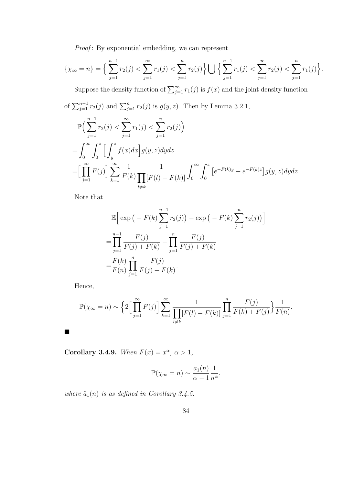Proof: By exponential embedding, we can represent

$$
\{\chi_{\infty}=n\}=\Big\{\sum_{j=1}^{n-1}r_2(j)<\sum_{j=1}^{\infty}r_1(j)<\sum_{j=1}^nr_2(j)\Big\}\bigcup\Big\{\sum_{j=1}^{n-1}r_1(j)<\sum_{j=1}^{\infty}r_2(j)<\sum_{j=1}^nr_1(j)\Big\}.
$$

Suppose the density function of  $\sum_{j=1}^{\infty} r_1(j)$  is  $f(x)$  and the joint density function

of 
$$
\sum_{j=1}^{n-1} r_2(j)
$$
 and  $\sum_{j=1}^{n} r_2(j)$  is  $g(y, z)$ . Then by Lemma 3.2.1,

$$
\mathbb{P}\Big(\sum_{j=1}^{n-1} r_2(j) < \sum_{j=1}^{\infty} r_1(j) < \sum_{j=1}^n r_2(j)\Big) \n= \int_0^{\infty} \int_0^z \Big[\int_y^z f(x)dx\Big] g(y,z) dydz \n= \Big[\prod_{j=1}^{\infty} F(j)\Big] \sum_{k=1}^{\infty} \frac{1}{F(k)} \frac{1}{\prod_{l \neq k} [F(l) - F(k)]} \int_0^{\infty} \int_0^z \Big[e^{-F(k)y} - e^{-F(k)z}\Big] g(y,z) dydz.
$$

Note that

$$
\mathbb{E}\Big[\exp\big(-F(k)\sum_{j=1}^{n-1}r_2(j)\big)-\exp\big(-F(k)\sum_{j=1}^{n}r_2(j)\big)\Big]
$$
  
=
$$
\prod_{j=1}^{n-1}\frac{F(j)}{F(j)+F(k)}-\prod_{j=1}^{n}\frac{F(j)}{F(j)+F(k)}
$$
  
=
$$
\frac{F(k)}{F(n)}\prod_{j=1}^{n}\frac{F(j)}{F(j)+F(k)}.
$$

Hence,

 $\blacksquare$ 

$$
\mathbb{P}(\chi_{\infty} = n) \sim \left\{ 2 \Big[ \prod_{j=1}^{\infty} F(j) \Big] \sum_{k=1}^{\infty} \frac{1}{\prod_{l \neq k} [F(l) - F(k)]} \prod_{j=1}^{n} \frac{F(j)}{F(k) + F(j)} \right\} \frac{1}{F(n)}.
$$

Corollary 3.4.9. When  $F(x) = x^{\alpha}, \alpha > 1$ ,

$$
\mathbb{P}(\chi_{\infty} = n) \sim \frac{\tilde{a}_1(n)}{\alpha - 1} \frac{1}{n^{\alpha}},
$$

where  $\tilde{a}_1(n)$  is as defined in Corollary 3.4.5.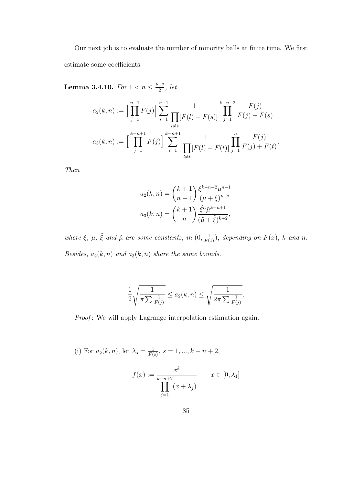Our next job is to evaluate the number of minority balls at finite time. We first estimate some coefficients.

**Lemma 3.4.10.** For  $1 < n \leq \frac{k+2}{2}$  $\frac{+2}{2}$ , let

$$
a_2(k,n) := \Big[\prod_{j=1}^{n-1} F(j)\Big] \sum_{s=1}^{n-1} \frac{1}{\prod_{l \neq s} [F(l) - F(s)]} \prod_{j=1}^{k-n+2} \frac{F(j)}{F(j) + F(s)}
$$

$$
a_3(k,n) := \Big[\prod_{j=1}^{k-n+1} F(j)\Big] \sum_{t=1}^{k-n+1} \frac{1}{\prod_{l \neq t} [F(l) - F(t)]} \prod_{j=1}^{n} \frac{F(j)}{F(j) + F(t)}.
$$

Then

$$
a_2(k,n) = {k+1 \choose n-1} \frac{\xi^{k-n+2} \mu^{n-1}}{(\mu + \xi)^{k+2}}
$$

$$
a_3(k,n) = {k+1 \choose n} \frac{\tilde{\xi}^n \tilde{\mu}^{k-n+1}}{(\tilde{\mu} + \tilde{\xi})^{k+2}},
$$

where  $\xi$ ,  $\mu$ ,  $\tilde{\xi}$  and  $\tilde{\mu}$  are some constants, in  $(0, \frac{1}{F(1)})$ , depending on  $F(x)$ , k and n. Besides,  $a_2(k, n)$  and  $a_3(k, n)$  share the same bounds.

$$
\frac{1}{2}\sqrt{\frac{1}{\pi\sum\frac{1}{F(j)}}}\leq a_2(k,n)\leq \sqrt{\frac{1}{2\pi\sum\frac{1}{F(j)}}}.
$$

Proof: We will apply Lagrange interpolation estimation again.

(i) For  $a_2(k,n)$ , let  $\lambda_s = \frac{1}{F(k)}$  $\frac{1}{F(s)}, s = 1, ..., k - n + 2,$ 

$$
f(x) := \frac{x^k}{\prod_{j=1}^{k-n+2} (x + \lambda_j)} \qquad x \in [0, \lambda_1]
$$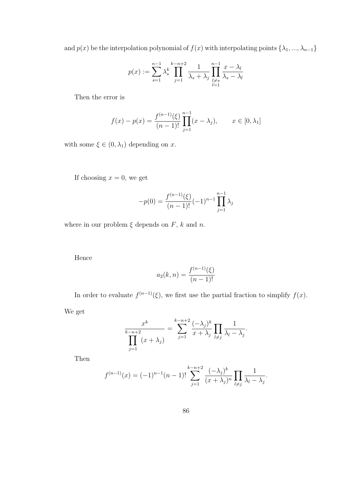and  $p(x)$  be the interpolation polynomial of  $f(x)$  with interpolating points  $\{\lambda_1, ..., \lambda_{n-1}\}$ 

$$
p(x) := \sum_{s=1}^{n-1} \lambda_s^k \prod_{j=1}^{k-n+2} \frac{1}{\lambda_s + \lambda_j} \prod_{\substack{l \neq s \\ l=1}}^{n-1} \frac{x - \lambda_l}{\lambda_s - \lambda_l}
$$

Then the error is

$$
f(x) - p(x) = \frac{f^{(n-1)}(\xi)}{(n-1)!} \prod_{j=1}^{n-1} (x - \lambda_j), \qquad x \in [0, \lambda_1]
$$

with some  $\xi \in (0, \lambda_1)$  depending on x.

If choosing  $x = 0$ , we get

$$
-p(0) = \frac{f^{(n-1)}(\xi)}{(n-1)!}(-1)^{n-1}\prod_{j=1}^{n-1}\lambda_j
$$

where in our problem  $\xi$  depends on  $F,$  k and n.

Hence

$$
a_2(k,n) = \frac{f^{(n-1)}(\xi)}{(n-1)!}
$$

In order to evaluate  $f^{(n-1)}(\xi)$ , we first use the partial fraction to simplify  $f(x)$ .

We get

$$
\frac{x^k}{\prod_{j=1}^{k-n+2} (x+\lambda_j)} = \sum_{j=1}^{k-n+2} \frac{(-\lambda_j)^k}{x+\lambda_j} \prod_{l \neq j} \frac{1}{\lambda_l - \lambda_j}.
$$

Then

$$
f^{(n-1)}(x) = (-1)^{n-1}(n-1)!\sum_{j=1}^{k-n+2} \frac{(-\lambda_j)^k}{(x+\lambda_j)^n} \prod_{l \neq j} \frac{1}{\lambda_l - \lambda_j}.
$$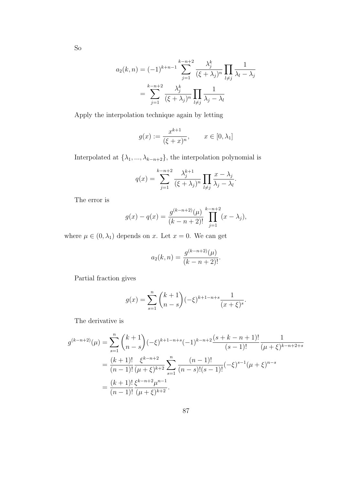$$
a_2(k,n) = (-1)^{k+n-1} \sum_{j=1}^{k-n+2} \frac{\lambda_j^k}{(\xi + \lambda_j)^n} \prod_{l \neq j} \frac{1}{\lambda_l - \lambda_j}
$$

$$
= \sum_{j=1}^{k-n+2} \frac{\lambda_j^k}{(\xi + \lambda_j)^n} \prod_{l \neq j} \frac{1}{\lambda_j - \lambda_l}
$$

Apply the interpolation technique again by letting

$$
g(x) := \frac{x^{k+1}}{(\xi + x)^n}, \qquad x \in [0, \lambda_1]
$$

Interpolated at  $\{\lambda_1, ..., \lambda_{k-n+2}\}$ , the interpolation polynomial is

$$
q(x) = \sum_{j=1}^{k-n+2} \frac{\lambda_j^{k+1}}{(\xi + \lambda_j)^n} \prod_{l \neq j} \frac{x - \lambda_j}{\lambda_j - \lambda_l}.
$$

The error is

$$
g(x) - q(x) = \frac{g^{(k-n+2)}(\mu)}{(k-n+2)!} \prod_{j=1}^{k-n+2} (x - \lambda_j),
$$

where  $\mu \in (0, \lambda_1)$  depends on x. Let  $x = 0$ . We can get

$$
a_2(k,n) = \frac{g^{(k-n+2)}(\mu)}{(k-n+2)!}.
$$

Partial fraction gives

$$
g(x) = \sum_{s=1}^{n} {k+1 \choose n-s} (-\xi)^{k+1-n+s} \frac{1}{(x+\xi)^s}.
$$

The derivative is

$$
g^{(k-n+2)}(\mu) = \sum_{s=1}^{n} {k+1 \choose n-s} (-\xi)^{k+1-n+s} (-1)^{k-n+2} \frac{(s+k-n+1)!}{(s-1)!} \frac{1}{(\mu+\xi)^{k-n+2+s}}
$$
  
= 
$$
\frac{(k+1)!}{(n-1)!} \frac{\xi^{k-n+2}}{(\mu+\xi)^{k+2}} \sum_{s=1}^{n} \frac{(n-1)!}{(n-s)!(s-1)!} (-\xi)^{s-1} (\mu+\xi)^{n-s}
$$
  
= 
$$
\frac{(k+1)!}{(n-1)!} \frac{\xi^{k-n+2} \mu^{n-1}}{(\mu+\xi)^{k+2}}.
$$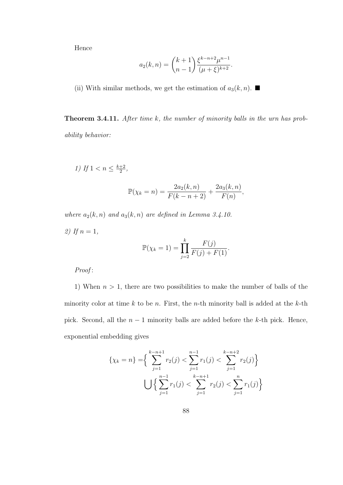Hence

$$
a_2(k,n) = {k+1 \choose n-1} \frac{\xi^{k-n+2} \mu^{n-1}}{(\mu+\xi)^{k+2}}.
$$

(ii) With similar methods, we get the estimation of  $a_3(k, n)$ .

Theorem 3.4.11. After time k, the number of minority balls in the urn has probability behavior:

 $F(n)$ 

,

1) If  $1 < n \leq \frac{k+2}{2}$  $\frac{+2}{2}$ ,  $\mathbb{P}(\chi_k = n) = \frac{2a_2(k, n)}{F(k - n + 2)} +$  $2a_3(k,n)$ 

where  $a_2(k, n)$  and  $a_3(k, n)$  are defined in Lemma 3.4.10.

2) If  $n = 1$ ,  $\mathbb{P}(\chi_k = 1) = \prod$ k  $j=2$  $F(j)$  $\frac{1}{F(j) + F(1)}.$ 

Proof:

1) When  $n > 1$ , there are two possibilities to make the number of balls of the minority color at time k to be n. First, the n-th minority ball is added at the k-th pick. Second, all the  $n-1$  minority balls are added before the k-th pick. Hence, exponential embedding gives

$$
\{\chi_k = n\} = \left\{ \sum_{j=1}^{k-n+1} r_2(j) < \sum_{j=1}^{n-1} r_1(j) < \sum_{j=1}^{k-n+2} r_2(j) \right\}
$$
\n
$$
\bigcup \left\{ \sum_{j=1}^{n-1} r_1(j) < \sum_{j=1}^{k-n+1} r_2(j) < \sum_{j=1}^{n} r_1(j) \right\}
$$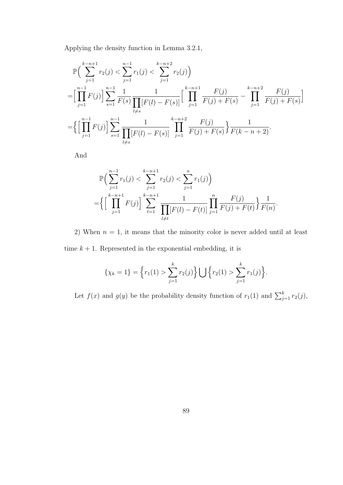Applying the density function in Lemma 3.2.1,

$$
\mathbb{P}\Big(\sum_{j=1}^{k-n+1} r_2(j) < \sum_{j=1}^{n-1} r_1(j) < \sum_{j=1}^{k-n+2} r_2(j)\Big)
$$
\n
$$
= \Big[\prod_{j=1}^{n-1} F(j)\Big] \sum_{s=1}^{n-1} \frac{1}{F(s)} \frac{1}{\prod_{l\neq s} [F(l) - F(s)]} \Big[\prod_{j=1}^{k-n+1} \frac{F(j)}{F(j) + F(s)} - \prod_{j=1}^{k-n+2} \frac{F(j)}{F(j) + F(s)}\Big]
$$
\n
$$
= \Big\{\Big[\prod_{j=1}^{n-1} F(j)\Big] \sum_{s=1}^{n-1} \frac{1}{\prod_{l\neq s} [F(l) - F(s)]} \prod_{j=1}^{k-n+2} \frac{F(j)}{F(j) + F(s)}\Big\} \frac{1}{F(k-n+2)}.
$$

And

$$
\mathbb{P}\Big(\sum_{j=1}^{n-1} r_1(j) < \sum_{j=1}^{k-n+1} r_2(j) < \sum_{j=1}^n r_1(j)\Big) \\
= \Big\{\Big[\prod_{j=1}^{k-n+1} F(j)\Big] \sum_{t=1}^{k-n+1} \frac{1}{\prod_{l \neq t} [F(l) - F(t)]} \prod_{j=1}^n \frac{F(j)}{F(j) + F(t)}\Big\} \frac{1}{F(n)}.
$$

2) When  $n = 1$ , it means that the minority color is never added until at least time  $k + 1$ . Represented in the exponential embedding, it is

$$
\{\chi_k = 1\} = \left\{r_1(1) > \sum_{j=1}^k r_2(j)\right\} \bigcup \left\{r_2(1) > \sum_{j=1}^k r_1(j)\right\}.
$$

Let  $f(x)$  and  $g(y)$  be the probability density function of  $r_1(1)$  and  $\sum_{j=1}^{k} r_2(j)$ ,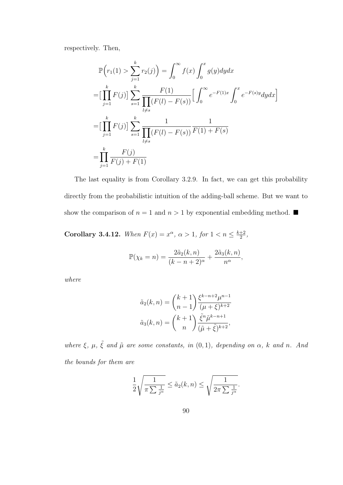respectively. Then,

$$
\mathbb{P}\Big(r_1(1) > \sum_{j=1}^k r_2(j)\Big) = \int_0^\infty f(x) \int_0^x g(y) dy dx
$$
\n
$$
= \Big[\prod_{j=1}^k F(j)\Big] \sum_{s=1}^k \frac{F(1)}{\prod_{l \neq s} (F(l) - F(s))} \Big[\int_0^\infty e^{-F(1)x} \int_0^x e^{-F(s)y} dy dx\Big]
$$
\n
$$
= \Big[\prod_{j=1}^k F(j)\Big] \sum_{s=1}^k \frac{1}{\prod_{l \neq s} (F(l) - F(s))} \frac{1}{F(1) + F(s)}
$$
\n
$$
= \prod_{j=1}^k \frac{F(j)}{F(j) + F(1)}
$$

The last equality is from Corollary 3.2.9. In fact, we can get this probability directly from the probabilistic intuition of the adding-ball scheme. But we want to show the comparison of  $n = 1$  and  $n > 1$  by exponential embedding method.  $\blacksquare$ 

Corollary 3.4.12. When  $F(x) = x^{\alpha}, \alpha > 1$ , for  $1 < n \leq \frac{k+2}{2}$  $\frac{+2}{2}$ ,

$$
\mathbb{P}(\chi_k = n) = \frac{2\tilde{a}_2(k, n)}{(k - n + 2)^{\alpha}} + \frac{2\tilde{a}_3(k, n)}{n^{\alpha}},
$$

where

$$
\tilde{a}_2(k,n) = {k+1 \choose n-1} \frac{\xi^{k-n+2} \mu^{n-1}}{(\mu + \xi)^{k+2}}
$$

$$
\tilde{a}_3(k,n) = {k+1 \choose n} \frac{\tilde{\xi}^n \tilde{\mu}^{k-n+1}}{(\tilde{\mu} + \tilde{\xi})^{k+2}},
$$

where  $\xi$ ,  $\mu$ ,  $\tilde{\xi}$  and  $\tilde{\mu}$  are some constants, in  $(0,1)$ , depending on  $\alpha$ , k and n. And the bounds for them are

$$
\frac{1}{2}\sqrt{\frac{1}{\pi \sum \frac{1}{j^{\alpha}}}} \leq \tilde{a}_2(k,n) \leq \sqrt{\frac{1}{2\pi \sum \frac{1}{j^{\alpha}}}}.
$$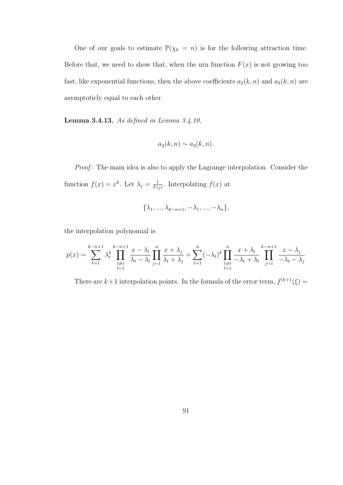One of our goals to estimate  $\mathbb{P}(\chi_k = n)$  is for the following attraction time. Before that, we need to show that, when the urn function  $F(x)$  is not growing too fast, like exponential functions, then the above coefficients  $a_2(k, n)$  and  $a_3(k, n)$  are asymptoticly equal to each other.

Lemma 3.4.13. As defined in Lemma 3.4.10,

$$
a_2(k,n) \sim a_3(k,n).
$$

Proof: The main idea is also to apply the Lagrange interpolation. Consider the function  $f(x) = x^k$ . Let  $\lambda_j = \frac{1}{F(j)}$  $\frac{1}{F(j)}$ . Interpolating  $f(x)$  at

$$
\{\lambda_1, \ldots, \lambda_{k-n+1}, -\lambda_1, \ldots, -\lambda_n\},\
$$

the interpolation polynomial is

$$
p(x) = \sum_{t=1}^{k-n+1} \lambda_t^k \prod_{\substack{l \neq t \\ l=1}}^{k-n+1} \frac{x - \lambda_l}{\lambda_t - \lambda_l} \prod_{j=1}^n \frac{x + \lambda_j}{\lambda_t + \lambda_j} + \sum_{t=1}^n (-\lambda_t)^k \prod_{\substack{l \neq t \\ l=1}}^n \frac{x + \lambda_l}{-\lambda_t + \lambda_l} \prod_{j=1}^{k-n+1} \frac{x - \lambda_j}{-\lambda_t - \lambda_j}
$$

There are  $k+1$  interpolation points. In the formula of the error term,  $f^{(k+1)}(\xi) =$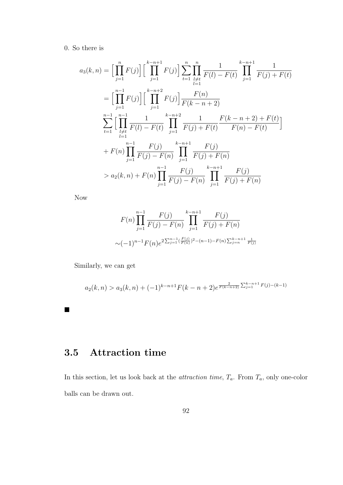### 0. So there is

$$
a_3(k,n) = \Big[\prod_{j=1}^n F(j)\Big] \Big[\prod_{j=1}^{k-n+1} F(j)\Big] \sum_{t=1}^n \prod_{l \neq t}^n \frac{1}{F(l) - F(t)} \prod_{j=1}^{k-n+1} \frac{1}{F(j) + F(t)}
$$
  
\n
$$
= \Big[\prod_{j=1}^{n-1} F(j)\Big] \Big[\prod_{j=1}^{k-n+2} F(j)\Big] \frac{F(n)}{F(k-n+2)}
$$
  
\n
$$
\sum_{t=1}^{n-1} \Big[\prod_{l \neq t}^{n-1} \frac{1}{F(l) - F(t)} \prod_{j=1}^{k-n+2} \frac{1}{F(j) + F(t)} \frac{F(k-n+2) + F(t)}{F(n) - F(t)}\Big]
$$
  
\n
$$
+ F(n) \prod_{j=1}^{n-1} \frac{F(j)}{F(j) - F(n)} \prod_{j=1}^{k-n+1} \frac{F(j)}{F(j) + F(n)}
$$
  
\n
$$
> a_2(k,n) + F(n) \prod_{j=1}^{n-1} \frac{F(j)}{F(j) - F(n)} \prod_{j=1}^{k-n+1} \frac{F(j)}{F(j) + F(n)}
$$

Now

$$
F(n) \prod_{j=1}^{n-1} \frac{F(j)}{F(j) - F(n)} \prod_{j=1}^{k-n+1} \frac{F(j)}{F(j) + F(n)}
$$
  

$$
\sim (-1)^{n-1} F(n) e^{2 \sum_{j=1}^{n-1} \left(\frac{F(j)}{F(n)}\right)^2 - (n-1) - F(n) \sum_{j=n}^{k-n+1} \frac{1}{F(j)}}
$$

Similarly, we can get

$$
a_2(k,n) > a_3(k,n) + (-1)^{k-n+1} F(k-n+2) e^{\frac{2}{F(k-n+2)} \sum_{j=1}^{k-n+1} F(j)-(k-1)}
$$

# 3.5 Attraction time

In this section, let us look back at the *attraction time*,  $T_a$ . From  $T_a$ , only one-color balls can be drawn out.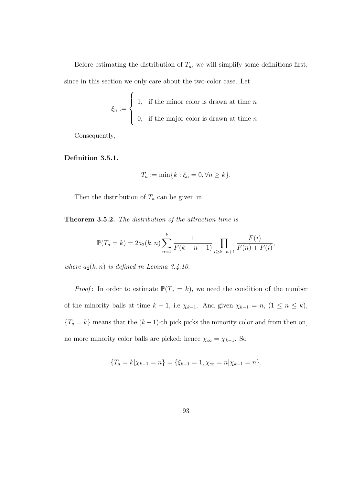Before estimating the distribution of  $T_a$ , we will simplify some definitions first, since in this section we only care about the two-color case. Let

$$
\xi_n := \begin{cases} 1, & \text{if the minor color is drawn at time } n \\ 0, & \text{if the major color is drawn at time } n \end{cases}
$$

Consequently,

#### Definition 3.5.1.

$$
T_a := \min\{k : \xi_n = 0, \forall n \ge k\}.
$$

Then the distribution of  $T_a$  can be given in

Theorem 3.5.2. The distribution of the attraction time is

$$
\mathbb{P}(T_a = k) = 2a_2(k, n) \sum_{n=1}^k \frac{1}{F(k - n + 1)} \prod_{i \ge k - n + 1} \frac{F(i)}{F(n) + F(i)},
$$

where  $a_2(k, n)$  is defined in Lemma 3.4.10.

*Proof*: In order to estimate  $\mathbb{P}(T_a = k)$ , we need the condition of the number of the minority balls at time  $k - 1$ , i.e  $\chi_{k-1}$ . And given  $\chi_{k-1} = n$ ,  $(1 \le n \le k)$ ,  ${T_a = k}$  means that the  $(k-1)$ -th pick picks the minority color and from then on, no more minority color balls are picked; hence  $\chi_{\infty} = \chi_{k-1}$ . So

$$
\{T_a = k|\chi_{k-1} = n\} = \{\xi_{k-1} = 1, \chi_{\infty} = n|\chi_{k-1} = n\}.
$$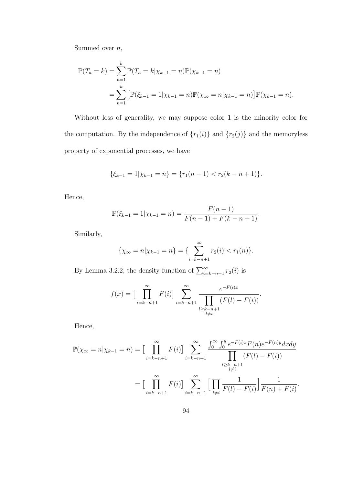Summed over  $n$ ,

$$
\mathbb{P}(T_a = k) = \sum_{n=1}^k \mathbb{P}(T_a = k | \chi_{k-1} = n) \mathbb{P}(\chi_{k-1} = n)
$$
  
= 
$$
\sum_{n=1}^k \left[ \mathbb{P}(\xi_{k-1} = 1 | \chi_{k-1} = n) \mathbb{P}(\chi_{\infty} = n | \chi_{k-1} = n) \right] \mathbb{P}(\chi_{k-1} = n).
$$

Without loss of generality, we may suppose color 1 is the minority color for the computation. By the independence of  $\{r_1(i)\}$  and  $\{r_2(j)\}$  and the memoryless property of exponential processes, we have

$$
\{\xi_{k-1}=1|\chi_{k-1}=n\} = \{r_1(n-1) < r_2(k-n+1)\}.
$$

Hence,

$$
\mathbb{P}(\xi_{k-1} = 1 | \chi_{k-1} = n) = \frac{F(n-1)}{F(n-1) + F(k-n+1)}.
$$

Similarly,

$$
\{\chi_{\infty} = n | \chi_{k-1} = n\} = \{\sum_{i=k-n+1}^{\infty} r_2(i) < r_1(n)\}.
$$

By Lemma 3.2.2, the density function of  $\sum_{i=k-n+1}^{\infty} r_2(i)$  is

$$
f(x) = \Big[\prod_{i=k-n+1}^{\infty} F(i)\Big] \sum_{\substack{i=k-n+1 \\ l \ge k-n+1}}^{\infty} \frac{e^{-F(i)x}}{\prod_{\substack{l \ge k-n+1 \\ l \neq i}} (F(l) - F(i))}.
$$

Hence,

$$
\mathbb{P}(\chi_{\infty} = n | \chi_{k-1} = n) = \left[ \prod_{i=k-n+1}^{\infty} F(i) \right] \sum_{i=k-n+1}^{\infty} \frac{\int_0^{\infty} \int_0^y e^{-F(i)x} F(n) e^{-F(n)y} dx dy}{\prod_{\substack{l \ge k-n+1 \\ l \neq i}} (F(l) - F(i))}
$$

$$
= \left[ \prod_{i=k-n+1}^{\infty} F(i) \right] \sum_{i=k-n+1}^{\infty} \left[ \prod_{\substack{l \neq i}} \frac{1}{F(l) - F(i)} \right] \frac{1}{F(n) + F(i)}.
$$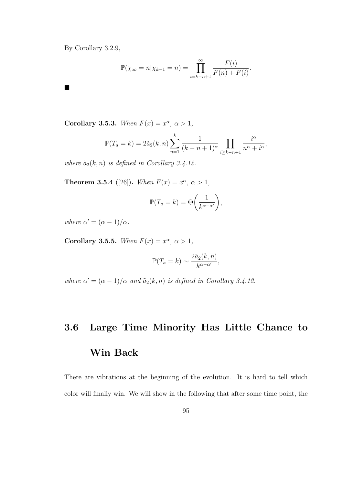By Corollary 3.2.9,

П

$$
\mathbb{P}(\chi_{\infty} = n | \chi_{k-1} = n) = \prod_{i=k-n+1}^{\infty} \frac{F(i)}{F(n) + F(i)}.
$$

Corollary 3.5.3. When  $F(x) = x^{\alpha}, \alpha > 1$ ,

$$
\mathbb{P}(T_a = k) = 2\tilde{a}_2(k, n) \sum_{n=1}^k \frac{1}{(k - n + 1)^{\alpha}} \prod_{i \ge k - n + 1} \frac{i^{\alpha}}{n^{\alpha} + i^{\alpha}},
$$

where  $\tilde{a}_2(k, n)$  is defined in Corollary 3.4.12.

**Theorem 3.5.4** ([26]). When  $F(x) = x^{\alpha}, \alpha > 1$ ,

$$
\mathbb{P}(T_a = k) = \Theta\left(\frac{1}{k^{\alpha - \alpha'}}\right),\,
$$

where  $\alpha' = (\alpha - 1)/\alpha$ .

Corollary 3.5.5. When  $F(x) = x^{\alpha}, \alpha > 1$ ,

$$
\mathbb{P}(T_a = k) \sim \frac{2\tilde{a}_2(k, n)}{k^{\alpha - \alpha'}},
$$

where  $\alpha' = (\alpha - 1)/\alpha$  and  $\tilde{a}_2(k, n)$  is defined in Corollary 3.4.12.

# 3.6 Large Time Minority Has Little Chance to Win Back

There are vibrations at the beginning of the evolution. It is hard to tell which color will finally win. We will show in the following that after some time point, the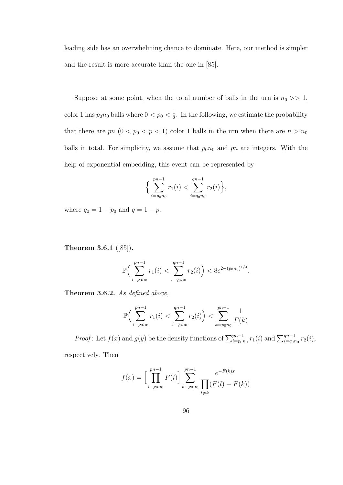leading side has an overwhelming chance to dominate. Here, our method is simpler and the result is more accurate than the one in [85].

Suppose at some point, when the total number of balls in the urn is  $n_0 \gg 1$ , color 1 has  $p_0 n_0$  balls where  $0 < p_0 < \frac{1}{2}$  $\frac{1}{2}$ . In the following, we estimate the probability that there are  $pn$   $(0 < p_0 < p < 1)$  color 1 balls in the urn when there are  $n > n_0$ balls in total. For simplicity, we assume that  $p_0n_0$  and pn are integers. With the help of exponential embedding, this event can be represented by

$$
\Big\{\sum_{i=p_0n_0}^{pn-1}r_1(i)<\sum_{i=q_0n_0}^{qn-1}r_2(i)\Big\},\
$$

where  $q_0 = 1 - p_0$  and  $q = 1 - p$ .

Theorem 3.6.1 ([85]).

$$
\mathbb{P}\Big(\sum_{i=p_0n_0}^{pn-1}r_1(i)<\sum_{i=q_0n_0}^{qn-1}r_2(i)\Big)<8e^{2-(p_0n_0)^{1/4}}.
$$

Theorem 3.6.2. As defined above,

$$
\mathbb{P}\Big(\sum_{i=p_0n_0}^{pn-1} r_1(i) < \sum_{i=q_0n_0}^{qn-1} r_2(i)\Big) < \sum_{k=p_0n_0}^{pn-1} \frac{1}{F(k)}
$$

*Proof*: Let  $f(x)$  and  $g(y)$  be the density functions of  $\sum_{i=p_0n_0}^{pn-1} r_1(i)$  and  $\sum_{i=q_0n_0}^{qn-1} r_2(i)$ ,

respectively. Then

$$
f(x) = \left[\prod_{i=p_0n_0}^{pn-1} F(i)\right] \sum_{k=p_0n_0}^{pn-1} \frac{e^{-F(k)x}}{\prod_{l \neq k} (F(l) - F(k))}
$$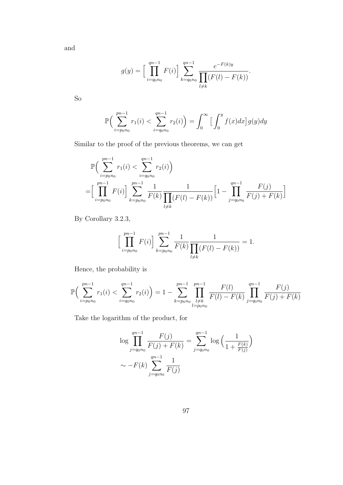and

$$
g(y) = \left[\prod_{i=q_0n_0}^{qn-1} F(i)\right] \sum_{k=q_0n_0}^{qn-1} \frac{e^{-F(k)y}}{\prod_{l \neq k} (F(l) - F(k))}.
$$

So

$$
\mathbb{P}\Big(\sum_{i=p_{0}n_{0}}^{pn-1} r_{1}(i) < \sum_{i=q_{0}n_{0}}^{qn-1} r_{2}(i)\Big) = \int_{0}^{\infty} \Big[\int_{0}^{y} f(x)dx\Big]g(y)dy
$$

Similar to the proof of the previous theorems, we can get

$$
\mathbb{P}\Big(\sum_{i=p_0n_0}^{pn-1} r_1(i) < \sum_{i=q_0n_0}^{qn-1} r_2(i)\Big) = \Big[\prod_{i=p_0n_0}^{pn-1} F(i)\Big] \sum_{k=p_0n_0}^{pn-1} \frac{1}{F(k)} \frac{1}{\prod_{l\neq k} (F(l) - F(k))} \Big[1 - \prod_{j=q_0n_0}^{qn-1} \frac{F(j)}{F(j) + F(k)}\Big]
$$

By Corollary 3.2.3,

$$
\Big[\prod_{i=p_0n_0}^{pn-1} F(i)\Big] \sum_{k=p_0n_0}^{pn-1} \frac{1}{F(k)} \frac{1}{\prod_{l\neq k} (F(l) - F(k))} = 1.
$$

Hence, the probability is

$$
\mathbb{P}\Big(\sum_{i=p_0n_0}^{pn-1} r_1(i) < \sum_{i=q_0n_0}^{qn-1} r_2(i)\Big) = 1 - \sum_{k=p_0n_0}^{pn-1} \prod_{\substack{l \neq k \\ l = p_0n_0}}^{pn-1} \frac{F(l)}{F(l) - F(k)} \prod_{j=q_0n_0}^{qn-1} \frac{F(j)}{F(j) + F(k)}
$$

Take the logarithm of the product, for

$$
\log \prod_{j=q_{0}n_{0}}^{qn-1} \frac{F(j)}{F(j) + F(k)} = \sum_{j=q_{0}n_{0}}^{qn-1} \log \left( \frac{1}{1 + \frac{F(k)}{F(j)}} \right)
$$
  
~  $\sim -F(k) \sum_{j=q_{0}n_{0}}^{qn-1} \frac{1}{F(j)}$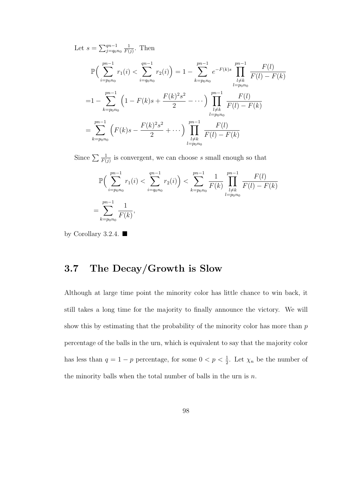Let  $s = \sum_{j=q_0n_0}^{qn-1}$ 1  $\frac{1}{F(j)}$ . Then

$$
\mathbb{P}\Big(\sum_{i=p_0n_0}^{pn-1} r_1(i) < \sum_{i=q_0n_0}^{qn-1} r_2(i)\Big) = 1 - \sum_{k=p_0n_0}^{pn-1} e^{-F(k)s} \prod_{\substack{l \neq k \\ l=p_0n_0}}^{pn-1} \frac{F(l)}{F(l) - F(k)}
$$
\n
$$
= 1 - \sum_{k=p_0n_0}^{pn-1} \left(1 - F(k)s + \frac{F(k)^2 s^2}{2} - \cdots\right) \prod_{\substack{l \neq k \\ l=p_0n_0}}^{pn-1} \frac{F(l)}{F(l) - F(k)}
$$
\n
$$
= \sum_{k=p_0n_0}^{pn-1} \left(F(k)s - \frac{F(k)^2 s^2}{2} + \cdots\right) \prod_{\substack{l \neq k \\ l=p_0n_0}}^{pn-1} \frac{F(l)}{F(l) - F(k)}
$$

Since  $\sum \frac{1}{F(j)}$  is convergent, we can choose s small enough so that

$$
\mathbb{P}\Big(\sum_{i=p_0n_0}^{pn-1} r_1(i) < \sum_{i=q_0n_0}^{qn-1} r_2(i)\Big) < \sum_{k=p_0n_0}^{pn-1} \frac{1}{F(k)} \prod_{\substack{l \neq k \\ l=p_0n_0}}^{pn-1} \frac{F(l)}{F(l) - F(k)}
$$
\n
$$
= \sum_{k=p_0n_0}^{pn-1} \frac{1}{F(k)},
$$

by Corollary 3.2.4.  $\blacksquare$ 

## 3.7 The Decay/Growth is Slow

Although at large time point the minority color has little chance to win back, it still takes a long time for the majority to finally announce the victory. We will show this by estimating that the probability of the minority color has more than  $p$ percentage of the balls in the urn, which is equivalent to say that the majority color has less than  $q = 1 - p$  percentage, for some  $0 < p < \frac{1}{2}$ . Let  $\chi_n$  be the number of the minority balls when the total number of balls in the urn is  $n$ .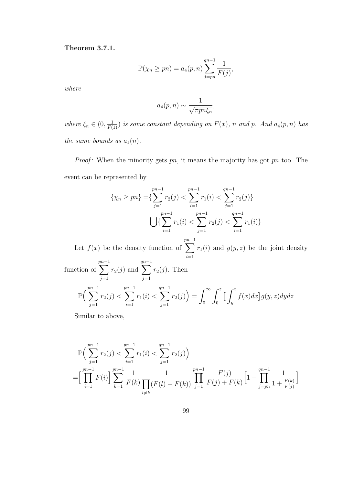Theorem 3.7.1.

$$
\mathbb{P}(\chi_n \ge pn) = a_4(p, n) \sum_{j=pn}^{qn-1} \frac{1}{F(j)},
$$

where

$$
a_4(p,n) \sim \frac{1}{\sqrt{\pi p n \xi_n}},
$$

where  $\xi_n \in (0, \frac{1}{F(1)})$  is some constant depending on  $F(x)$ , n and p. And  $a_4(p,n)$  has the same bounds as  $a_1(n)$ .

*Proof*: When the minority gets  $pn$ , it means the majority has got  $pn$  too. The event can be represented by

$$
\{\chi_n \ge pn\} = \{\sum_{j=1}^{pn-1} r_2(j) < \sum_{i=1}^{pn-1} r_1(i) < \sum_{j=1}^{qn-1} r_2(j)\}
$$
\n
$$
\bigcup \{\sum_{i=1}^{pn-1} r_1(i) < \sum_{j=1}^{pn-1} r_2(j) < \sum_{i=1}^{qn-1} r_1(i)\}
$$

Let  $f(x)$  be the density function of  $\sum^{pn-1}$  $i=1$  $r_1(i)$  and  $g(y, z)$  be the joint density function of  $\sum^{pn-1}$  $j=1$  $r_2(j)$  and  $\sum_{ }^{qn-1}$  $j=1$  $r_2(j)$ . Then  $\mathbb{P}(\sum^{pn-1}$  $j=1$  $r_2(j)$  <  $\sum^{pn-1}$  $i=1$  $r_1(i)$  <  $\sum^{qn-1}$  $j=1$  $r_2(j)$  =  $\int_0^\infty$ 0  $\int^z$ 0  $\int^z$  $\overline{y}$  $f(x)dx$  g $(y, z)dydz$ 

Similar to above,

$$
\mathbb{P}\Big(\sum_{j=1}^{pn-1} r_2(j) < \sum_{i=1}^{pn-1} r_1(i) < \sum_{j=1}^{qn-1} r_2(j)\Big) = \left[\prod_{i=1}^{pn-1} F(i)\right] \sum_{k=1}^{pn-1} \frac{1}{F(k)} \frac{1}{\prod_{l \neq k} (F(l) - F(k))} \prod_{j=1}^{pn-1} \frac{F(j)}{F(j) + F(k)} \left[1 - \prod_{j=pn}^{qn-1} \frac{1}{1 + \frac{F(k)}{F(j)}}\right]
$$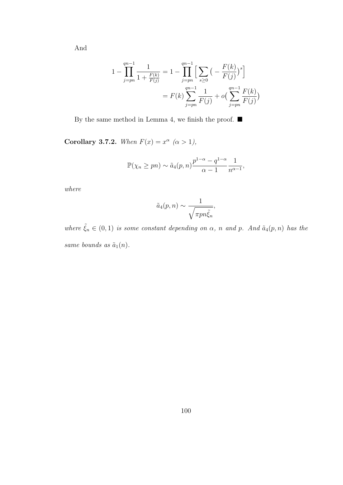And

$$
1 - \prod_{j=pn}^{qn-1} \frac{1}{1 + \frac{F(k)}{F(j)}} = 1 - \prod_{j=pn}^{qn-1} \left[ \sum_{s \ge 0} \left( -\frac{F(k)}{F(j)} \right)^s \right]
$$
  
=  $F(k) \sum_{j=pn}^{qn-1} \frac{1}{F(j)} + o\left( \sum_{j=pn}^{qn-1} \frac{F(k)}{F(j)} \right)$ 

By the same method in Lemma 4, we finish the proof.  $\blacksquare$ 

Corollary 3.7.2. When  $F(x) = x^{\alpha}$   $(\alpha > 1)$ ,

$$
\mathbb{P}(\chi_n \ge pn) \sim \tilde{a}_4(p,n) \frac{p^{1-\alpha} - q^{1-\alpha}}{\alpha - 1} \frac{1}{n^{\alpha - 1}},
$$

where

$$
\tilde{a}_4(p,n) \sim \frac{1}{\sqrt{\pi p n \tilde{\xi}_n}},
$$

where  $\tilde{\xi}_n \in (0,1)$  is some constant depending on  $\alpha$ , n and p. And  $\tilde{a}_4(p,n)$  has the same bounds as  $\tilde{a}_1(n)$ .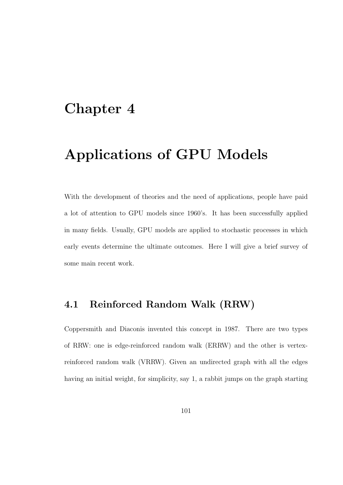# Chapter 4

# Applications of GPU Models

With the development of theories and the need of applications, people have paid a lot of attention to GPU models since 1960's. It has been successfully applied in many fields. Usually, GPU models are applied to stochastic processes in which early events determine the ultimate outcomes. Here I will give a brief survey of some main recent work.

## 4.1 Reinforced Random Walk (RRW)

Coppersmith and Diaconis invented this concept in 1987. There are two types of RRW: one is edge-reinforced random walk (ERRW) and the other is vertexreinforced random walk (VRRW). Given an undirected graph with all the edges having an initial weight, for simplicity, say 1, a rabbit jumps on the graph starting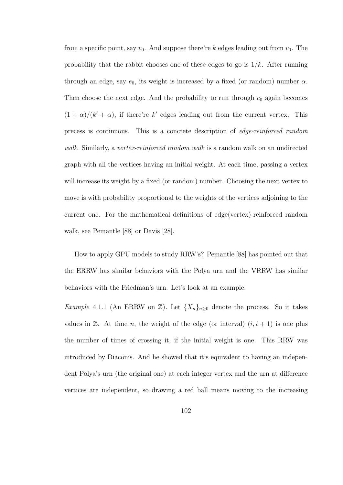from a specific point, say  $v_0$ . And suppose there're k edges leading out from  $v_0$ . The probability that the rabbit chooses one of these edges to go is  $1/k$ . After running through an edge, say  $e_0$ , its weight is increased by a fixed (or random) number  $\alpha$ . Then choose the next edge. And the probability to run through  $e_0$  again becomes  $(1 + \alpha)/(k' + \alpha)$ , if there're k' edges leading out from the current vertex. This precess is continuous. This is a concrete description of edge-reinforced random walk. Similarly, a vertex-reinforced random walk is a random walk on an undirected graph with all the vertices having an initial weight. At each time, passing a vertex will increase its weight by a fixed (or random) number. Choosing the next vertex to move is with probability proportional to the weights of the vertices adjoining to the current one. For the mathematical definitions of edge(vertex)-reinforced random walk, see Pemantle [88] or Davis [28].

How to apply GPU models to study RRW's? Pemantle [88] has pointed out that the ERRW has similar behaviors with the Polya urn and the VRRW has similar behaviors with the Friedman's urn. Let's look at an example.

Example 4.1.1 (An ERRW on  $\mathbb{Z}$ ). Let  $\{X_n\}_{n\geq 0}$  denote the process. So it takes values in  $\mathbb{Z}$ . At time *n*, the weight of the edge (or interval)  $(i, i + 1)$  is one plus the number of times of crossing it, if the initial weight is one. This RRW was introduced by Diaconis. And he showed that it's equivalent to having an independent Polya's urn (the original one) at each integer vertex and the urn at difference vertices are independent, so drawing a red ball means moving to the increasing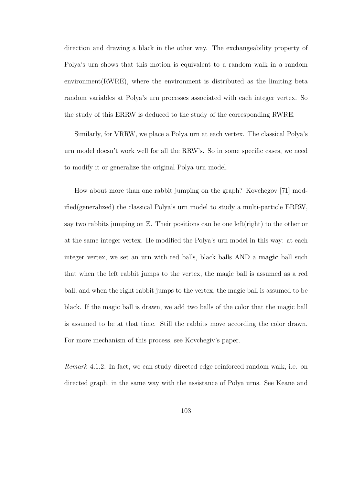direction and drawing a black in the other way. The exchangeability property of Polya's urn shows that this motion is equivalent to a random walk in a random environment(RWRE), where the environment is distributed as the limiting beta random variables at Polya's urn processes associated with each integer vertex. So the study of this ERRW is deduced to the study of the corresponding RWRE.

Similarly, for VRRW, we place a Polya urn at each vertex. The classical Polya's urn model doesn't work well for all the RRW's. So in some specific cases, we need to modify it or generalize the original Polya urn model.

How about more than one rabbit jumping on the graph? Kovchegov [71] modified(generalized) the classical Polya's urn model to study a multi-particle ERRW, say two rabbits jumping on  $\mathbb{Z}$ . Their positions can be one left(right) to the other or at the same integer vertex. He modified the Polya's urn model in this way: at each integer vertex, we set an urn with red balls, black balls AND a magic ball such that when the left rabbit jumps to the vertex, the magic ball is assumed as a red ball, and when the right rabbit jumps to the vertex, the magic ball is assumed to be black. If the magic ball is drawn, we add two balls of the color that the magic ball is assumed to be at that time. Still the rabbits move according the color drawn. For more mechanism of this process, see Kovchegiv's paper.

Remark 4.1.2. In fact, we can study directed-edge-reinforced random walk, i.e. on directed graph, in the same way with the assistance of Polya urns. See Keane and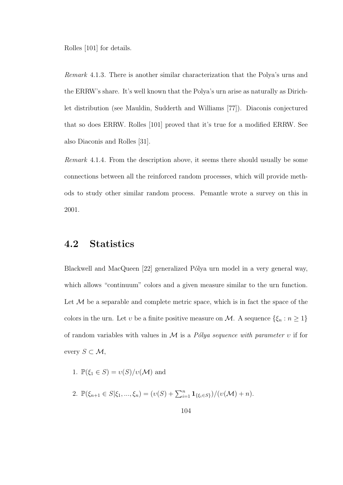Rolles [101] for details.

Remark 4.1.3. There is another similar characterization that the Polya's urns and the ERRW's share. It's well known that the Polya's urn arise as naturally as Dirichlet distribution (see Mauldin, Sudderth and Williams [77]). Diaconis conjectured that so does ERRW. Rolles [101] proved that it's true for a modified ERRW. See also Diaconis and Rolles [31].

Remark 4.1.4. From the description above, it seems there should usually be some connections between all the reinforced random processes, which will provide methods to study other similar random process. Pemantle wrote a survey on this in 2001.

### 4.2 Statistics

Blackwell and MacQueen [22] generalized Pólya urn model in a very general way, which allows "continuum" colors and a given measure similar to the urn function. Let  $\mathcal M$  be a separable and complete metric space, which is in fact the space of the colors in the urn. Let v be a finite positive measure on  $\mathcal{M}$ . A sequence  $\{\xi_n : n \geq 1\}$ of random variables with values in  $\mathcal M$  is a Pólya sequence with parameter v if for every  $S \subset \mathcal{M}$ ,

- 1.  $\mathbb{P}(\xi_1 \in S) = \nu(S)/\nu(\mathcal{M})$  and
- 2.  $\mathbb{P}(\xi_{n+1} \in S | \xi_1, ..., \xi_n) = (v(S) + \sum_{i=1}^n \mathbf{1}_{\{\xi_i \in S\}})/(v(\mathcal{M}) + n).$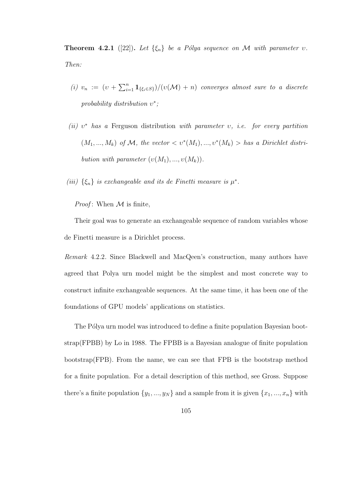**Theorem 4.2.1** ([22]). Let  $\{\xi_n\}$  be a Pólya sequence on M with parameter v. Then:

- (i)  $v_n := (v + \sum_{i=1}^n \mathbf{1}_{\{\xi_i \in S\}}) / (v(\mathcal{M}) + n)$  converges almost sure to a discrete probability distribution  $v^*$ ;
- (ii)  $v^*$  has a Ferguson distribution with parameter v, i.e. for every partition  $(M_1, ..., M_k)$  of M, the vector  $\langle v^*(M_1), ..., v^*(M_k) \rangle$  has a Dirichlet distribution with parameter  $(v(M_1), ..., v(M_k))$ .

(iii)  $\{\xi_n\}$  is exchangeable and its de Finetti measure is  $\mu^*$ .

*Proof*: When  $M$  is finite,

Their goal was to generate an exchangeable sequence of random variables whose de Finetti measure is a Dirichlet process.

Remark 4.2.2. Since Blackwell and MacQeen's construction, many authors have agreed that Polya urn model might be the simplest and most concrete way to construct infinite exchangeable sequences. At the same time, it has been one of the foundations of GPU models' applications on statistics.

The Pólya urn model was introduced to define a finite population Bayesian bootstrap(FPBB) by Lo in 1988. The FPBB is a Bayesian analogue of finite population bootstrap(FPB). From the name, we can see that FPB is the bootstrap method for a finite population. For a detail description of this method, see Gross. Suppose there's a finite population  $\{y_1, ..., y_N\}$  and a sample from it is given  $\{x_1, ..., x_n\}$  with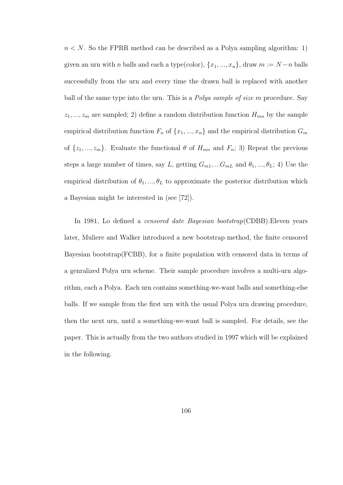$n < N$ . So the FPRR method can be described as a Polya sampling algorithm: 1) given an urn with *n* balls and each a type(color),  $\{x_1, ..., x_n\}$ , draw  $m := N - n$  balls successfully from the urn and every time the drawn ball is replaced with another ball of the same type into the urn. This is a Polya sample of size m procedure. Say  $z_1, ..., z_m$  are sampled; 2) define a random distribution function  $H_{mn}$  by the sample empirical distribution function  $F_n$  of  $\{x_1, ..., x_n\}$  and the empirical distribution  $G_m$ of  $\{z_1, ..., z_m\}$ . Evaluate the functional  $\theta$  of  $H_{mn}$  and  $F_n$ ; 3) Repeat the previous steps a large number of times, say L, getting  $G_{m1},...G_{mL}$  and  $\theta_1,...,\theta_L;$  4) Use the empirical distribution of  $\theta_1, ..., \theta_L$  to approximate the posterior distribution which a Bayesian might be interested in (see [72]).

In 1981, Lo defined a censored date Bayesian bootstrap(CDBB).Eleven years later, Muliere and Walker introduced a new bootstrap method, the finite censored Bayesian bootstrap(FCBB), for a finite population with censored data in terms of a genralized Polya urn scheme. Their sample procedure involves a multi-urn algorithm, each a Polya. Each urn contains something-we-want balls and something-else balls. If we sample from the first urn with the usual Polya urn drawing procedure, then the next urn, until a something-we-want ball is sampled. For details, see the paper. This is actually from the two authors studied in 1997 which will be explained in the following.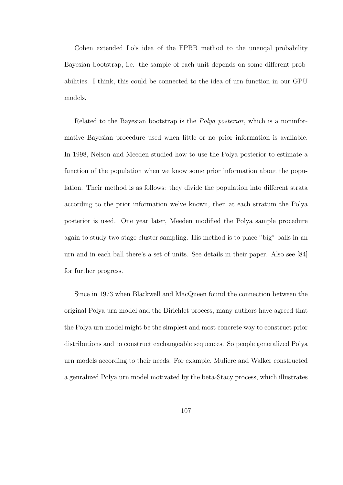Cohen extended Lo's idea of the FPBB method to the uneuqal probability Bayesian bootstrap, i.e. the sample of each unit depends on some different probabilities. I think, this could be connected to the idea of urn function in our GPU models.

Related to the Bayesian bootstrap is the Polya posterior, which is a noninformative Bayesian procedure used when little or no prior information is available. In 1998, Nelson and Meeden studied how to use the Polya posterior to estimate a function of the population when we know some prior information about the population. Their method is as follows: they divide the population into different strata according to the prior information we've known, then at each stratum the Polya posterior is used. One year later, Meeden modified the Polya sample procedure again to study two-stage cluster sampling. His method is to place "big" balls in an urn and in each ball there's a set of units. See details in their paper. Also see [84] for further progress.

Since in 1973 when Blackwell and MacQueen found the connection between the original Polya urn model and the Dirichlet process, many authors have agreed that the Polya urn model might be the simplest and most concrete way to construct prior distributions and to construct exchangeable sequences. So people generalized Polya urn models according to their needs. For example, Muliere and Walker constructed a genralized Polya urn model motivated by the beta-Stacy process, which illustrates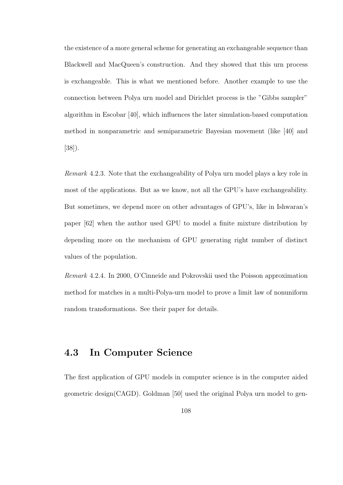the existence of a more general scheme for generating an exchangeable sequence than Blackwell and MacQueen's construction. And they showed that this urn process is exchangeable. This is what we mentioned before. Another example to use the connection between Polya urn model and Dirichlet process is the "Gibbs sampler" algorithm in Escobar [40], which influences the later simulation-based computation method in nonparametric and semiparametric Bayesian movement (like [40] and [38]).

Remark 4.2.3. Note that the exchangeability of Polya urn model plays a key role in most of the applications. But as we know, not all the GPU's have exchangeability. But sometimes, we depend more on other advantages of GPU's, like in Ishwaran's paper [62] when the author used GPU to model a finite mixture distribution by depending more on the mechanism of GPU generating right number of distinct values of the population.

Remark 4.2.4. In 2000, O'Cinneide and Pokrovskii used the Poisson approximation method for matches in a multi-Polya-urn model to prove a limit law of nonuniform random transformations. See their paper for details.

## 4.3 In Computer Science

The first application of GPU models in computer science is in the computer aided geometric design(CAGD). Goldman [50] used the original Polya urn model to gen-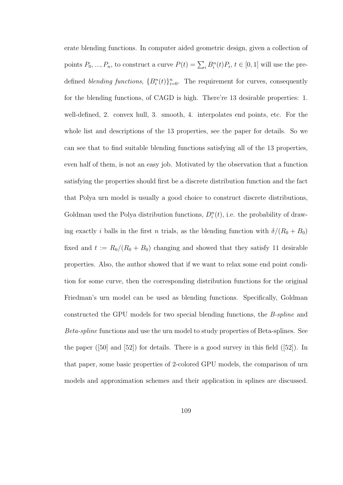erate blending functions. In computer aided geometric design, given a collection of points  $P_0, ..., P_n$ , to construct a curve  $P(t) = \sum_i B_i^n(t) P_i$ ,  $t \in [0, 1]$  will use the predefined *blending functions*,  ${B_i^n(t)}_{i=0}^n$ . The requirement for curves, consequently for the blending functions, of CAGD is high. There're 13 desirable properties: 1. well-defined, 2. convex hull, 3. smooth, 4. interpolates end points, etc. For the whole list and descriptions of the 13 properties, see the paper for details. So we can see that to find suitable blending functions satisfying all of the 13 properties, even half of them, is not an easy job. Motivated by the observation that a function satisfying the properties should first be a discrete distribution function and the fact that Polya urn model is usually a good choice to construct discrete distributions, Goldman used the Polya distribution functions,  $D_i^n(t)$ , i.e. the probability of drawing exactly i balls in the first n trials, as the blending function with  $\delta/(R_0 + B_0)$ fixed and  $t := R_0/(R_0 + B_0)$  changing and showed that they satisfy 11 desirable properties. Also, the author showed that if we want to relax some end point condition for some curve, then the corresponding distribution functions for the original Friedman's urn model can be used as blending functions. Specifically, Goldman constructed the GPU models for two special blending functions, the B-spline and Beta-spline functions and use the urn model to study properties of Beta-splines. See the paper ([50] and [52]) for details. There is a good survey in this field ([52]). In that paper, some basic properties of 2-colored GPU models, the comparison of urn models and approximation schemes and their application in splines are discussed.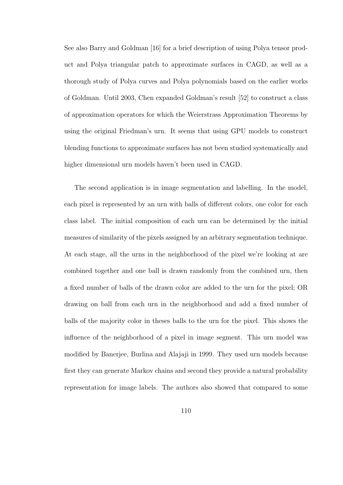See also Barry and Goldman [16] for a brief description of using Polya tensor product and Polya triangular patch to approximate surfaces in CAGD, as well as a thorough study of Polya curves and Polya polynomials based on the earlier works of Goldman. Until 2003, Chen expanded Goldman's result [52] to construct a class of approximation operators for which the Weierstrass Approximation Theorems by using the original Friedman's urn. It seems that using GPU models to construct blending functions to approximate surfaces has not been studied systematically and higher dimensional urn models haven't been used in CAGD.

The second application is in image segmentation and labelling. In the model, each pixel is represented by an urn with balls of different colors, one color for each class label. The initial composition of each urn can be determined by the initial measures of similarity of the pixels assigned by an arbitrary segmentation technique. At each stage, all the urns in the neighborhood of the pixel we're looking at are combined together and one ball is drawn randomly from the combined urn, then a fixed number of balls of the drawn color are added to the urn for the pixel; OR drawing on ball from each urn in the neighborhood and add a fixed number of balls of the majority color in theses balls to the urn for the pixel. This shows the influence of the neighborhood of a pixel in image segment. This urn model was modified by Banerjee, Burlina and Alajaji in 1999. They used urn models because first they can generate Markov chains and second they provide a natural probability representation for image labels. The authors also showed that compared to some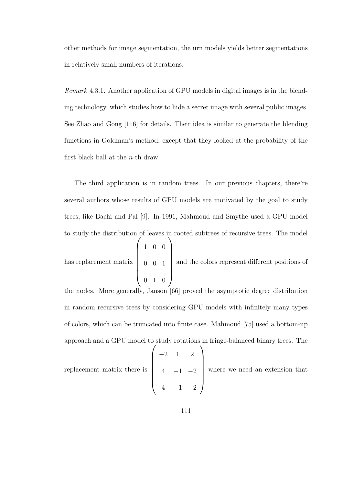other methods for image segmentation, the urn models yields better segmentations in relatively small numbers of iterations.

Remark 4.3.1. Another application of GPU models in digital images is in the blending technology, which studies how to hide a secret image with several public images. See Zhao and Gong [116] for details. Their idea is similar to generate the blending functions in Goldman's method, except that they looked at the probability of the first black ball at the n-th draw.

The third application is in random trees. In our previous chapters, there're several authors whose results of GPU models are motivated by the goal to study trees, like Bachi and Pal [9]. In 1991, Mahmoud and Smythe used a GPU model to study the distribution of leaves in rooted subtrees of recursive trees. The model

has replacement matrix  $\sqrt{ }$  $\begin{array}{c} \begin{array}{c} \begin{array}{c} \begin{array}{c} \end{array} \\ \end{array} \end{array} \end{array}$ 1 0 0 0 0 1 0 1 0  $\setminus$  $\begin{array}{c} \hline \end{array}$ and the colors represent different positions of

the nodes. More generally, Janson [66] proved the asymptotic degree distribution in random recursive trees by considering GPU models with infinitely many types of colors, which can be truncated into finite case. Mahmoud [75] used a bottom-up approach and a GPU model to study rotations in fringe-balanced binary trees. The replacement matrix there is  $\sqrt{ }$   $-2$  1 2  $4 -1 -2$  $4 -1 -2$  $\setminus$  $\begin{array}{c} \hline \end{array}$ where we need an extension that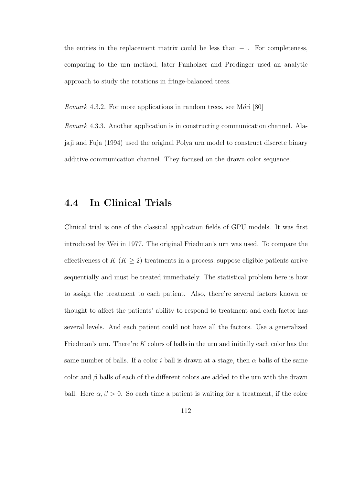the entries in the replacement matrix could be less than  $-1$ . For completeness, comparing to the urn method, later Panholzer and Prodinger used an analytic approach to study the rotations in fringe-balanced trees.

*Remark* 4.3.2. For more applications in random trees, see M $\acute{o}ri$  [80]

Remark 4.3.3. Another application is in constructing communication channel. Alajaji and Fuja (1994) used the original Polya urn model to construct discrete binary additive communication channel. They focused on the drawn color sequence.

### 4.4 In Clinical Trials

Clinical trial is one of the classical application fields of GPU models. It was first introduced by Wei in 1977. The original Friedman's urn was used. To compare the effectiveness of  $K$  ( $K \geq 2$ ) treatments in a process, suppose eligible patients arrive sequentially and must be treated immediately. The statistical problem here is how to assign the treatment to each patient. Also, there're several factors known or thought to affect the patients' ability to respond to treatment and each factor has several levels. And each patient could not have all the factors. Use a generalized Friedman's urn. There're  $K$  colors of balls in the urn and initially each color has the same number of balls. If a color i ball is drawn at a stage, then  $\alpha$  balls of the same color and  $\beta$  balls of each of the different colors are added to the urn with the drawn ball. Here  $\alpha, \beta > 0$ . So each time a patient is waiting for a treatment, if the color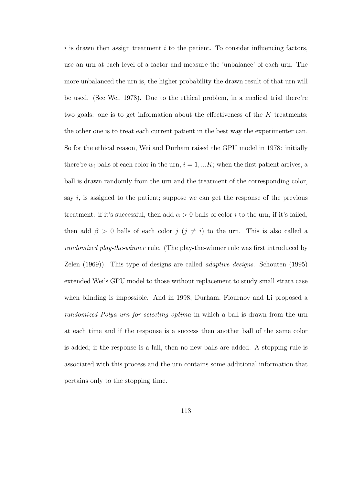$i$  is drawn then assign treatment  $i$  to the patient. To consider influencing factors, use an urn at each level of a factor and measure the 'unbalance' of each urn. The more unbalanced the urn is, the higher probability the drawn result of that urn will be used. (See Wei, 1978). Due to the ethical problem, in a medical trial there're two goals: one is to get information about the effectiveness of the  $K$  treatments; the other one is to treat each current patient in the best way the experimenter can. So for the ethical reason, Wei and Durham raised the GPU model in 1978: initially there're  $w_i$  balls of each color in the urn,  $i = 1, ... K$ ; when the first patient arrives, a ball is drawn randomly from the urn and the treatment of the corresponding color, say  $i$ , is assigned to the patient; suppose we can get the response of the previous treatment: if it's successful, then add  $\alpha > 0$  balls of color i to the urn; if it's failed, then add  $\beta > 0$  balls of each color  $j$  ( $j \neq i$ ) to the urn. This is also called a randomized play-the-winner rule. (The play-the-winner rule was first introduced by Zelen (1969)). This type of designs are called adaptive designs. Schouten (1995) extended Wei's GPU model to those without replacement to study small strata case when blinding is impossible. And in 1998, Durham, Flournoy and Li proposed a randomized Polya urn for selecting optima in which a ball is drawn from the urn at each time and if the response is a success then another ball of the same color is added; if the response is a fail, then no new balls are added. A stopping rule is associated with this process and the urn contains some additional information that pertains only to the stopping time.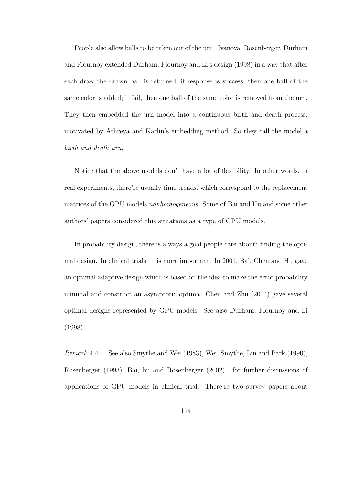People also allow balls to be taken out of the urn. Ivanova, Rosenberger, Durham and Flournoy extended Durham, Flournoy and Li's design (1998) in a way that after each draw the drawn ball is returned, if response is success, then one ball of the same color is added; if fail, then one ball of the same color is removed from the urn. They then embedded the urn model into a continuous birth and death process, motivated by Athreya and Karlin's embedding method. So they call the model a birth and death urn.

Notice that the above models don't have a lot of flexibility. In other words, in real experiments, there're usually time trends, which correspond to the replacement matrices of the GPU models nonhomogeneous. Some of Bai and Hu and some other authors' papers considered this situations as a type of GPU models.

In probability design, there is always a goal people care about: finding the optimal design. In clinical trials, it is more important. In 2001, Bai, Chen and Hu gave an optimal adaptive design which is based on the idea to make the error probability minimal and construct an asymptotic optima. Chen and Zhu (2004) gave several optimal designs represented by GPU models. See also Durham, Flournoy and Li (1998).

Remark 4.4.1. See also Smythe and Wei (1983), Wei, Smythe, Lin and Park (1990), Rosenberger (1993), Bai, hu and Rosenberger (2002). for further discussions of applications of GPU models in clinical trial. There're two survey papers about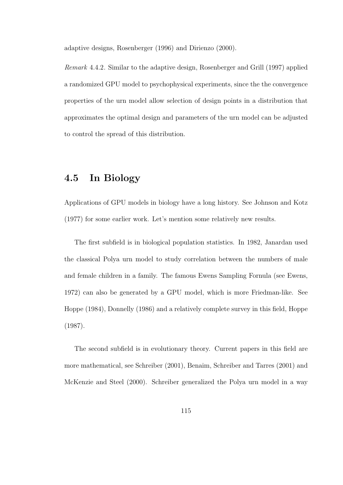adaptive designs, Rosenberger (1996) and Dirienzo (2000).

Remark 4.4.2. Similar to the adaptive design, Rosenberger and Grill (1997) applied a randomized GPU model to psychophysical experiments, since the the convergence properties of the urn model allow selection of design points in a distribution that approximates the optimal design and parameters of the urn model can be adjusted to control the spread of this distribution.

## 4.5 In Biology

Applications of GPU models in biology have a long history. See Johnson and Kotz (1977) for some earlier work. Let's mention some relatively new results.

The first subfield is in biological population statistics. In 1982, Janardan used the classical Polya urn model to study correlation between the numbers of male and female children in a family. The famous Ewens Sampling Fornula (see Ewens, 1972) can also be generated by a GPU model, which is more Friedman-like. See Hoppe (1984), Donnelly (1986) and a relatively complete survey in this field, Hoppe (1987).

The second subfield is in evolutionary theory. Current papers in this field are more mathematical, see Schreiber (2001), Benaim, Schreiber and Tarres (2001) and McKenzie and Steel (2000). Schreiber generalized the Polya urn model in a way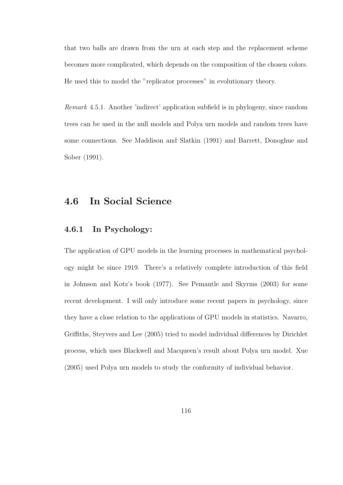that two balls are drawn from the urn at each step and the replacement scheme becomes more complicated, which depends on the composition of the chosen colors. He used this to model the "replicator processes" in evolutionary theory.

Remark 4.5.1. Another 'indirect' application subfield is in phylogeny, since random trees can be used in the null models and Polya urn models and random trees have some connections. See Maddison and Slatkin (1991) and Barrett, Donoghue and Sober (1991).

### 4.6 In Social Science

#### 4.6.1 In Psychology:

The application of GPU models in the learning processes in mathematical psychology might be since 1919. There's a relatively complete introduction of this field in Johnson and Kotz's book (1977). See Pemantle and Skyrms (2003) for some recent development. I will only introduce some recent papers in psychology, since they have a close relation to the applications of GPU models in statistics. Navarro, Griffiths, Steyvers and Lee (2005) tried to model individual differences by Dirichlet process, which uses Blackwell and Macqueen's result about Polya urn model. Xue (2005) used Polya urn models to study the conformity of individual behavior.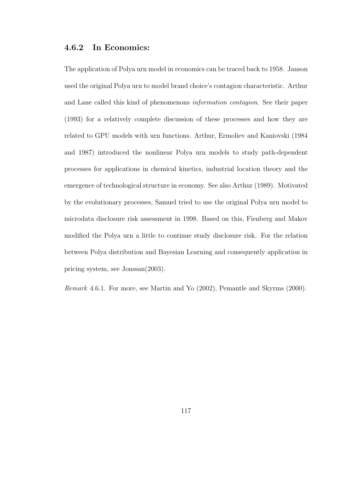#### 4.6.2 In Economics:

The application of Polya urn model in economics can be traced back to 1958. Janson used the original Polya urn to model brand choice's contagion characteristic. Arthur and Lane called this kind of phenomenons information contagion. See their paper (1993) for a relatively complete discussion of these processes and how they are related to GPU models with urn functions. Arthur, Ermoliev and Kaniovski (1984 and 1987) introduced the nonlinear Polya urn models to study path-dependent processes for applications in chemical kinetics, industrial location theory and the emergence of technological structure in economy. See also Arthur (1989). Motivated by the evolutionary processes, Samuel tried to use the original Polya urn model to microdata disclosure risk assessment in 1998. Based on this, Fienberg and Makov modified the Polya urn a little to continue study disclosure risk. For the relation between Polya distribution and Bayesian Learning and consequently application in pricing system, see Jonssan(2003).

Remark 4.6.1. For more, see Martin and Yo (2002), Pemantle and Skyrms (2000).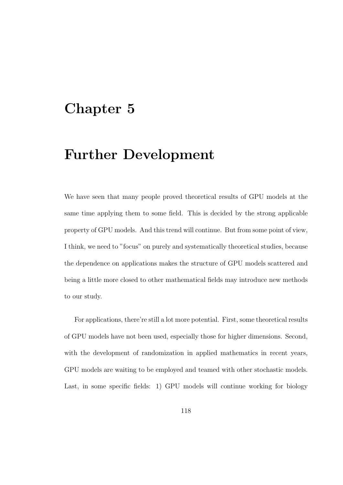## Chapter 5

# Further Development

We have seen that many people proved theoretical results of GPU models at the same time applying them to some field. This is decided by the strong applicable property of GPU models. And this trend will continue. But from some point of view, I think, we need to "focus" on purely and systematically theoretical studies, because the dependence on applications makes the structure of GPU models scattered and being a little more closed to other mathematical fields may introduce new methods to our study.

For applications, there're still a lot more potential. First, some theoretical results of GPU models have not been used, especially those for higher dimensions. Second, with the development of randomization in applied mathematics in recent years, GPU models are waiting to be employed and teamed with other stochastic models. Last, in some specific fields: 1) GPU models will continue working for biology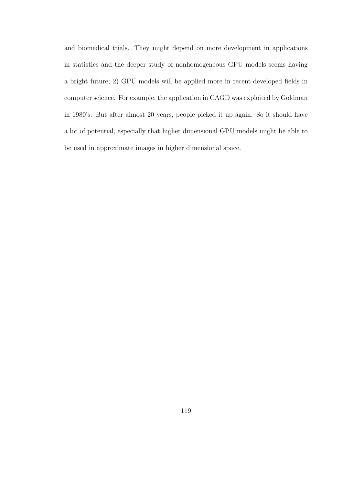and biomedical trials. They might depend on more development in applications in statistics and the deeper study of nonhomogeneous GPU models seems having a bright future; 2) GPU models will be applied more in recent-developed fields in computer science. For example, the application in CAGD was exploited by Goldman in 1980's. But after almost 20 years, people picked it up again. So it should have a lot of potential, especially that higher dimensional GPU models might be able to be used in approximate images in higher dimensional space.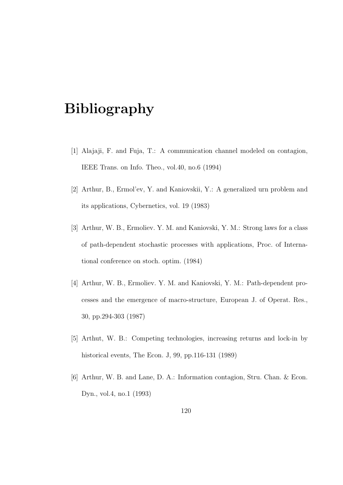# Bibliography

- [1] Alajaji, F. and Fuja, T.: A communication channel modeled on contagion, IEEE Trans. on Info. Theo., vol.40, no.6 (1994)
- [2] Arthur, B., Ermol'ev, Y. and Kaniovskii, Y.: A generalized urn problem and its applications, Cybernetics, vol. 19 (1983)
- [3] Arthur, W. B., Ermoliev. Y. M. and Kaniovski, Y. M.: Strong laws for a class of path-dependent stochastic processes with applications, Proc. of International conference on stoch. optim. (1984)
- [4] Arthur, W. B., Ermoliev. Y. M. and Kaniovski, Y. M.: Path-dependent processes and the emergence of macro-structure, European J. of Operat. Res., 30, pp.294-303 (1987)
- [5] Arthut, W. B.: Competing technologies, increasing returns and lock-in by historical events, The Econ. J, 99, pp.116-131 (1989)
- [6] Arthur, W. B. and Lane, D. A.: Information contagion, Stru. Chan. & Econ. Dyn., vol.4, no.1 (1993)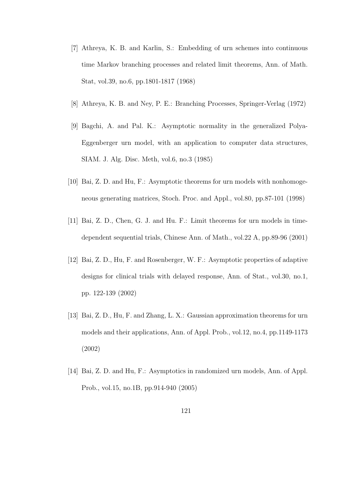- [7] Athreya, K. B. and Karlin, S.: Embedding of urn schemes into continuous time Markov branching processes and related limit theorems, Ann. of Math. Stat, vol.39, no.6, pp.1801-1817 (1968)
- [8] Athreya, K. B. and Ney, P. E.: Branching Processes, Springer-Verlag (1972)
- [9] Bagchi, A. and Pal. K.: Asymptotic normality in the generalized Polya-Eggenberger urn model, with an application to computer data structures, SIAM. J. Alg. Disc. Meth, vol.6, no.3 (1985)
- [10] Bai, Z. D. and Hu, F.: Asymptotic theorems for urn models with nonhomogeneous generating matrices, Stoch. Proc. and Appl., vol.80, pp.87-101 (1998)
- [11] Bai, Z. D., Chen, G. J. and Hu. F.: Limit theorems for urn models in timedependent sequential trials, Chinese Ann. of Math., vol.22 A, pp.89-96 (2001)
- [12] Bai, Z. D., Hu, F. and Rosenberger, W. F.: Asymptotic properties of adaptive designs for clinical trials with delayed response, Ann. of Stat., vol.30, no.1, pp. 122-139 (2002)
- [13] Bai, Z. D., Hu, F. and Zhang, L. X.: Gaussian approximation theorems for urn models and their applications, Ann. of Appl. Prob., vol.12, no.4, pp.1149-1173 (2002)
- [14] Bai, Z. D. and Hu, F.: Asymptotics in randomized urn models, Ann. of Appl. Prob., vol.15, no.1B, pp.914-940 (2005)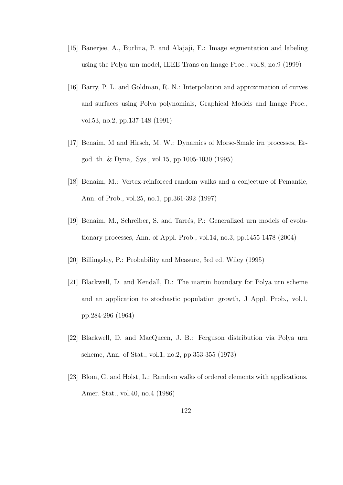- [15] Banerjee, A., Burlina, P. and Alajaji, F.: Image segmentation and labeling using the Polya urn model, IEEE Trans on Image Proc., vol.8, no.9 (1999)
- [16] Barry, P. L. and Goldman, R. N.: Interpolation and approximation of curves and surfaces using Polya polynomials, Graphical Models and Image Proc., vol.53, no.2, pp.137-148 (1991)
- [17] Benaim, M and Hirsch, M. W.: Dynamics of Morse-Smale irn processes, Ergod. th. & Dyna,. Sys., vol.15, pp.1005-1030 (1995)
- [18] Benaim, M.: Vertex-reinforced random walks and a conjecture of Pemantle, Ann. of Prob., vol.25, no.1, pp.361-392 (1997)
- [19] Benaim, M., Schreiber, S. and Tarrés, P.: Generalized urn models of evolutionary processes, Ann. of Appl. Prob., vol.14, no.3, pp.1455-1478 (2004)
- [20] Billingsley, P.: Probability and Measure, 3rd ed. Wiley (1995)
- [21] Blackwell, D. and Kendall, D.: The martin boundary for Polya urn scheme and an application to stochastic population growth, J Appl. Prob., vol.1, pp.284-296 (1964)
- [22] Blackwell, D. and MacQueen, J. B.: Ferguson distribution via Polya urn scheme, Ann. of Stat., vol.1, no.2, pp.353-355 (1973)
- [23] Blom, G. and Holst, L.: Random walks of ordered elements with applications, Amer. Stat., vol.40, no.4 (1986)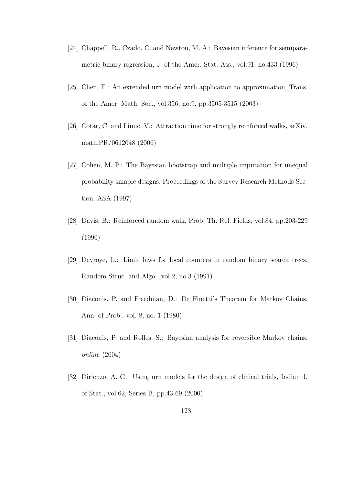- [24] Chappell, R., Czado, C. and Newton, M. A.: Bayesian inference for semiparametric binary regression, J. of the Amer. Stat. Ass., vol.91, no.433 (1996)
- [25] Chen, F.: An extended urn model with application to approximation, Trans. of the Amer. Math. Soc., vol.356, no.9, pp.3505-3515 (2003)
- [26] Cotar, C. and Limic, V.: Attraction time for strongly reinforced walks, arXiv, math.PR/0612048 (2006)
- [27] Cohen, M. P.: The Bayesian bootstrap and multiple imputation for unequal probability smaple designs, Proceedings of the Survey Research Methods Section, ASA (1997)
- [28] Davis, B.: Reinforced random walk, Prob. Th. Rel. Fields, vol.84, pp.203-229 (1990)
- [29] Devroye, L.: Limit laws for local counters in random binary search trees, Random Struc. and Algo., vol.2, no.3 (1991)
- [30] Diaconis, P. and Freedman, D.: De Finetti's Theorem for Markov Chains, Ann. of Prob., vol. 8, no. 1 (1980)
- [31] Diaconis, P. and Rolles, S.: Bayesian analysis for reversible Markov chains, online (2004)
- [32] Dirienzo, A. G.: Using urn models for the design of clinical trials, Indian J. of Stat., vol.62, Series B, pp.43-69 (2000)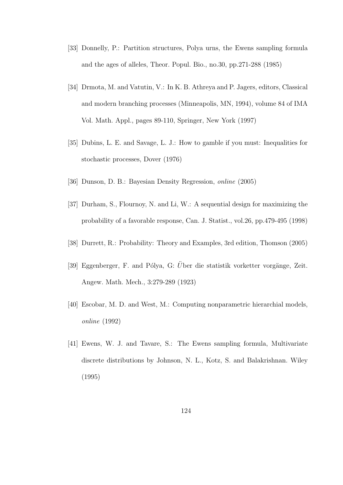- [33] Donnelly, P.: Partition structures, Polya urns, the Ewens sampling formula and the ages of alleles, Theor. Popul. Bio., no.30, pp.271-288 (1985)
- [34] Drmota, M. and Vatutin, V.: In K. B. Athreya and P. Jagers, editors, Classical and modern branching processes (Minneapolis, MN, 1994), volume 84 of IMA Vol. Math. Appl., pages 89-110, Springer, New York (1997)
- [35] Dubins, L. E. and Savage, L. J.: How to gamble if you must: Inequalities for stochastic processes, Dover (1976)
- [36] Dunson, D. B.: Bayesian Density Regression, online (2005)
- [37] Durham, S., Flournoy, N. and Li, W.: A sequential design for maximizing the probability of a favorable response, Can. J. Statist., vol.26, pp.479-495 (1998)
- [38] Durrett, R.: Probability: Theory and Examples, 3rd edition, Thomson (2005)
- [39] Eggenberger, F. and Pólya, G: Über die statistik vorketter vorgänge, Zeit. Angew. Math. Mech., 3:279-289 (1923)
- [40] Escobar, M. D. and West, M.: Computing nonparametric hierarchial models, online (1992)
- [41] Ewens, W. J. and Tavare, S.: The Ewens sampling formula, Multivariate discrete distributions by Johnson, N. L., Kotz, S. and Balakrishnan. Wiley (1995)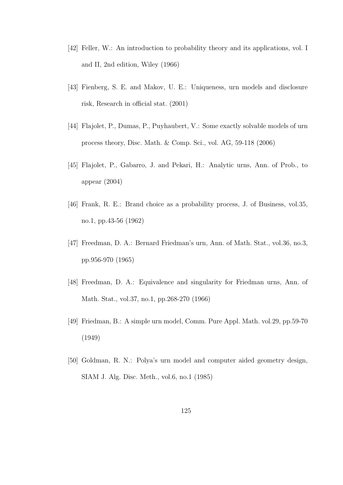- [42] Feller, W.: An introduction to probability theory and its applications, vol. I and II, 2nd edition, Wiley (1966)
- [43] Fienberg, S. E. and Makov, U. E.: Uniqueness, urn models and disclosure risk, Research in official stat. (2001)
- [44] Flajolet, P., Dumas, P., Puyhaubert, V.: Some exactly solvable models of urn process theory, Disc. Math. & Comp. Sci., vol. AG, 59-118 (2006)
- [45] Flajolet, P., Gabarro, J. and Pekari, H.: Analytic urns, Ann. of Prob., to appear (2004)
- [46] Frank, R. E.: Brand choice as a probability process, J. of Business, vol.35, no.1, pp.43-56 (1962)
- [47] Freedman, D. A.: Bernard Friedman's urn, Ann. of Math. Stat., vol.36, no.3, pp.956-970 (1965)
- [48] Freedman, D. A.: Equivalence and singularity for Friedman urns, Ann. of Math. Stat., vol.37, no.1, pp.268-270 (1966)
- [49] Friedman, B.: A simple urn model, Comm. Pure Appl. Math. vol.29, pp.59-70 (1949)
- [50] Goldman, R. N.: Polya's urn model and computer aided geometry design, SIAM J. Alg. Disc. Meth., vol.6, no.1 (1985)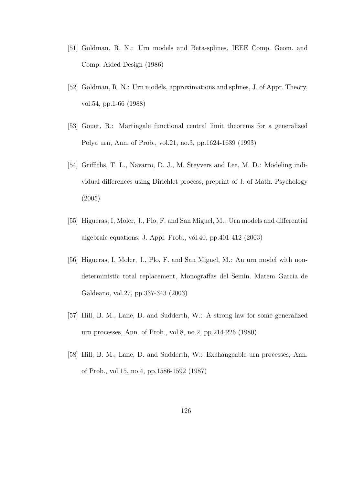- [51] Goldman, R. N.: Urn models and Beta-splines, IEEE Comp. Geom. and Comp. Aided Design (1986)
- [52] Goldman, R. N.: Urn models, approximations and splines, J. of Appr. Theory, vol.54, pp.1-66 (1988)
- [53] Gouet, R.: Martingale functional central limit theorems for a generalized Polya urn, Ann. of Prob., vol.21, no.3, pp.1624-1639 (1993)
- [54] Griffiths, T. L., Navarro, D. J., M. Steyvers and Lee, M. D.: Modeling individual differences using Dirichlet process, preprint of J. of Math. Psychology (2005)
- [55] Higueras, I, Moler, J., Plo, F. and San Miguel, M.: Urn models and differential algebraic equations, J. Appl. Prob., vol.40, pp.401-412 (2003)
- [56] Higueras, I, Moler, J., Plo, F. and San Miguel, M.: An urn model with nondeterministic total replacement, Monograffas del Semin. Matem Garcia de Galdeano, vol.27, pp.337-343 (2003)
- [57] Hill, B. M., Lane, D. and Sudderth, W.: A strong law for some generalized urn processes, Ann. of Prob., vol.8, no.2, pp.214-226 (1980)
- [58] Hill, B. M., Lane, D. and Sudderth, W.: Exchangeable urn processes, Ann. of Prob., vol.15, no.4, pp.1586-1592 (1987)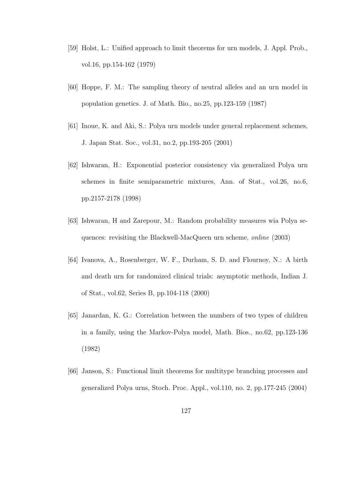- [59] Holst, L.: Unified approach to limit theorems for urn models, J. Appl. Prob., vol.16, pp.154-162 (1979)
- [60] Hoppe, F. M.: The sampling theory of neutral alleles and an urn model in population genetics. J. of Math. Bio., no.25, pp.123-159 (1987)
- [61] Inoue, K. and Aki, S.: Polya urn models under general replacement schemes, J. Japan Stat. Soc., vol.31, no.2, pp.193-205 (2001)
- [62] Ishwaran, H.: Exponential posterior consistency via generalized Polya urn schemes in finite semiparametric mixtures, Ann. of Stat., vol.26, no.6, pp.2157-2178 (1998)
- [63] Ishwaran, H and Zarepour, M.: Random probability measures wia Polya sequences: revisiting the Blackwell-MacQueen urn scheme, online (2003)
- [64] Ivanova, A., Rosenberger, W. F., Durham, S. D. and Flournoy, N.: A birth and death urn for randomized clinical trials: asymptotic methods, Indian J. of Stat., vol.62, Series B, pp.104-118 (2000)
- [65] Janardan, K. G.: Correlation between the numbers of two types of children in a family, using the Markov-Polya model, Math. Bios., no.62, pp.123-136 (1982)
- [66] Janson, S.: Functional limit theorems for multitype branching processes and generalized Polya urns, Stoch. Proc. Appl., vol.110, no. 2, pp.177-245 (2004)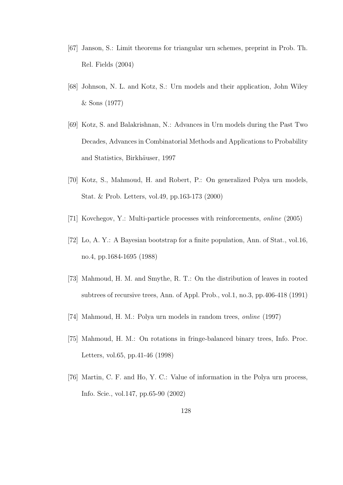- [67] Janson, S.: Limit theorems for triangular urn schemes, preprint in Prob. Th. Rel. Fields (2004)
- [68] Johnson, N. L. and Kotz, S.: Urn models and their application, John Wiley & Sons (1977)
- [69] Kotz, S. and Balakrishnan, N.: Advances in Urn models during the Past Two Decades, Advances in Combinatorial Methods and Applications to Probability and Statistics, Birkhäuser, 1997
- [70] Kotz, S., Mahmoud, H. and Robert, P.: On generalized Polya urn models, Stat. & Prob. Letters, vol.49, pp.163-173 (2000)
- [71] Kovchegov, Y.: Multi-particle processes with reinforcements, online (2005)
- [72] Lo, A. Y.: A Bayesian bootstrap for a finite population, Ann. of Stat., vol.16, no.4, pp.1684-1695 (1988)
- [73] Mahmoud, H. M. and Smythe, R. T.: On the distribution of leaves in rooted subtrees of recursive trees, Ann. of Appl. Prob., vol.1, no.3, pp.406-418 (1991)
- [74] Mahmoud, H. M.: Polya urn models in random trees, online (1997)
- [75] Mahmoud, H. M.: On rotations in fringe-balanced binary trees, Info. Proc. Letters, vol.65, pp.41-46 (1998)
- [76] Martin, C. F. and Ho, Y. C.: Value of information in the Polya urn process, Info. Scie., vol.147, pp.65-90 (2002)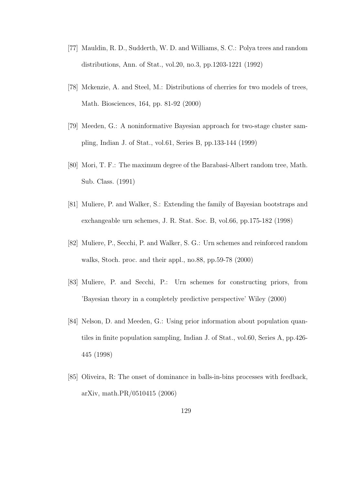- [77] Mauldin, R. D., Sudderth, W. D. and Williams, S. C.: Polya trees and random distributions, Ann. of Stat., vol.20, no.3, pp.1203-1221 (1992)
- [78] Mckenzie, A. and Steel, M.: Distributions of cherries for two models of trees, Math. Biosciences, 164, pp. 81-92 (2000)
- [79] Meeden, G.: A noninformative Bayesian approach for two-stage cluster sampling, Indian J. of Stat., vol.61, Series B, pp.133-144 (1999)
- [80] Mori, T. F.: The maximum degree of the Barabasi-Albert random tree, Math. Sub. Class. (1991)
- [81] Muliere, P. and Walker, S.: Extending the family of Bayesian bootstraps and exchangeable urn schemes, J. R. Stat. Soc. B, vol.66, pp.175-182 (1998)
- [82] Muliere, P., Secchi, P. and Walker, S. G.: Urn schemes and reinforced random walks, Stoch. proc. and their appl., no.88, pp.59-78 (2000)
- [83] Muliere, P. and Secchi, P.: Urn schemes for constructing priors, from 'Bayesian theory in a completely predictive perspective' Wiley (2000)
- [84] Nelson, D. and Meeden, G.: Using prior information about population quantiles in finite population sampling, Indian J. of Stat., vol.60, Series A, pp.426- 445 (1998)
- [85] Oliveira, R: The onset of dominance in balls-in-bins processes with feedback, arXiv, math.PR/0510415 (2006)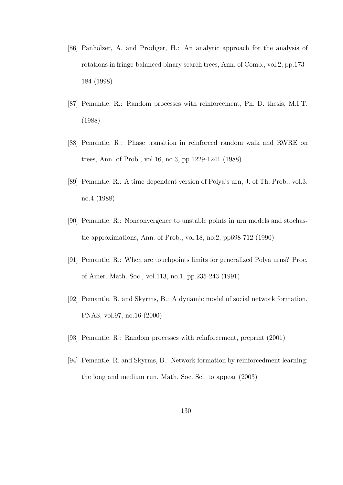- [86] Panholzer, A. and Prodiger, H.: An analytic approach for the analysis of rotations in fringe-balanced binary search trees, Ann. of Comb., vol.2, pp.173– 184 (1998)
- [87] Pemantle, R.: Random processes with reinforcement, Ph. D. thesis, M.I.T. (1988)
- [88] Pemantle, R.: Phase transition in reinforced random walk and RWRE on trees, Ann. of Prob., vol.16, no.3, pp.1229-1241 (1988)
- [89] Pemantle, R.: A time-dependent version of Polya's urn, J. of Th. Prob., vol.3, no.4 (1988)
- [90] Pemantle, R.: Nonconvergence to unstable points in urn models and stochastic approximations, Ann. of Prob., vol.18, no.2, pp698-712 (1990)
- [91] Pemantle, R.: When are touchpoints limits for generalized Polya urns? Proc. of Amer. Math. Soc., vol.113, no.1, pp.235-243 (1991)
- [92] Pemantle, R. and Skyrms, B.: A dynamic model of social network formation, PNAS, vol.97, no.16 (2000)
- [93] Pemantle, R.: Random processes with reinforcement, preprint (2001)
- [94] Pemantle, R. and Skyrms, B.: Network formation by reinforcedment learning: the long and medium run, Math. Soc. Sci. to appear (2003)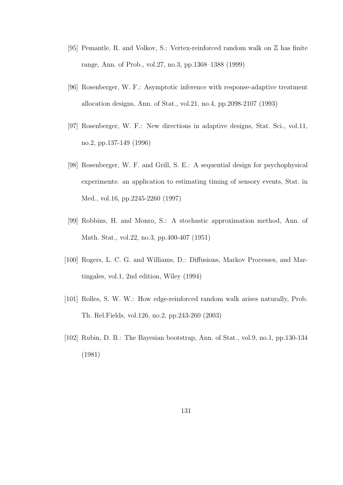- [95] Pemantle, R. and Volkov, S.: Vertex-reinforced random walk on Z has finite range, Ann. of Prob., vol.27, no.3, pp.1368–1388 (1999)
- [96] Rosenberger, W. F.: Asymptotic inference with response-adaptive treatment allocation designs, Ann. of Stat., vol.21, no.4, pp.2098-2107 (1993)
- [97] Rosenberger, W. F.: New directions in adaptive designs, Stat. Sci., vol.11, no.2, pp.137-149 (1996)
- [98] Rosenberger, W. F. and Grill, S. E.: A sequential design for psychophysical experiments: an application to estimating timing of sensory events, Stat. in Med., vol.16, pp.2245-2260 (1997)
- [99] Robbins, H. and Monro, S.: A stochastic approximation method, Ann. of Math. Stat., vol.22, no.3, pp.400-407 (1951)
- [100] Rogers, L. C. G. and Williams, D.: Diffusions, Markov Processes, and Martingales, vol.1, 2nd edition, Wiley (1994)
- [101] Rolles, S. W. W.: How edge-reinforced random walk arises naturally, Prob. Th. Rel.Fields, vol.126, no.2, pp.243-260 (2003)
- [102] Rubin, D. B.: The Bayesian bootstrap, Ann. of Stat., vol.9, no.1, pp.130-134 (1981)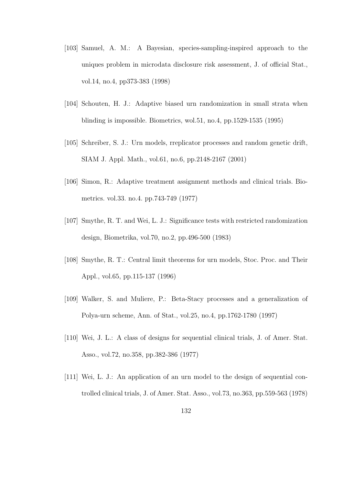- [103] Samuel, A. M.: A Bayesian, species-sampling-inspired approach to the uniques problem in microdata disclosure risk assessment, J. of official Stat., vol.14, no.4, pp373-383 (1998)
- [104] Schouten, H. J.: Adaptive biased urn randomization in small strata when blinding is impossible. Biometrics, wol.51, no.4, pp.1529-1535 (1995)
- [105] Schreiber, S. J.: Urn models, rreplicator processes and random genetic drift, SIAM J. Appl. Math., vol.61, no.6, pp.2148-2167 (2001)
- [106] Simon, R.: Adaptive treatment assignment methods and clinical trials. Biometrics. vol.33. no.4. pp.743-749 (1977)
- [107] Smythe, R. T. and Wei, L. J.: Significance tests with restricted randomization design, Biometrika, vol.70, no.2, pp.496-500 (1983)
- [108] Smythe, R. T.: Central limit theorems for urn models, Stoc. Proc. and Their Appl., vol.65, pp.115-137 (1996)
- [109] Walker, S. and Muliere, P.: Beta-Stacy processes and a generalization of Polya-urn scheme, Ann. of Stat., vol.25, no.4, pp.1762-1780 (1997)
- [110] Wei, J. L.: A class of designs for sequential clinical trials, J. of Amer. Stat. Asso., vol.72, no.358, pp.382-386 (1977)
- [111] Wei, L. J.: An application of an urn model to the design of sequential controlled clinical trials, J. of Amer. Stat. Asso., vol.73, no.363, pp.559-563 (1978)